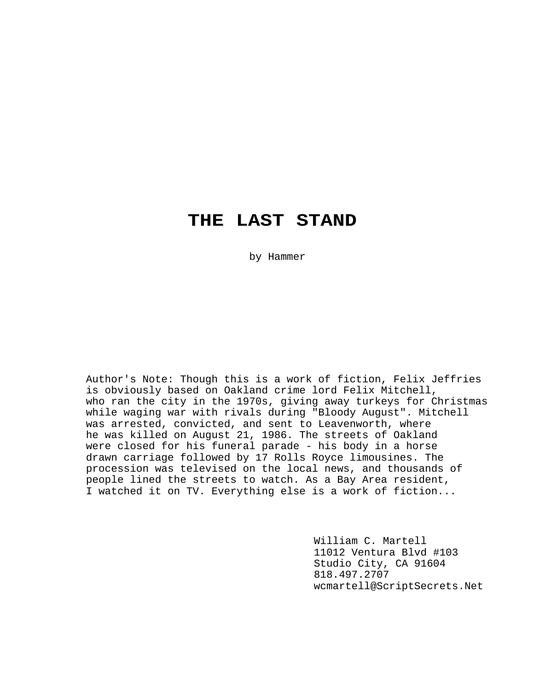# **THE LAST STAND**

by Hammer

Author's Note: Though this is a work of fiction, Felix Jeffries is obviously based on Oakland crime lord Felix Mitchell, who ran the city in the 1970s, giving away turkeys for Christmas while waging war with rivals during "Bloody August". Mitchell was arrested, convicted, and sent to Leavenworth, where he was killed on August 21, 1986. The streets of Oakland were closed for his funeral parade - his body in a horse drawn carriage followed by 17 Rolls Royce limousines. The procession was televised on the local news, and thousands of people lined the streets to watch. As a Bay Area resident, I watched it on TV. Everything else is a work of fiction...

> William C. Martell 11012 Ventura Blvd #103 Studio City, CA 91604 818.497.2707 wcmartell@ScriptSecrets.Net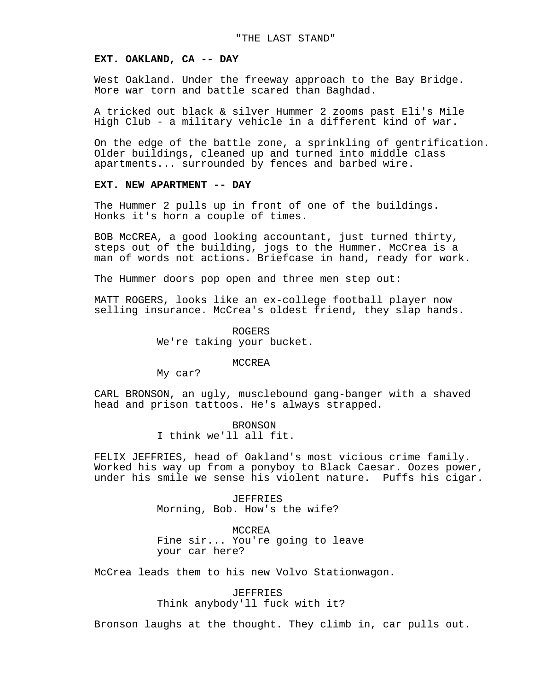#### **EXT. OAKLAND, CA -- DAY**

West Oakland. Under the freeway approach to the Bay Bridge. More war torn and battle scared than Baghdad.

A tricked out black & silver Hummer 2 zooms past Eli's Mile High Club - a military vehicle in a different kind of war.

On the edge of the battle zone, a sprinkling of gentrification. Older buildings, cleaned up and turned into middle class apartments... surrounded by fences and barbed wire.

## **EXT. NEW APARTMENT -- DAY**

The Hummer 2 pulls up in front of one of the buildings. Honks it's horn a couple of times.

BOB McCREA, a good looking accountant, just turned thirty, steps out of the building, jogs to the Hummer. McCrea is a man of words not actions. Briefcase in hand, ready for work.

The Hummer doors pop open and three men step out:

MATT ROGERS, looks like an ex-college football player now selling insurance. McCrea's oldest friend, they slap hands.

> ROGERS We're taking your bucket.

> > MCCREA

My car?

CARL BRONSON, an ugly, musclebound gang-banger with a shaved head and prison tattoos. He's always strapped.

> BRONSON I think we'll all fit.

FELIX JEFFRIES, head of Oakland's most vicious crime family. Worked his way up from a ponyboy to Black Caesar. Oozes power, under his smile we sense his violent nature. Puffs his cigar.

> JEFFRIES Morning, Bob. How's the wife?

MCCREA Fine sir... You're going to leave your car here?

McCrea leads them to his new Volvo Stationwagon.

JEFFRIES Think anybody'll fuck with it?

Bronson laughs at the thought. They climb in, car pulls out.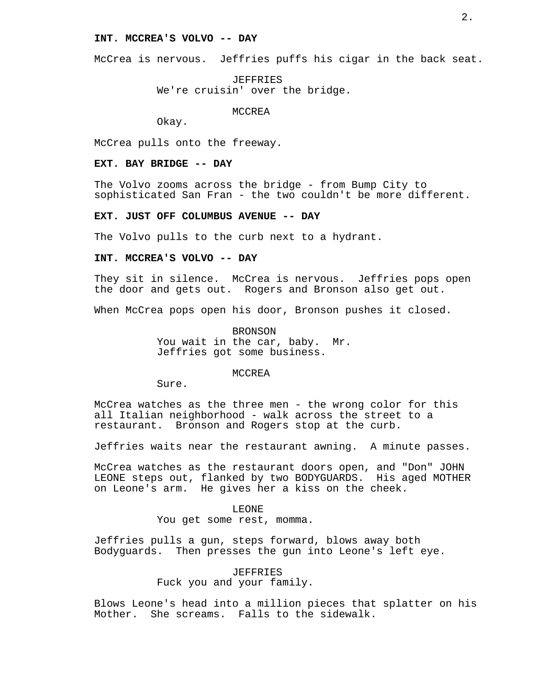# **INT. MCCREA'S VOLVO -- DAY**

McCrea is nervous. Jeffries puffs his cigar in the back seat.

JEFFRIES We're cruisin' over the bridge.

MCCREA

Okay.

McCrea pulls onto the freeway.

#### **EXT. BAY BRIDGE -- DAY**

The Volvo zooms across the bridge - from Bump City to sophisticated San Fran - the two couldn't be more different.

# **EXT. JUST OFF COLUMBUS AVENUE -- DAY**

The Volvo pulls to the curb next to a hydrant.

#### **INT. MCCREA'S VOLVO -- DAY**

They sit in silence. McCrea is nervous. Jeffries pops open the door and gets out. Rogers and Bronson also get out.

When McCrea pops open his door, Bronson pushes it closed.

BRONSON You wait in the car, baby. Mr. Jeffries got some business.

# MCCREA

Sure.

McCrea watches as the three men - the wrong color for this all Italian neighborhood - walk across the street to a restaurant. Bronson and Rogers stop at the curb.

Jeffries waits near the restaurant awning. A minute passes.

McCrea watches as the restaurant doors open, and "Don" JOHN LEONE steps out, flanked by two BODYGUARDS. His aged MOTHER on Leone's arm. He gives her a kiss on the cheek.

## LEONE

You get some rest, momma.

Jeffries pulls a gun, steps forward, blows away both Bodyguards. Then presses the gun into Leone's left eye.

# JEFFRIES Fuck you and your family.

Blows Leone's head into a million pieces that splatter on his Mother. She screams. Falls to the sidewalk.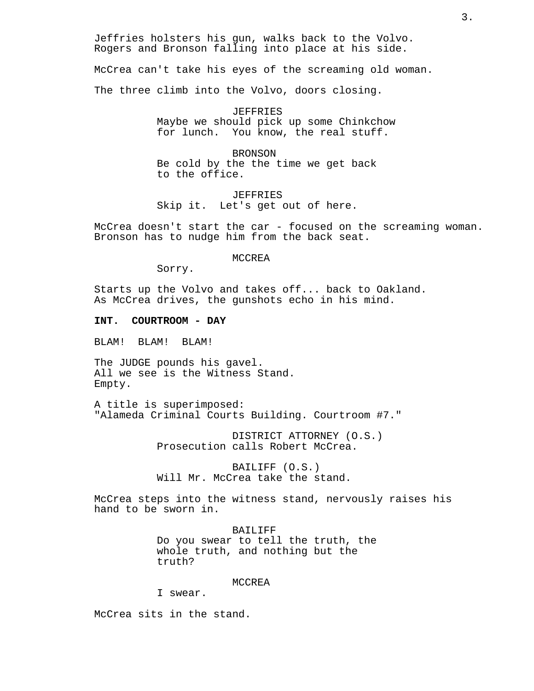Jeffries holsters his gun, walks back to the Volvo. Rogers and Bronson falling into place at his side.

McCrea can't take his eyes of the screaming old woman.

The three climb into the Volvo, doors closing.

JEFFRIES Maybe we should pick up some Chinkchow for lunch. You know, the real stuff.

BRONSON Be cold by the the time we get back to the office.

JEFFRIES Skip it. Let's get out of here.

McCrea doesn't start the car - focused on the screaming woman. Bronson has to nudge him from the back seat.

MCCREA

Sorry.

Starts up the Volvo and takes off... back to Oakland. As McCrea drives, the gunshots echo in his mind.

## **INT. COURTROOM - DAY**

BLAM! BLAM! BLAM!

The JUDGE pounds his gavel. All we see is the Witness Stand. Empty.

A title is superimposed: "Alameda Criminal Courts Building. Courtroom #7."

> DISTRICT ATTORNEY (O.S.) Prosecution calls Robert McCrea.

BAILIFF (O.S.) Will Mr. McCrea take the stand.

McCrea steps into the witness stand, nervously raises his hand to be sworn in.

> BAILIFF Do you swear to tell the truth, the whole truth, and nothing but the truth?

#### MCCREA

I swear.

McCrea sits in the stand.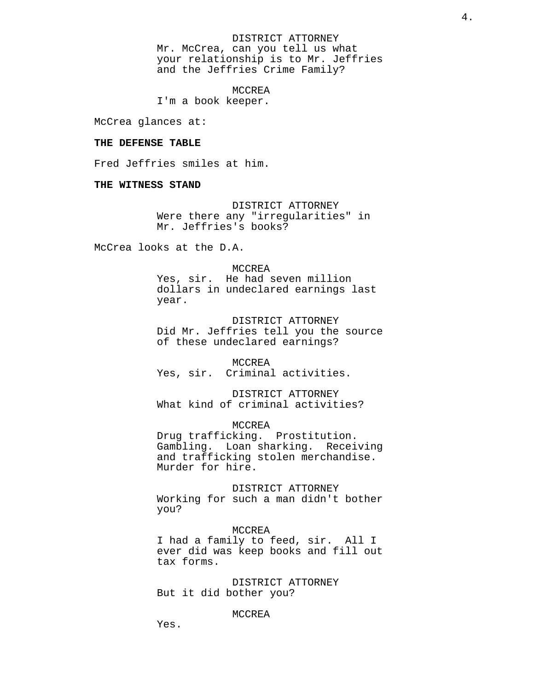DISTRICT ATTORNEY Mr. McCrea, can you tell us what your relationship is to Mr. Jeffries and the Jeffries Crime Family?

MCCREA

I'm a book keeper.

McCrea glances at:

## **THE DEFENSE TABLE**

Fred Jeffries smiles at him.

## **THE WITNESS STAND**

DISTRICT ATTORNEY Were there any "irregularities" in Mr. Jeffries's books?

McCrea looks at the D.A.

#### MCCREA

Yes, sir. He had seven million dollars in undeclared earnings last year.

DISTRICT ATTORNEY Did Mr. Jeffries tell you the source of these undeclared earnings?

MCCREA Yes, sir. Criminal activities.

DISTRICT ATTORNEY What kind of criminal activities?

MCCREA

Drug trafficking. Prostitution. Gambling. Loan sharking. Receiving and trafficking stolen merchandise. Murder for hire.

DISTRICT ATTORNEY Working for such a man didn't bother you?

#### MCCREA

I had a family to feed, sir. All I ever did was keep books and fill out tax forms.

DISTRICT ATTORNEY But it did bother you?

#### MCCREA

Yes.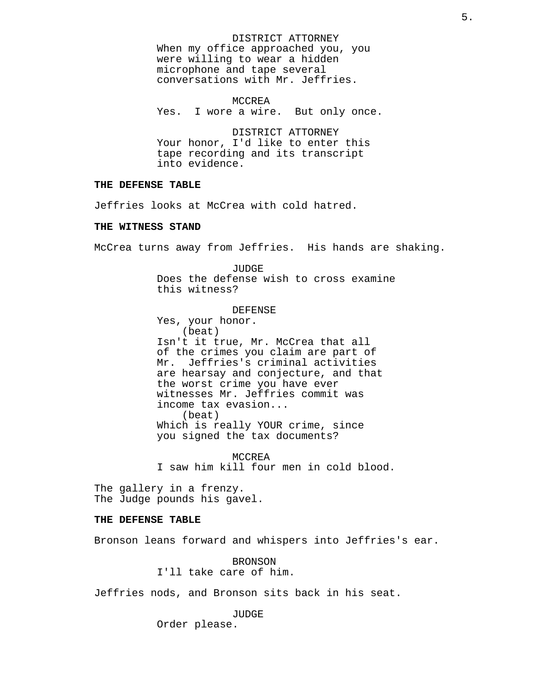DISTRICT ATTORNEY When my office approached you, you were willing to wear a hidden microphone and tape several conversations with Mr. Jeffries.

MCCREA Yes. I wore a wire. But only once.

DISTRICT ATTORNEY Your honor, I'd like to enter this tape recording and its transcript into evidence.

# **THE DEFENSE TABLE**

Jeffries looks at McCrea with cold hatred.

# **THE WITNESS STAND**

McCrea turns away from Jeffries. His hands are shaking.

JUDGE Does the defense wish to cross examine this witness?

DEFENSE

Yes, your honor. (beat) Isn't it true, Mr. McCrea that all of the crimes you claim are part of Mr. Jeffries's criminal activities are hearsay and conjecture, and that the worst crime you have ever witnesses Mr. Jeffries commit was income tax evasion... (beat) Which is really YOUR crime, since you signed the tax documents?

MCCREA I saw him kill four men in cold blood.

The gallery in a frenzy. The Judge pounds his gavel.

# **THE DEFENSE TABLE**

Bronson leans forward and whispers into Jeffries's ear.

BRONSON I'll take care of him.

Jeffries nods, and Bronson sits back in his seat.

JUDGE Order please.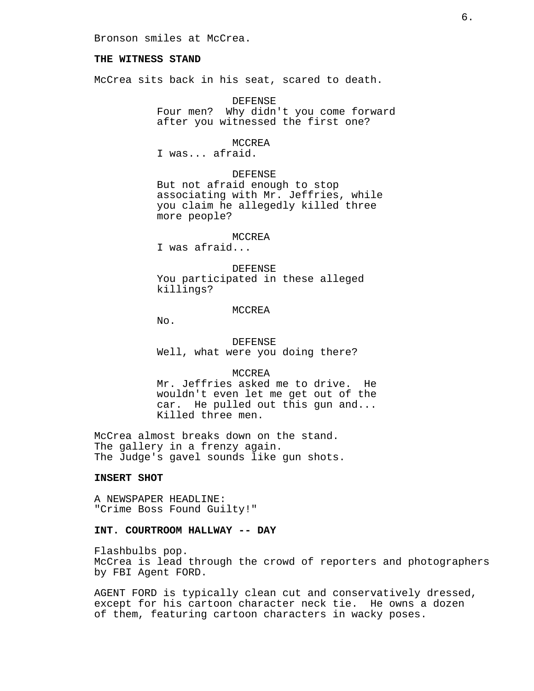Bronson smiles at McCrea.

# **THE WITNESS STAND**

McCrea sits back in his seat, scared to death.

DEFENSE Four men? Why didn't you come forward after you witnessed the first one?

MCCREA

I was... afraid.

DEFENSE

But not afraid enough to stop associating with Mr. Jeffries, while you claim he allegedly killed three more people?

#### MCCREA

I was afraid...

#### DEFENSE

You participated in these alleged killings?

#### MCCREA

No.

DEFENSE Well, what were you doing there?

#### MCCREA

Mr. Jeffries asked me to drive. He wouldn't even let me get out of the car. He pulled out this gun and... Killed three men.

McCrea almost breaks down on the stand. The gallery in a frenzy again. The Judge's gavel sounds like gun shots.

#### **INSERT SHOT**

A NEWSPAPER HEADLINE: "Crime Boss Found Guilty!"

## **INT. COURTROOM HALLWAY -- DAY**

Flashbulbs pop. McCrea is lead through the crowd of reporters and photographers by FBI Agent FORD.

AGENT FORD is typically clean cut and conservatively dressed, except for his cartoon character neck tie. He owns a dozen of them, featuring cartoon characters in wacky poses.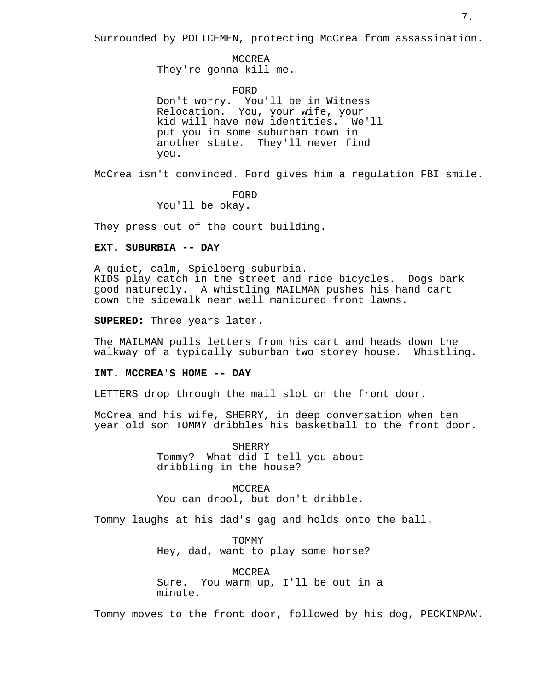Surrounded by POLICEMEN, protecting McCrea from assassination.

MCCREA They're gonna kill me.

FORD

Don't worry. You'll be in Witness Relocation. You, your wife, your kid will have new identities. We'll put you in some suburban town in another state. They'll never find you.

McCrea isn't convinced. Ford gives him a regulation FBI smile.

FORD You'll be okay.

They press out of the court building.

# **EXT. SUBURBIA -- DAY**

A quiet, calm, Spielberg suburbia. KIDS play catch in the street and ride bicycles. Dogs bark good naturedly. A whistling MAILMAN pushes his hand cart down the sidewalk near well manicured front lawns.

**SUPERED:** Three years later.

The MAILMAN pulls letters from his cart and heads down the walkway of a typically suburban two storey house. Whistling.

#### **INT. MCCREA'S HOME -- DAY**

LETTERS drop through the mail slot on the front door.

McCrea and his wife, SHERRY, in deep conversation when ten year old son TOMMY dribbles his basketball to the front door.

> SHERRY Tommy? What did I tell you about dribbling in the house?

> MCCREA You can drool, but don't dribble.

Tommy laughs at his dad's gag and holds onto the ball.

TOMMY Hey, dad, want to play some horse?

MCCREA Sure. You warm up, I'll be out in a minute.

Tommy moves to the front door, followed by his dog, PECKINPAW.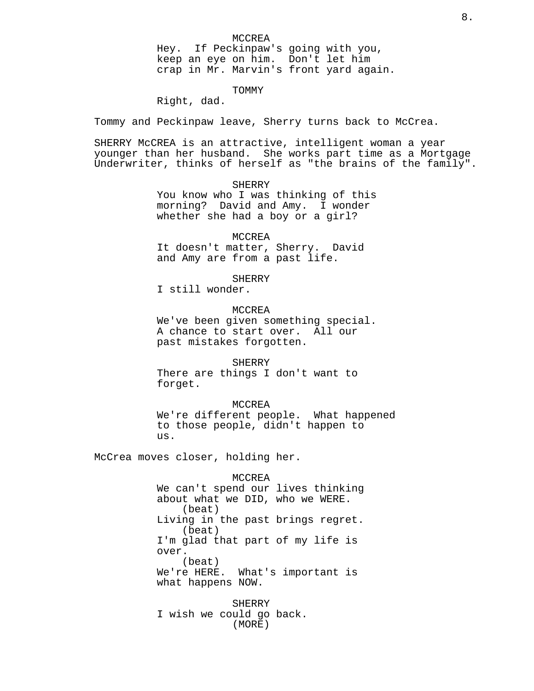Hey. If Peckinpaw's going with you, keep an eye on him. Don't let him crap in Mr. Marvin's front yard again.

## TOMMY

Right, dad.

Tommy and Peckinpaw leave, Sherry turns back to McCrea.

SHERRY McCREA is an attractive, intelligent woman a year younger than her husband. She works part time as a Mortgage Underwriter, thinks of herself as "the brains of the family".

## SHERRY

You know who I was thinking of this morning? David and Amy. I wonder whether she had a boy or a girl?

#### MCCREA

It doesn't matter, Sherry. David and Amy are from a past life.

SHERRY

I still wonder.

MCCREA

We've been given something special. A chance to start over. All our past mistakes forgotten.

SHERRY

There are things I don't want to forget.

#### MCCREA

We're different people. What happened to those people, didn't happen to us.

McCrea moves closer, holding her.

#### MCCREA

We can't spend our lives thinking about what we DID, who we WERE. (beat) Living in the past brings regret. (beat) I'm glad that part of my life is over. (beat) We're HERE. What's important is what happens NOW.

SHERRY I wish we could go back. (MORE)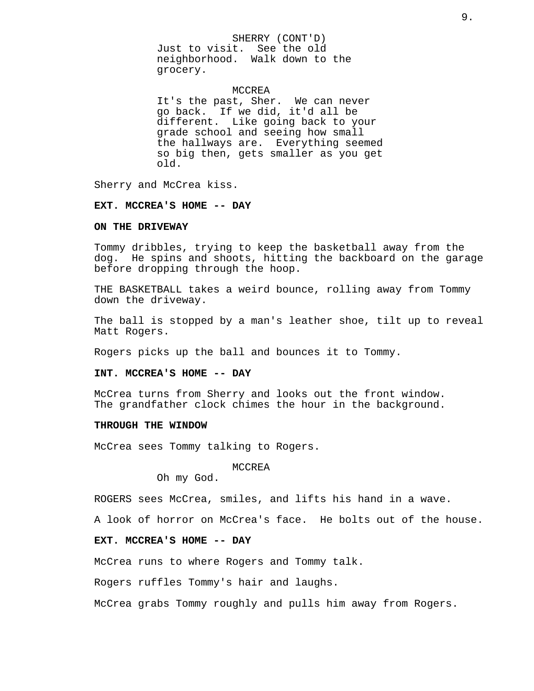## SHERRY (CONT'D)

Just to visit. See the old neighborhood. Walk down to the grocery.

## MCCREA

It's the past, Sher. We can never go back. If we did, it'd all be different. Like going back to your grade school and seeing how small the hallways are. Everything seemed so big then, gets smaller as you get old.

Sherry and McCrea kiss.

#### **EXT. MCCREA'S HOME -- DAY**

# **ON THE DRIVEWAY**

Tommy dribbles, trying to keep the basketball away from the dog. He spins and shoots, hitting the backboard on the garage before dropping through the hoop.

THE BASKETBALL takes a weird bounce, rolling away from Tommy down the driveway.

The ball is stopped by a man's leather shoe, tilt up to reveal Matt Rogers.

Rogers picks up the ball and bounces it to Tommy.

#### **INT. MCCREA'S HOME -- DAY**

McCrea turns from Sherry and looks out the front window. The grandfather clock chimes the hour in the background.

#### **THROUGH THE WINDOW**

McCrea sees Tommy talking to Rogers.

#### MCCREA

Oh my God.

ROGERS sees McCrea, smiles, and lifts his hand in a wave.

A look of horror on McCrea's face. He bolts out of the house.

# **EXT. MCCREA'S HOME -- DAY**

McCrea runs to where Rogers and Tommy talk.

Rogers ruffles Tommy's hair and laughs.

McCrea grabs Tommy roughly and pulls him away from Rogers.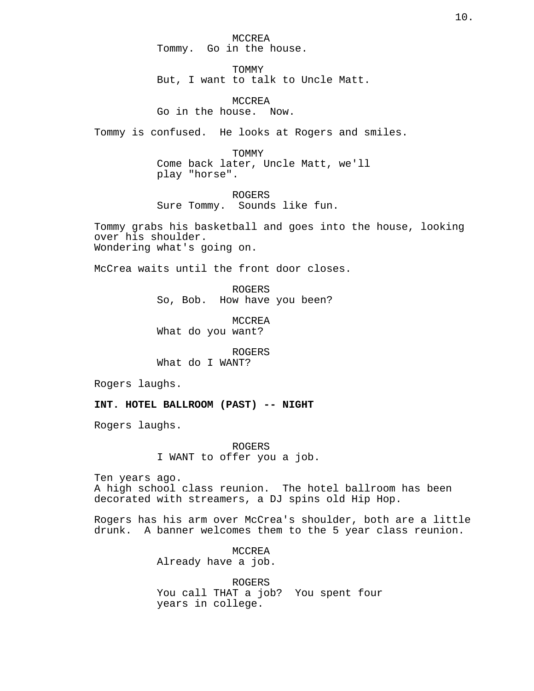MCCREA Tommy. Go in the house.

**TOMMY** But, I want to talk to Uncle Matt.

MCCREA Go in the house. Now.

Tommy is confused. He looks at Rogers and smiles.

TOMMY Come back later, Uncle Matt, we'll play "horse".

ROGERS Sure Tommy. Sounds like fun.

Tommy grabs his basketball and goes into the house, looking over his shoulder. Wondering what's going on.

McCrea waits until the front door closes.

ROGERS So, Bob. How have you been?

MCCREA What do you want?

ROGERS What do I WANT?

Rogers laughs.

**INT. HOTEL BALLROOM (PAST) -- NIGHT**

Rogers laughs.

ROGERS I WANT to offer you a job.

Ten years ago. A high school class reunion. The hotel ballroom has been decorated with streamers, a DJ spins old Hip Hop.

Rogers has his arm over McCrea's shoulder, both are a little drunk. A banner welcomes them to the 5 year class reunion.

> MCCREA Already have a job.

ROGERS You call THAT a job? You spent four years in college.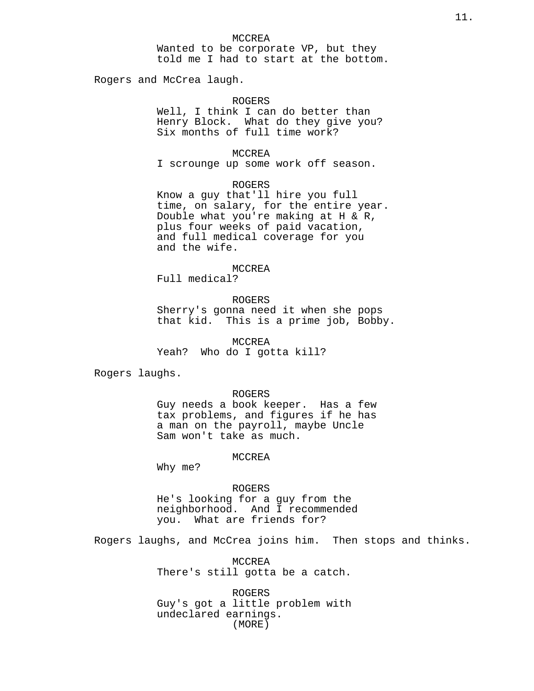#### MCCREA

Wanted to be corporate VP, but they told me I had to start at the bottom.

Rogers and McCrea laugh.

# ROGERS

Well, I think I can do better than Henry Block. What do they give you? Six months of full time work?

### MCCREA

I scrounge up some work off season.

# ROGERS

Know a guy that'll hire you full time, on salary, for the entire year. Double what you're making at H & R, plus four weeks of paid vacation, and full medical coverage for you and the wife.

# MCCREA

Full medical?

## ROGERS

Sherry's gonna need it when she pops that kid. This is a prime job, Bobby.

MCCREA Yeah? Who do I gotta kill?

Rogers laughs.

#### ROGERS

Guy needs a book keeper. Has a few tax problems, and figures if he has a man on the payroll, maybe Uncle Sam won't take as much.

#### MCCREA

Why me?

## ROGERS

He's looking for a guy from the neighborhood. And I recommended you. What are friends for?

Rogers laughs, and McCrea joins him. Then stops and thinks.

MCCREA There's still gotta be a catch.

ROGERS Guy's got a little problem with undeclared earnings. (MORE)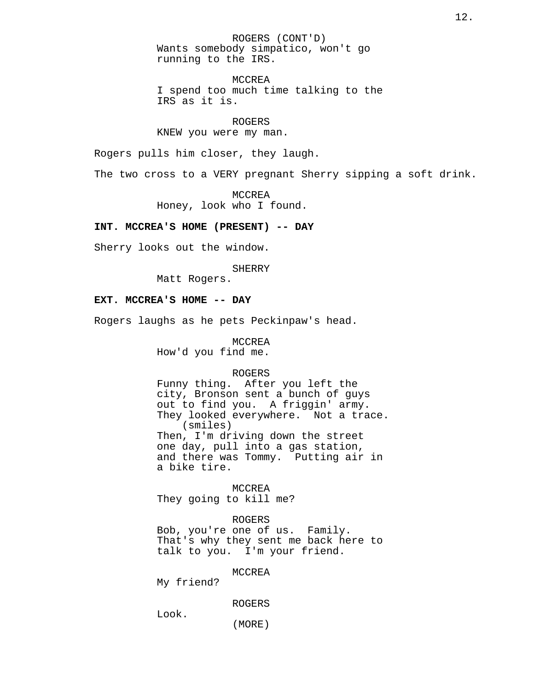ROGERS (CONT'D) Wants somebody simpatico, won't go running to the IRS.

MCCREA I spend too much time talking to the IRS as it is.

ROGERS KNEW you were my man.

Rogers pulls him closer, they laugh.

The two cross to a VERY pregnant Sherry sipping a soft drink.

MCCREA Honey, look who I found.

# **INT. MCCREA'S HOME (PRESENT) -- DAY**

Sherry looks out the window.

SHERRY

Matt Rogers.

#### **EXT. MCCREA'S HOME -- DAY**

Rogers laughs as he pets Peckinpaw's head.

MCCREA

How'd you find me.

# ROGERS

Funny thing. After you left the city, Bronson sent a bunch of guys out to find you. A friggin' army. They looked everywhere. Not a trace. (smiles) Then, I'm driving down the street one day, pull into a gas station, and there was Tommy. Putting air in a bike tire.

MCCREA They going to kill me?

ROGERS Bob, you're one of us. Family.

That's why they sent me back here to talk to you. I'm your friend.

MCCREA

My friend?

ROGERS

Look.

(MORE)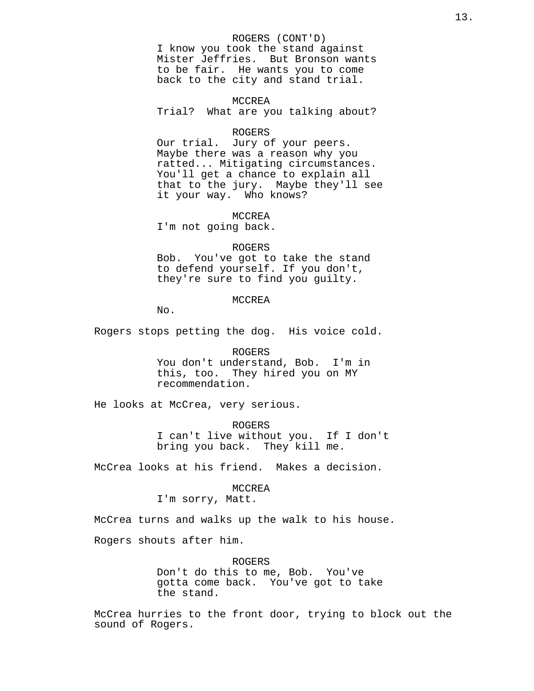## ROGERS (CONT'D)

I know you took the stand against Mister Jeffries. But Bronson wants to be fair. He wants you to come back to the city and stand trial.

#### MCCREA

Trial? What are you talking about?

#### ROGERS

Our trial. Jury of your peers. Maybe there was a reason why you ratted... Mitigating circumstances. You'll get a chance to explain all that to the jury. Maybe they'll see it your way. Who knows?

MCCREA

I'm not going back.

### ROGERS

Bob. You've got to take the stand to defend yourself. If you don't, they're sure to find you guilty.

#### MCCREA

No.

Rogers stops petting the dog. His voice cold.

ROGERS You don't understand, Bob. I'm in this, too. They hired you on MY recommendation.

He looks at McCrea, very serious.

ROGERS I can't live without you. If I don't bring you back. They kill me.

McCrea looks at his friend. Makes a decision.

# MCCREA

I'm sorry, Matt.

McCrea turns and walks up the walk to his house.

Rogers shouts after him.

ROGERS Don't do this to me, Bob. You've gotta come back. You've got to take the stand.

McCrea hurries to the front door, trying to block out the sound of Rogers.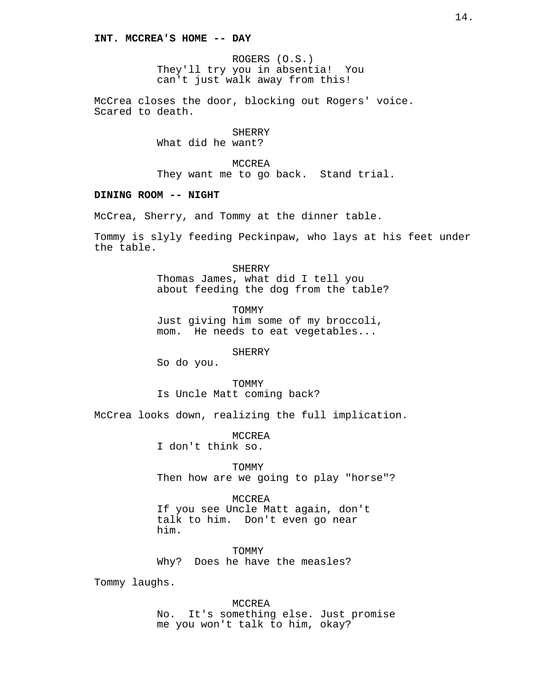ROGERS (O.S.) They'll try you in absentia! You can't just walk away from this!

McCrea closes the door, blocking out Rogers' voice. Scared to death.

> SHERRY What did he want?

MCCREA They want me to go back. Stand trial.

## **DINING ROOM -- NIGHT**

McCrea, Sherry, and Tommy at the dinner table.

Tommy is slyly feeding Peckinpaw, who lays at his feet under the table.

> SHERRY Thomas James, what did I tell you about feeding the dog from the table?

TOMMY Just giving him some of my broccoli, mom. He needs to eat vegetables...

#### **SHERRY**

So do you.

TOMMY Is Uncle Matt coming back?

McCrea looks down, realizing the full implication.

MCCREA I don't think so.

**TOMMY** Then how are we going to play "horse"?

MCCREA If you see Uncle Matt again, don't talk to him. Don't even go near

TOMMY Why? Does he have the measles?

Tommy laughs.

him.

MCCREA No. It's something else. Just promise me you won't talk to him, okay?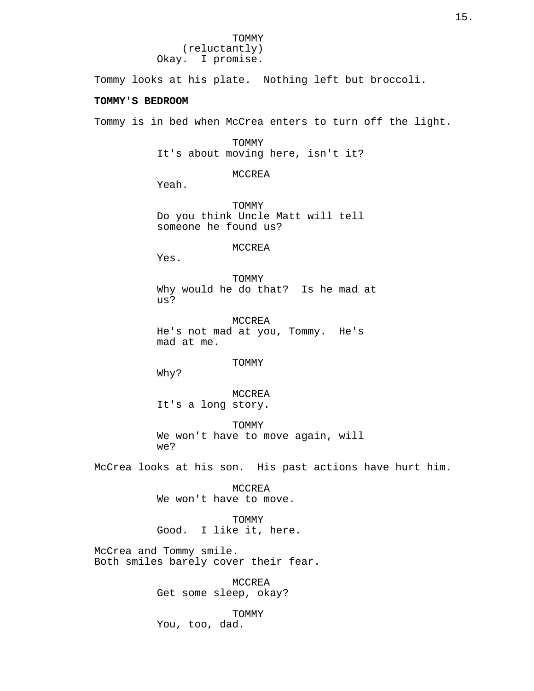Tommy looks at his plate. Nothing left but broccoli.

# **TOMMY'S BEDROOM**

Tommy is in bed when McCrea enters to turn off the light.

TOMMY It's about moving here, isn't it?

MCCREA

Yeah.

TOMMY Do you think Uncle Matt will tell someone he found us?

MCCREA

Yes.

TOMMY Why would he do that? Is he mad at us?

MCCREA He's not mad at you, Tommy. He's mad at me.

#### TOMMY

Why?

MCCREA It's a long story.

TOMMY We won't have to move again, will we?

McCrea looks at his son. His past actions have hurt him.

MCCREA We won't have to move.

TOMMY Good. I like it, here.

McCrea and Tommy smile. Both smiles barely cover their fear.

> MCCREA Get some sleep, okay?

TOMMY You, too, dad.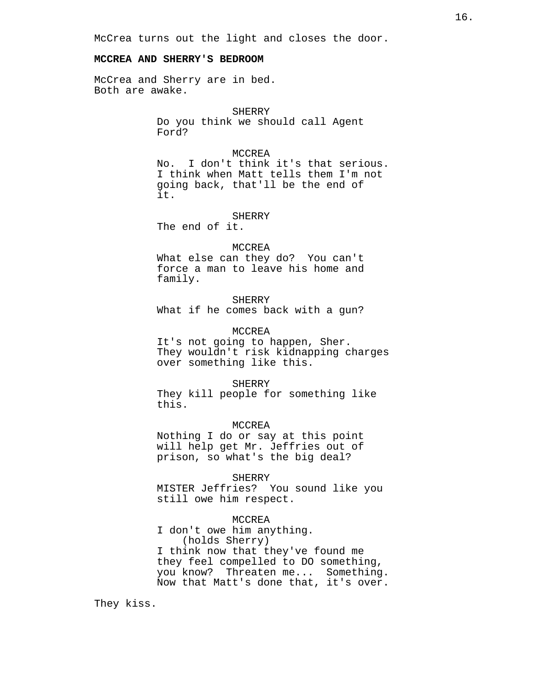McCrea turns out the light and closes the door.

# **MCCREA AND SHERRY'S BEDROOM**

McCrea and Sherry are in bed. Both are awake.

> SHERRY Do you think we should call Agent Ford?

#### MCCREA

No. I don't think it's that serious. I think when Matt tells them I'm not going back, that'll be the end of it.

**SHERRY** The end of it.

#### MCCREA

What else can they do? You can't force a man to leave his home and family.

## SHERRY

What if he comes back with a gun?

## MCCREA

It's not going to happen, Sher. They wouldn't risk kidnapping charges over something like this.

#### SHERRY

They kill people for something like this.

#### MCCREA

Nothing I do or say at this point will help get Mr. Jeffries out of prison, so what's the big deal?

#### SHERRY

MISTER Jeffries? You sound like you still owe him respect.

#### MCCREA

I don't owe him anything. (holds Sherry) I think now that they've found me they feel compelled to DO something, you know? Threaten me... Something. Now that Matt's done that, it's over.

They kiss.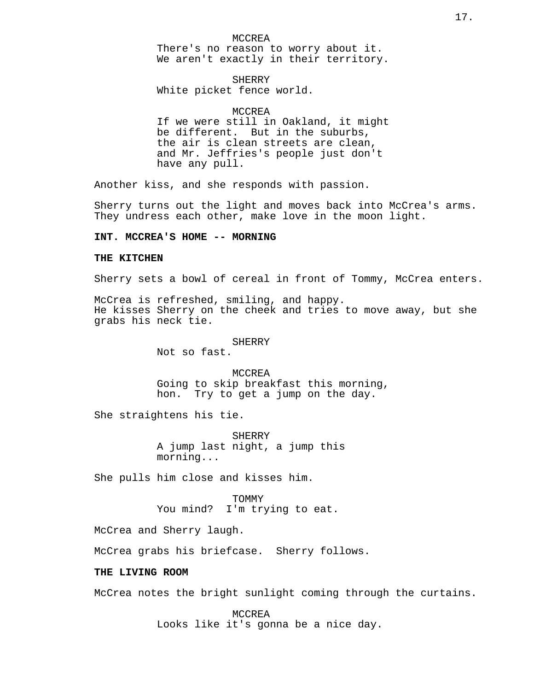MCCREA There's no reason to worry about it. We aren't exactly in their territory.

SHERRY White picket fence world.

## MCCREA

If we were still in Oakland, it might be different. But in the suburbs, the air is clean streets are clean, and Mr. Jeffries's people just don't have any pull.

Another kiss, and she responds with passion.

Sherry turns out the light and moves back into McCrea's arms. They undress each other, make love in the moon light.

## **INT. MCCREA'S HOME -- MORNING**

#### **THE KITCHEN**

Sherry sets a bowl of cereal in front of Tommy, McCrea enters.

McCrea is refreshed, smiling, and happy. He kisses Sherry on the cheek and tries to move away, but she grabs his neck tie.

#### **SHERRY**

Not so fast.

MCCREA Going to skip breakfast this morning, hon. Try to get a jump on the day.

She straightens his tie.

SHERRY A jump last night, a jump this morning...

She pulls him close and kisses him.

TOMMY You mind? I'm trying to eat.

McCrea and Sherry laugh.

McCrea grabs his briefcase. Sherry follows.

## **THE LIVING ROOM**

McCrea notes the bright sunlight coming through the curtains.

MCCREA Looks like it's gonna be a nice day.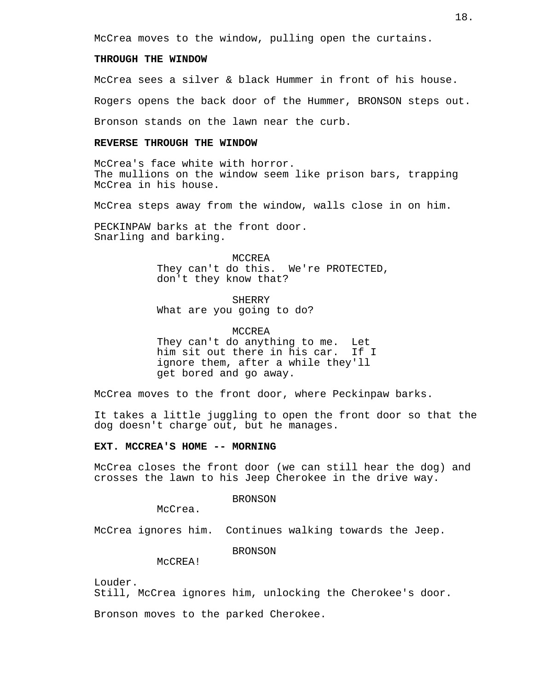McCrea moves to the window, pulling open the curtains.

# **THROUGH THE WINDOW**

McCrea sees a silver & black Hummer in front of his house.

Rogers opens the back door of the Hummer, BRONSON steps out.

Bronson stands on the lawn near the curb.

## **REVERSE THROUGH THE WINDOW**

McCrea's face white with horror. The mullions on the window seem like prison bars, trapping McCrea in his house.

McCrea steps away from the window, walls close in on him.

PECKINPAW barks at the front door. Snarling and barking.

> MCCREA They can't do this. We're PROTECTED, don't they know that?

**SHERRY** What are you going to do?

MCCREA They can't do anything to me. Let him sit out there in his car. If I ignore them, after a while they'll get bored and go away.

McCrea moves to the front door, where Peckinpaw barks.

It takes a little juggling to open the front door so that the dog doesn't charge out, but he manages.

# **EXT. MCCREA'S HOME -- MORNING**

McCrea closes the front door (we can still hear the dog) and crosses the lawn to his Jeep Cherokee in the drive way.

## BRONSON

McCrea.

McCrea ignores him. Continues walking towards the Jeep.

BRONSON

McCREA!

Louder.

Still, McCrea ignores him, unlocking the Cherokee's door.

Bronson moves to the parked Cherokee.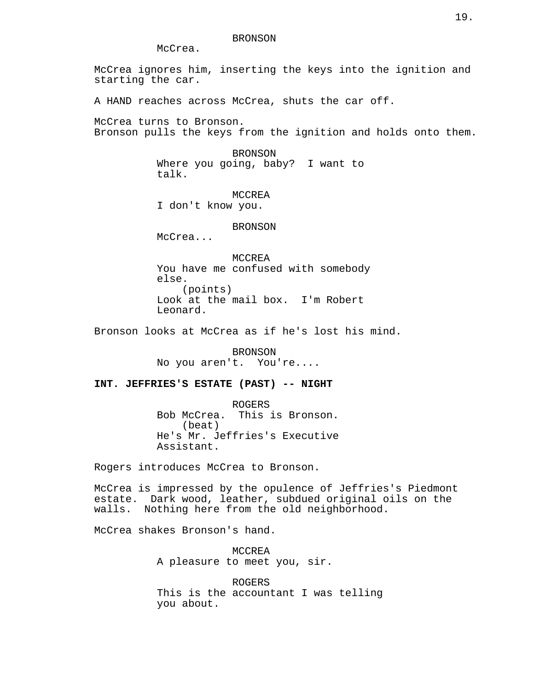#### BRONSON

McCrea.

McCrea ignores him, inserting the keys into the ignition and starting the car.

A HAND reaches across McCrea, shuts the car off.

McCrea turns to Bronson. Bronson pulls the keys from the ignition and holds onto them.

> BRONSON Where you going, baby? I want to talk.

> > MCCREA

I don't know you.

## BRONSON

McCrea...

MCCREA You have me confused with somebody else. (points) Look at the mail box. I'm Robert Leonard.

Bronson looks at McCrea as if he's lost his mind.

BRONSON No you aren't. You're....

# **INT. JEFFRIES'S ESTATE (PAST) -- NIGHT**

ROGERS Bob McCrea. This is Bronson. (beat) He's Mr. Jeffries's Executive Assistant.

Rogers introduces McCrea to Bronson.

McCrea is impressed by the opulence of Jeffries's Piedmont estate. Dark wood, leather, subdued original oils on the walls. Nothing here from the old neighborhood.

McCrea shakes Bronson's hand.

MCCREA A pleasure to meet you, sir.

ROGERS This is the accountant I was telling you about.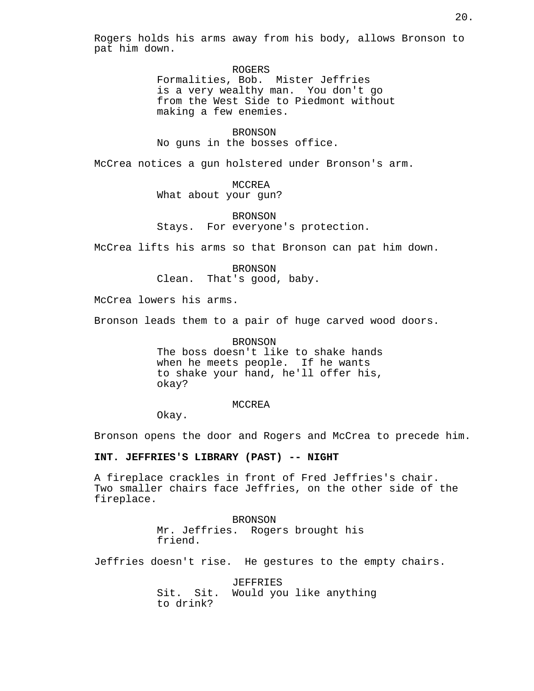Rogers holds his arms away from his body, allows Bronson to pat him down.

> ROGERS Formalities, Bob. Mister Jeffries is a very wealthy man. You don't go from the West Side to Piedmont without making a few enemies.

**BRONSON** No guns in the bosses office.

McCrea notices a gun holstered under Bronson's arm.

MCCREA What about your gun?

BRONSON Stays. For everyone's protection.

McCrea lifts his arms so that Bronson can pat him down.

BRONSON Clean. That's good, baby.

McCrea lowers his arms.

Bronson leads them to a pair of huge carved wood doors.

BRONSON The boss doesn't like to shake hands when he meets people. If he wants to shake your hand, he'll offer his, okay?

MCCREA

Okay.

Bronson opens the door and Rogers and McCrea to precede him.

**INT. JEFFRIES'S LIBRARY (PAST) -- NIGHT**

A fireplace crackles in front of Fred Jeffries's chair. Two smaller chairs face Jeffries, on the other side of the fireplace.

> BRONSON Mr. Jeffries. Rogers brought his friend.

Jeffries doesn't rise. He gestures to the empty chairs.

JEFFRIES Sit. Sit. Would you like anything to drink?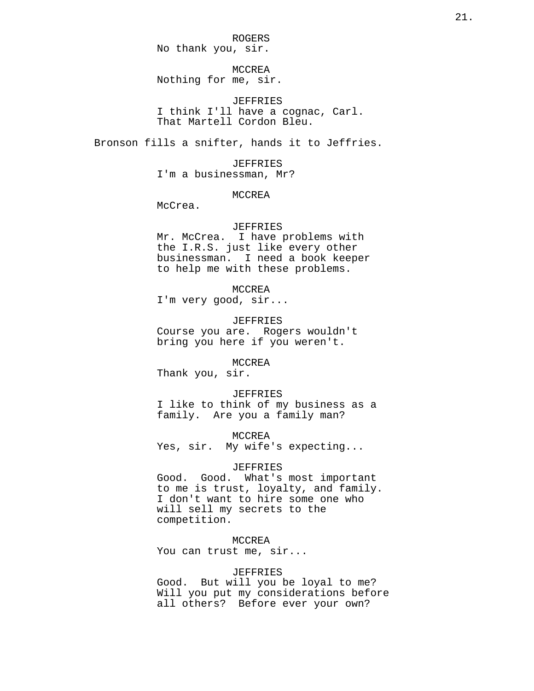ROGERS No thank you, sir.

MCCREA Nothing for me, sir.

JEFFRIES I think I'll have a cognac, Carl. That Martell Cordon Bleu.

Bronson fills a snifter, hands it to Jeffries.

JEFFRIES I'm a businessman, Mr?

#### MCCREA

McCrea.

## JEFFRIES

Mr. McCrea. I have problems with the I.R.S. just like every other businessman. I need a book keeper to help me with these problems.

# MCCREA

I'm very good, sir...

## JEFFRIES

Course you are. Rogers wouldn't bring you here if you weren't.

MCCREA

Thank you, sir.

JEFFRIES I like to think of my business as a family. Are you a family man?

MCCREA Yes, sir. My wife's expecting...

# JEFFRIES

Good. Good. What's most important to me is trust, loyalty, and family. I don't want to hire some one who will sell my secrets to the competition.

MCCREA

You can trust me, sir...

# JEFFRIES

Good. But will you be loyal to me? Will you put my considerations before all others? Before ever your own?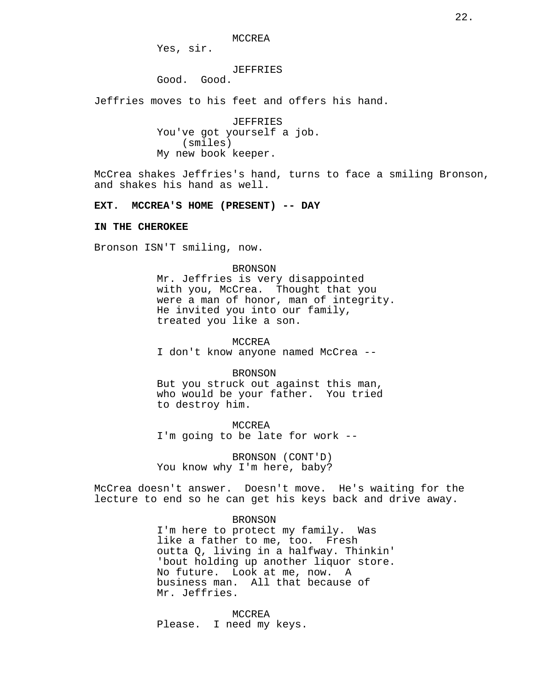MCCREA

Yes, sir.

#### JEFFRIES

Good. Good.

Jeffries moves to his feet and offers his hand.

JEFFRIES You've got yourself a job. (smiles) My new book keeper.

McCrea shakes Jeffries's hand, turns to face a smiling Bronson, and shakes his hand as well.

## **EXT. MCCREA'S HOME (PRESENT) -- DAY**

#### **IN THE CHEROKEE**

Bronson ISN'T smiling, now.

#### BRONSON

Mr. Jeffries is very disappointed with you, McCrea. Thought that you were a man of honor, man of integrity. He invited you into our family, treated you like a son.

MCCREA I don't know anyone named McCrea --

BRONSON

But you struck out against this man, who would be your father. You tried to destroy him.

MCCREA I'm going to be late for work --

BRONSON (CONT'D) You know why I'm here, baby?

McCrea doesn't answer. Doesn't move. He's waiting for the lecture to end so he can get his keys back and drive away.

#### BRONSON

I'm here to protect my family. Was like a father to me, too. Fresh outta Q, living in a halfway. Thinkin' 'bout holding up another liquor store. No future. Look at me, now. A business man. All that because of Mr. Jeffries.

MCCREA Please. I need my keys.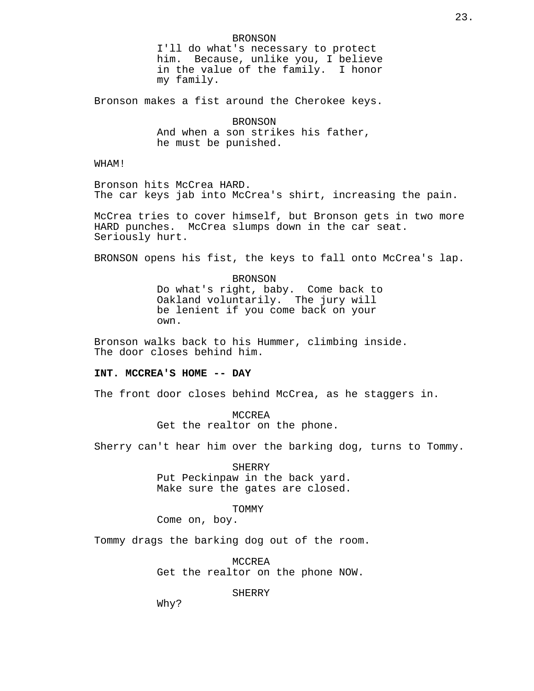Bronson makes a fist around the Cherokee keys.

**BRONSON** And when a son strikes his father, he must be punished.

WHAM!

Bronson hits McCrea HARD. The car keys jab into McCrea's shirt, increasing the pain.

McCrea tries to cover himself, but Bronson gets in two more HARD punches. McCrea slumps down in the car seat. Seriously hurt.

BRONSON opens his fist, the keys to fall onto McCrea's lap.

BRONSON Do what's right, baby. Come back to Oakland voluntarily. The jury will be lenient if you come back on your own.

Bronson walks back to his Hummer, climbing inside. The door closes behind him.

#### **INT. MCCREA'S HOME -- DAY**

The front door closes behind McCrea, as he staggers in.

MCCREA Get the realtor on the phone.

Sherry can't hear him over the barking dog, turns to Tommy.

SHERRY Put Peckinpaw in the back yard. Make sure the gates are closed.

TOMMY

Come on, boy.

Tommy drags the barking dog out of the room.

MCCREA Get the realtor on the phone NOW.

**SHERRY** 

Why?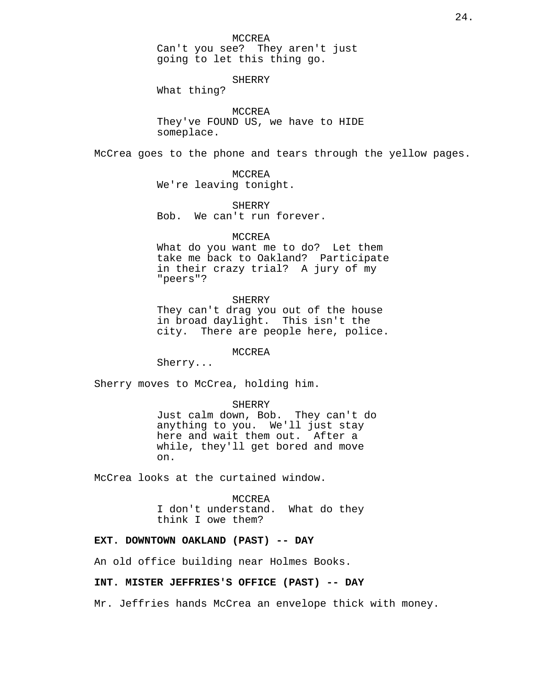SHERRY

What thing?

MCCREA They've FOUND US, we have to HIDE someplace.

McCrea goes to the phone and tears through the yellow pages.

MCCREA We're leaving tonight.

SHERRY Bob. We can't run forever.

#### MCCREA

What do you want me to do? Let them take me back to Oakland? Participate in their crazy trial? A jury of my "peers"?

## SHERRY

They can't drag you out of the house in broad daylight. This isn't the city. There are people here, police.

#### MCCREA

Sherry...

Sherry moves to McCrea, holding him.

#### SHERRY

Just calm down, Bob. They can't do anything to you. We'll just stay here and wait them out. After a while, they'll get bored and move on.

McCrea looks at the curtained window.

MCCREA

I don't understand. What do they think I owe them?

## **EXT. DOWNTOWN OAKLAND (PAST) -- DAY**

An old office building near Holmes Books.

## **INT. MISTER JEFFRIES'S OFFICE (PAST) -- DAY**

Mr. Jeffries hands McCrea an envelope thick with money.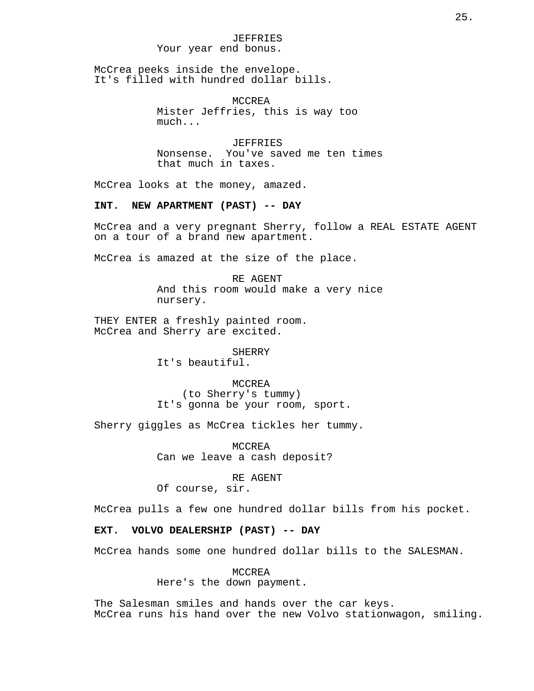## JEFFRIES Your year end bonus.

McCrea peeks inside the envelope. It's filled with hundred dollar bills.

> MCCREA Mister Jeffries, this is way too much...

JEFFRIES Nonsense. You've saved me ten times that much in taxes.

McCrea looks at the money, amazed.

#### **INT. NEW APARTMENT (PAST) -- DAY**

McCrea and a very pregnant Sherry, follow a REAL ESTATE AGENT on a tour of a brand new apartment.

McCrea is amazed at the size of the place.

RE AGENT And this room would make a very nice nursery.

THEY ENTER a freshly painted room. McCrea and Sherry are excited.

> **SHERRY** It's beautiful.

MCCREA (to Sherry's tummy) It's gonna be your room, sport.

Sherry giggles as McCrea tickles her tummy.

MCCREA Can we leave a cash deposit?

RE AGENT

Of course, sir.

McCrea pulls a few one hundred dollar bills from his pocket.

## **EXT. VOLVO DEALERSHIP (PAST) -- DAY**

McCrea hands some one hundred dollar bills to the SALESMAN.

MCCREA Here's the down payment.

The Salesman smiles and hands over the car keys. McCrea runs his hand over the new Volvo stationwagon, smiling.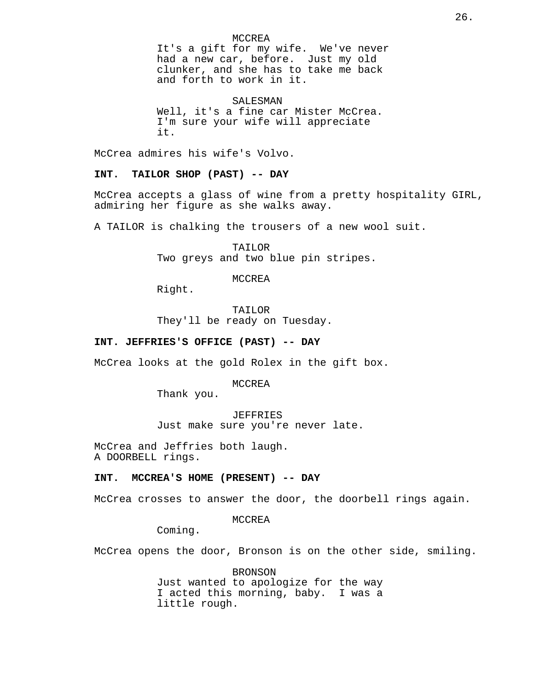## MCCREA

It's a gift for my wife. We've never had a new car, before. Just my old clunker, and she has to take me back and forth to work in it.

SALESMAN Well, it's a fine car Mister McCrea. I'm sure your wife will appreciate it.

McCrea admires his wife's Volvo.

**INT. TAILOR SHOP (PAST) -- DAY**

McCrea accepts a glass of wine from a pretty hospitality GIRL, admiring her figure as she walks away.

A TAILOR is chalking the trousers of a new wool suit.

TAILOR Two greys and two blue pin stripes.

MCCREA

Right.

TAILOR They'll be ready on Tuesday.

# **INT. JEFFRIES'S OFFICE (PAST) -- DAY**

McCrea looks at the gold Rolex in the gift box.

MCCREA

Thank you.

JEFFRIES Just make sure you're never late.

McCrea and Jeffries both laugh. A DOORBELL rings.

# **INT. MCCREA'S HOME (PRESENT) -- DAY**

McCrea crosses to answer the door, the doorbell rings again.

MCCREA

Coming.

McCrea opens the door, Bronson is on the other side, smiling.

BRONSON Just wanted to apologize for the way I acted this morning, baby. I was a little rough.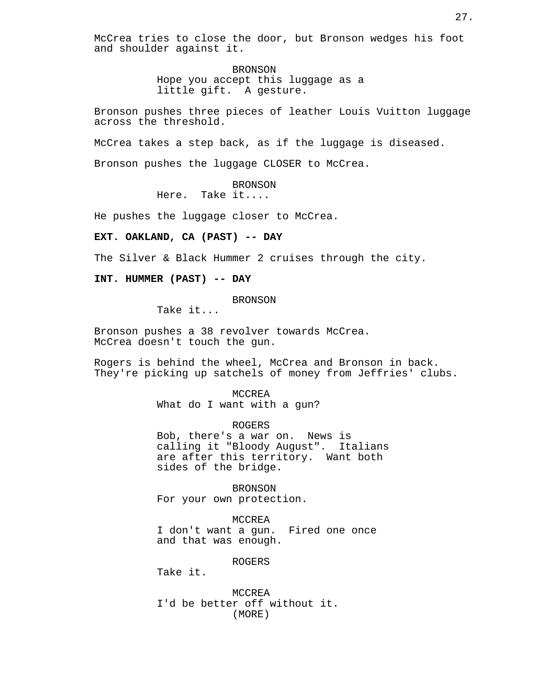McCrea tries to close the door, but Bronson wedges his foot and shoulder against it.

> BRONSON Hope you accept this luggage as a little gift. A gesture.

Bronson pushes three pieces of leather Louis Vuitton luggage across the threshold.

McCrea takes a step back, as if the luggage is diseased.

Bronson pushes the luggage CLOSER to McCrea.

**BRONSON** 

Here. Take it....

He pushes the luggage closer to McCrea.

**EXT. OAKLAND, CA (PAST) -- DAY**

The Silver & Black Hummer 2 cruises through the city.

**INT. HUMMER (PAST) -- DAY**

BRONSON

Take it...

Bronson pushes a 38 revolver towards McCrea. McCrea doesn't touch the gun.

Rogers is behind the wheel, McCrea and Bronson in back. They're picking up satchels of money from Jeffries' clubs.

> MCCREA What do I want with a gun?

ROGERS Bob, there's a war on. News is calling it "Bloody August". Italians are after this territory. Want both sides of the bridge.

BRONSON For your own protection.

MCCREA I don't want a gun. Fired one once and that was enough.

ROGERS

Take it.

MCCREA I'd be better off without it. (MORE)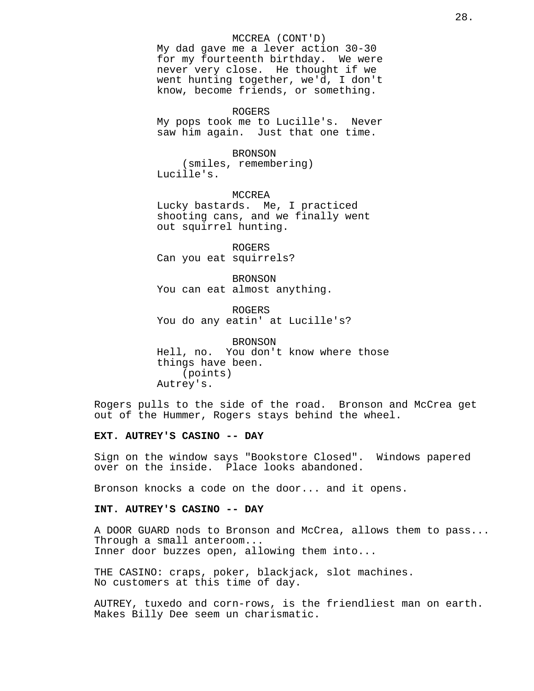#### MCCREA (CONT'D)

My dad gave me a lever action 30-30 for my fourteenth birthday. We were never very close. He thought if we went hunting together, we'd, I don't know, become friends, or something.

ROGERS My pops took me to Lucille's. Never saw him again. Just that one time.

# BRONSON

(smiles, remembering) Lucille's.

MCCREA Lucky bastards. Me, I practiced shooting cans, and we finally went out squirrel hunting.

ROGERS Can you eat squirrels?

BRONSON You can eat almost anything.

ROGERS You do any eatin' at Lucille's?

BRONSON Hell, no. You don't know where those things have been. (points) Autrey's.

Rogers pulls to the side of the road. Bronson and McCrea get out of the Hummer, Rogers stays behind the wheel.

#### **EXT. AUTREY'S CASINO -- DAY**

Sign on the window says "Bookstore Closed". Windows papered over on the inside. Place looks abandoned.

Bronson knocks a code on the door... and it opens.

# **INT. AUTREY'S CASINO -- DAY**

A DOOR GUARD nods to Bronson and McCrea, allows them to pass... Through a small anteroom... Inner door buzzes open, allowing them into...

THE CASINO: craps, poker, blackjack, slot machines. No customers at this time of day.

AUTREY, tuxedo and corn-rows, is the friendliest man on earth. Makes Billy Dee seem un charismatic.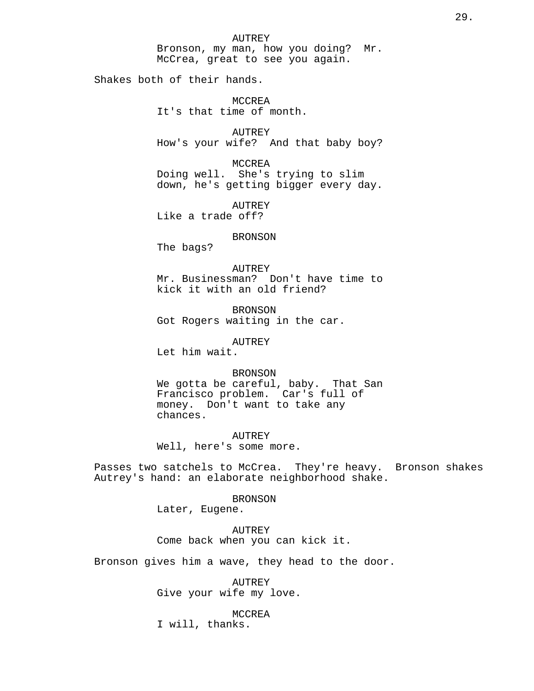AUTREY Bronson, my man, how you doing? Mr. McCrea, great to see you again.

Shakes both of their hands.

MCCREA It's that time of month.

AUTREY How's your wife? And that baby boy?

MCCREA Doing well. She's trying to slim down, he's getting bigger every day.

AUTREY Like a trade off?

#### BRONSON

The bags?

AUTREY Mr. Businessman? Don't have time to kick it with an old friend?

BRONSON Got Rogers waiting in the car.

AUTREY

Let him wait.

#### BRONSON

We gotta be careful, baby. That San Francisco problem. Car's full of money. Don't want to take any chances.

AUTREY Well, here's some more.

Passes two satchels to McCrea. They're heavy. Bronson shakes Autrey's hand: an elaborate neighborhood shake.

BRONSON

Later, Eugene.

AUTREY Come back when you can kick it.

Bronson gives him a wave, they head to the door.

AUTREY Give your wife my love.

MCCREA

I will, thanks.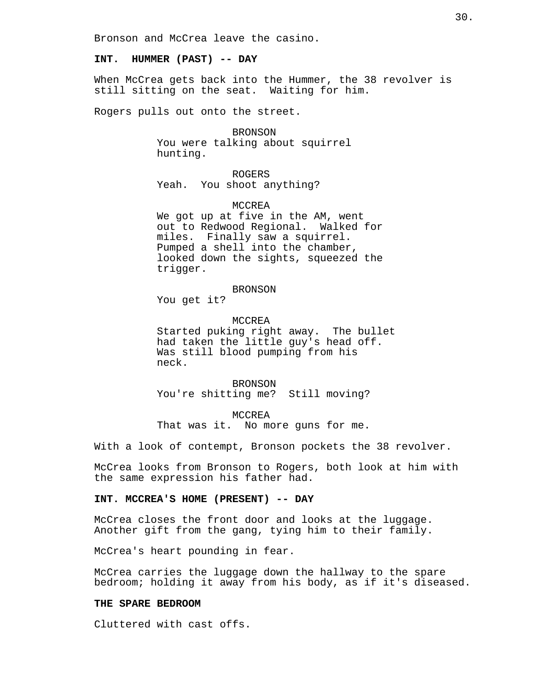Bronson and McCrea leave the casino.

## **INT. HUMMER (PAST) -- DAY**

When McCrea gets back into the Hummer, the 38 revolver is still sitting on the seat. Waiting for him.

Rogers pulls out onto the street.

BRONSON You were talking about squirrel hunting.

ROGERS Yeah. You shoot anything?

#### **MCCREA**

We got up at five in the AM, went out to Redwood Regional. Walked for miles. Finally saw a squirrel. Pumped a shell into the chamber, looked down the sights, squeezed the trigger.

#### BRONSON

You get it?

MCCREA Started puking right away. The bullet had taken the little guy's head off. Was still blood pumping from his neck.

BRONSON You're shitting me? Still moving?

MCCREA That was it. No more guns for me.

With a look of contempt, Bronson pockets the 38 revolver.

McCrea looks from Bronson to Rogers, both look at him with the same expression his father had.

# **INT. MCCREA'S HOME (PRESENT) -- DAY**

McCrea closes the front door and looks at the luggage. Another gift from the gang, tying him to their family.

McCrea's heart pounding in fear.

McCrea carries the luggage down the hallway to the spare bedroom; holding it away from his body, as if it's diseased.

# **THE SPARE BEDROOM**

Cluttered with cast offs.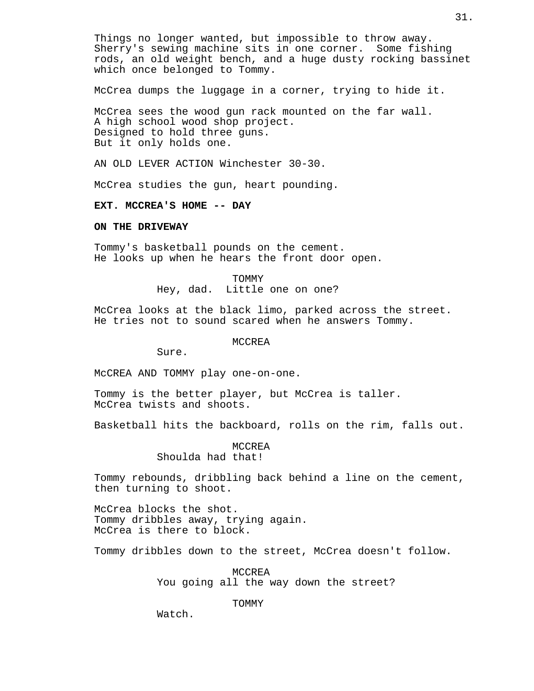Things no longer wanted, but impossible to throw away. Sherry's sewing machine sits in one corner. Some fishing rods, an old weight bench, and a huge dusty rocking bassinet which once belonged to Tommy.

McCrea dumps the luggage in a corner, trying to hide it.

McCrea sees the wood gun rack mounted on the far wall. A high school wood shop project. Designed to hold three guns. But it only holds one.

AN OLD LEVER ACTION Winchester 30-30.

McCrea studies the gun, heart pounding.

#### **EXT. MCCREA'S HOME -- DAY**

# **ON THE DRIVEWAY**

Tommy's basketball pounds on the cement. He looks up when he hears the front door open.

> TOMMY Hey, dad. Little one on one?

McCrea looks at the black limo, parked across the street. He tries not to sound scared when he answers Tommy.

**MCCREA** 

Sure.

McCREA AND TOMMY play one-on-one.

Tommy is the better player, but McCrea is taller. McCrea twists and shoots.

Basketball hits the backboard, rolls on the rim, falls out.

MCCREA Shoulda had that!

Tommy rebounds, dribbling back behind a line on the cement, then turning to shoot.

McCrea blocks the shot. Tommy dribbles away, trying again. McCrea is there to block.

Tommy dribbles down to the street, McCrea doesn't follow.

MCCREA You going all the way down the street?

TOMMY

Watch.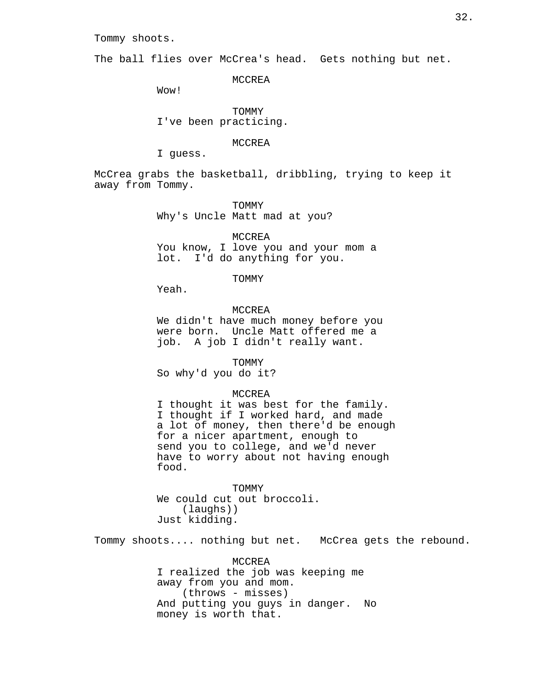# Tommy shoots.

The ball flies over McCrea's head. Gets nothing but net.

MCCREA

Wow!

TOMMY I've been practicing.

MCCREA

I guess.

McCrea grabs the basketball, dribbling, trying to keep it away from Tommy.

> TOMMY Why's Uncle Matt mad at you?

MCCREA You know, I love you and your mom a lot. I'd do anything for you.

TOMMY

Yeah.

MCCREA

We didn't have much money before you were born. Uncle Matt offered me a job. A job I didn't really want.

TOMMY So why'd you do it?

## MCCREA

I thought it was best for the family. I thought if I worked hard, and made a lot of money, then there'd be enough for a nicer apartment, enough to send you to college, and we'd never have to worry about not having enough food.

TOMMY We could cut out broccoli. (laughs)) Just kidding.

Tommy shoots.... nothing but net. McCrea gets the rebound.

MCCREA I realized the job was keeping me away from you and mom. (throws - misses) And putting you guys in danger. No money is worth that.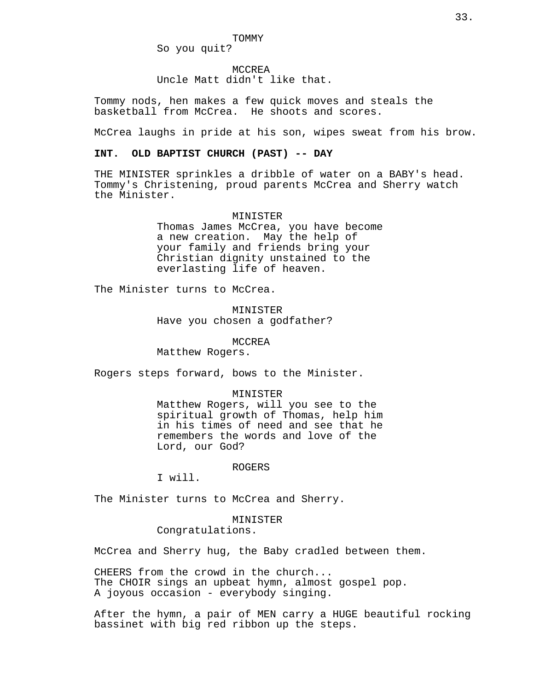So you quit?

MCCREA

Uncle Matt didn't like that.

Tommy nods, hen makes a few quick moves and steals the basketball from McCrea. He shoots and scores.

McCrea laughs in pride at his son, wipes sweat from his brow.

# **INT. OLD BAPTIST CHURCH (PAST) -- DAY**

THE MINISTER sprinkles a dribble of water on a BABY's head. Tommy's Christening, proud parents McCrea and Sherry watch the Minister.

## MINISTER

Thomas James McCrea, you have become a new creation. May the help of your family and friends bring your Christian dignity unstained to the everlasting life of heaven.

The Minister turns to McCrea.

MINISTER Have you chosen a godfather?

MCCREA

Matthew Rogers.

Rogers steps forward, bows to the Minister.

#### MINISTER

Matthew Rogers, will you see to the spiritual growth of Thomas, help him in his times of need and see that he remembers the words and love of the Lord, our God?

#### ROGERS

I will.

The Minister turns to McCrea and Sherry.

#### MINISTER

Congratulations.

McCrea and Sherry hug, the Baby cradled between them.

CHEERS from the crowd in the church... The CHOIR sings an upbeat hymn, almost gospel pop. A joyous occasion - everybody singing.

After the hymn, a pair of MEN carry a HUGE beautiful rocking bassinet with big red ribbon up the steps.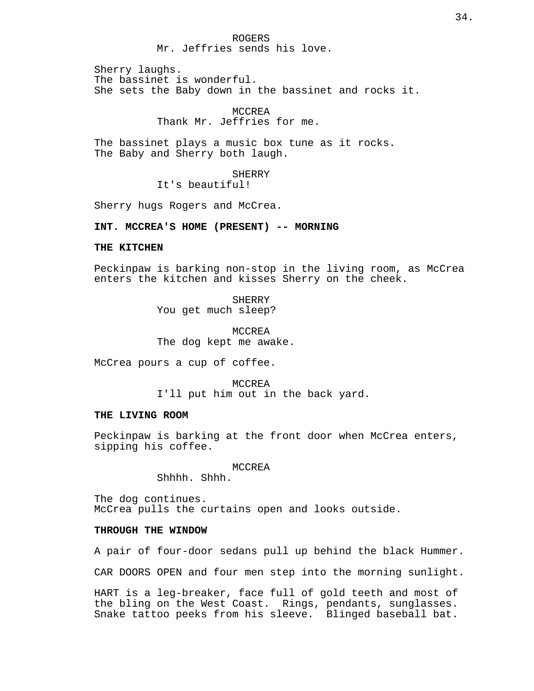## ROGERS Mr. Jeffries sends his love.

Sherry laughs. The bassinet is wonderful. She sets the Baby down in the bassinet and rocks it.

# MCCREA Thank Mr. Jeffries for me.

The bassinet plays a music box tune as it rocks. The Baby and Sherry both laugh.

> SHERRY It's beautiful!

Sherry hugs Rogers and McCrea.

**INT. MCCREA'S HOME (PRESENT) -- MORNING**

### **THE KITCHEN**

Peckinpaw is barking non-stop in the living room, as McCrea enters the kitchen and kisses Sherry on the cheek.

> **SHERRY** You get much sleep?

MCCREA The dog kept me awake.

McCrea pours a cup of coffee.

MCCREA I'll put him out in the back yard.

## **THE LIVING ROOM**

Peckinpaw is barking at the front door when McCrea enters, sipping his coffee.

MCCREA

Shhhh. Shhh.

The dog continues. McCrea pulls the curtains open and looks outside.

# **THROUGH THE WINDOW**

A pair of four-door sedans pull up behind the black Hummer.

CAR DOORS OPEN and four men step into the morning sunlight.

HART is a leg-breaker, face full of gold teeth and most of the bling on the West Coast. Rings, pendants, sunglasses. Snake tattoo peeks from his sleeve. Blinged baseball bat.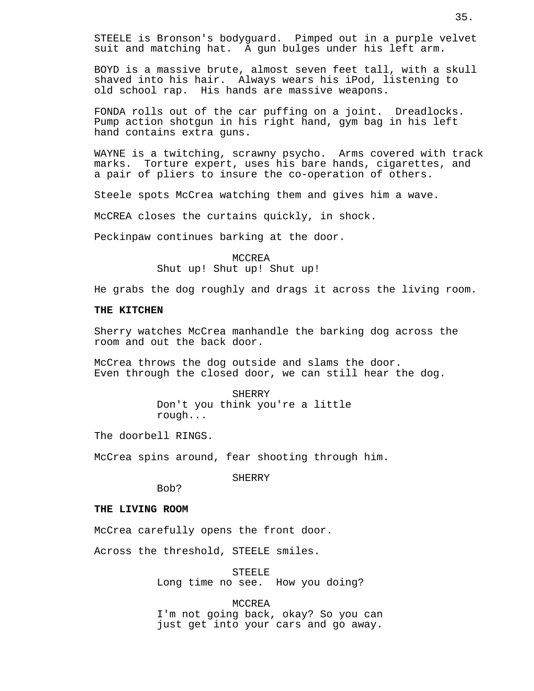STEELE is Bronson's bodyguard. Pimped out in a purple velvet suit and matching hat. A gun bulges under his left arm.

BOYD is a massive brute, almost seven feet tall, with a skull shaved into his hair. Always wears his iPod, listening to old school rap. His hands are massive weapons.

FONDA rolls out of the car puffing on a joint. Dreadlocks. Pump action shotgun in his right hand, gym bag in his left hand contains extra guns.

WAYNE is a twitching, scrawny psycho. Arms covered with track marks. Torture expert, uses his bare hands, cigarettes, and a pair of pliers to insure the co-operation of others.

Steele spots McCrea watching them and gives him a wave.

McCREA closes the curtains quickly, in shock.

Peckinpaw continues barking at the door.

MCCREA Shut up! Shut up! Shut up!

He grabs the dog roughly and drags it across the living room.

#### **THE KITCHEN**

Sherry watches McCrea manhandle the barking dog across the room and out the back door.

McCrea throws the dog outside and slams the door. Even through the closed door, we can still hear the dog.

> SHERRY Don't you think you're a little rough...

The doorbell RINGS.

McCrea spins around, fear shooting through him.

SHERRY

Bob?

## **THE LIVING ROOM**

McCrea carefully opens the front door.

Across the threshold, STEELE smiles.

STEELE Long time no see. How you doing?

MCCREA I'm not going back, okay? So you can just get into your cars and go away.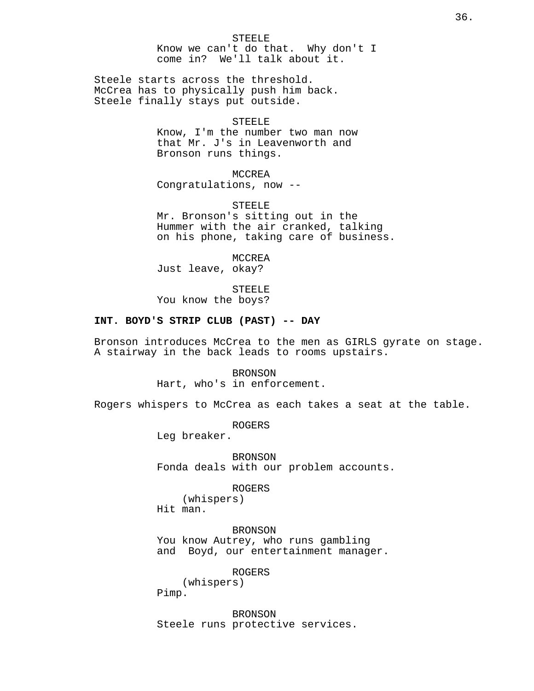Steele starts across the threshold. McCrea has to physically push him back. Steele finally stays put outside.

#### STEELE

Know, I'm the number two man now that Mr. J's in Leavenworth and Bronson runs things.

MCCREA Congratulations, now --

STEELE Mr. Bronson's sitting out in the Hummer with the air cranked, talking on his phone, taking care of business.

MCCREA Just leave, okay?

STEELE You know the boys?

## **INT. BOYD'S STRIP CLUB (PAST) -- DAY**

Bronson introduces McCrea to the men as GIRLS gyrate on stage. A stairway in the back leads to rooms upstairs.

> BRONSON Hart, who's in enforcement.

Rogers whispers to McCrea as each takes a seat at the table.

ROGERS

Leg breaker.

BRONSON Fonda deals with our problem accounts.

ROGERS

(whispers) Hit man.

BRONSON You know Autrey, who runs gambling and Boyd, our entertainment manager.

ROGERS

(whispers)

Pimp.

BRONSON Steele runs protective services.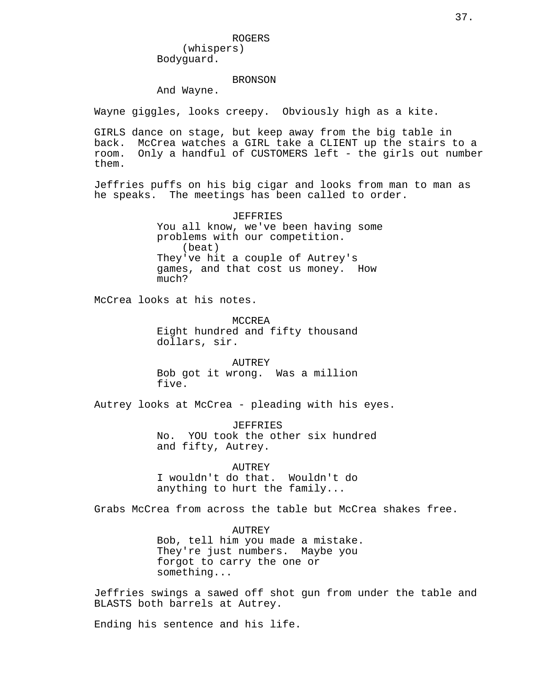Bodyguard.

### BRONSON

And Wayne.

Wayne giggles, looks creepy. Obviously high as a kite.

GIRLS dance on stage, but keep away from the big table in back. McCrea watches a GIRL take a CLIENT up the stairs to a room. Only a handful of CUSTOMERS left - the girls out number them.

Jeffries puffs on his big cigar and looks from man to man as he speaks. The meetings has been called to order.

> JEFFRIES You all know, we've been having some problems with our competition. (beat) They've hit a couple of Autrey's games, and that cost us money. How much?

McCrea looks at his notes.

MCCREA Eight hundred and fifty thousand dollars, sir.

AUTREY Bob got it wrong. Was a million five.

Autrey looks at McCrea - pleading with his eyes.

JEFFRIES No. YOU took the other six hundred and fifty, Autrey.

AUTREY I wouldn't do that. Wouldn't do anything to hurt the family...

Grabs McCrea from across the table but McCrea shakes free.

AUTREY Bob, tell him you made a mistake. They're just numbers. Maybe you forgot to carry the one or something...

Jeffries swings a sawed off shot gun from under the table and BLASTS both barrels at Autrey.

Ending his sentence and his life.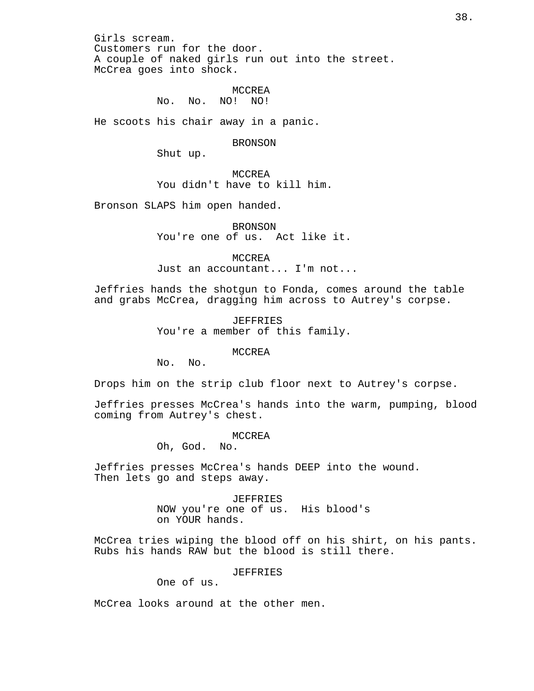Girls scream. Customers run for the door. A couple of naked girls run out into the street. McCrea goes into shock.

> MCCREA No. No. NO! NO!

He scoots his chair away in a panic.

BRONSON

Shut up.

MCCREA You didn't have to kill him.

Bronson SLAPS him open handed.

BRONSON You're one of us. Act like it.

MCCREA Just an accountant... I'm not...

Jeffries hands the shotgun to Fonda, comes around the table and grabs McCrea, dragging him across to Autrey's corpse.

> JEFFRIES You're a member of this family.

#### MCCREA

No. No.

Drops him on the strip club floor next to Autrey's corpse.

Jeffries presses McCrea's hands into the warm, pumping, blood coming from Autrey's chest.

MCCREA

Oh, God. No.

Jeffries presses McCrea's hands DEEP into the wound. Then lets go and steps away.

> JEFFRIES NOW you're one of us. His blood's on YOUR hands.

McCrea tries wiping the blood off on his shirt, on his pants. Rubs his hands RAW but the blood is still there.

JEFFRIES

One of us.

McCrea looks around at the other men.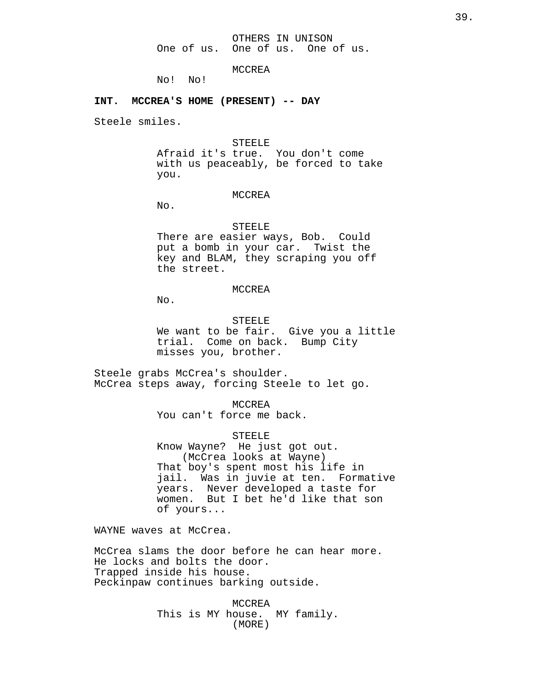MCCREA

No! No!

## **INT. MCCREA'S HOME (PRESENT) -- DAY**

Steele smiles.

**STEELE** Afraid it's true. You don't come with us peaceably, be forced to take you.

#### MCCREA

No.

STEELE There are easier ways, Bob. Could put a bomb in your car. Twist the key and BLAM, they scraping you off the street.

## MCCREA

 $N<sub>0</sub>$ .

STEELE We want to be fair. Give you a little trial. Come on back. Bump City misses you, brother.

Steele grabs McCrea's shoulder. McCrea steps away, forcing Steele to let go.

> MCCREA You can't force me back.

> > **STEELE**

Know Wayne? He just got out. (McCrea looks at Wayne) That boy's spent most his life in jail. Was in juvie at ten. Formative years. Never developed a taste for women. But I bet he'd like that son of yours...

WAYNE waves at McCrea.

McCrea slams the door before he can hear more. He locks and bolts the door. Trapped inside his house. Peckinpaw continues barking outside.

> MCCREA This is MY house. MY family. (MORE)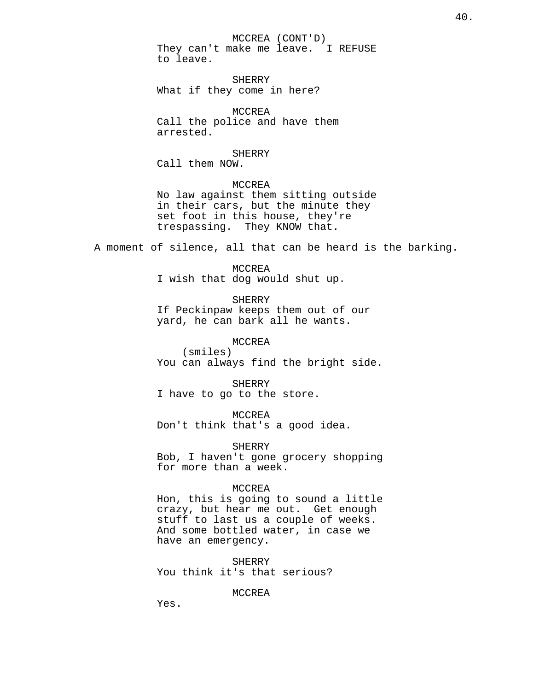MCCREA (CONT'D) They can't make me leave. I REFUSE to leave.

SHERRY What if they come in here?

MCCREA Call the police and have them arrested.

### SHERRY

Call them NOW.

## MCCREA No law against them sitting outside in their cars, but the minute they set foot in this house, they're trespassing. They KNOW that.

A moment of silence, all that can be heard is the barking.

MCCREA I wish that dog would shut up.

SHERRY If Peckinpaw keeps them out of our yard, he can bark all he wants.

MCCREA (smiles) You can always find the bright side.

SHERRY I have to go to the store.

MCCREA Don't think that's a good idea.

SHERRY

Bob, I haven't gone grocery shopping for more than a week.

## MCCREA

Hon, this is going to sound a little crazy, but hear me out. Get enough stuff to last us a couple of weeks. And some bottled water, in case we have an emergency.

SHERRY You think it's that serious?

MCCREA

Yes.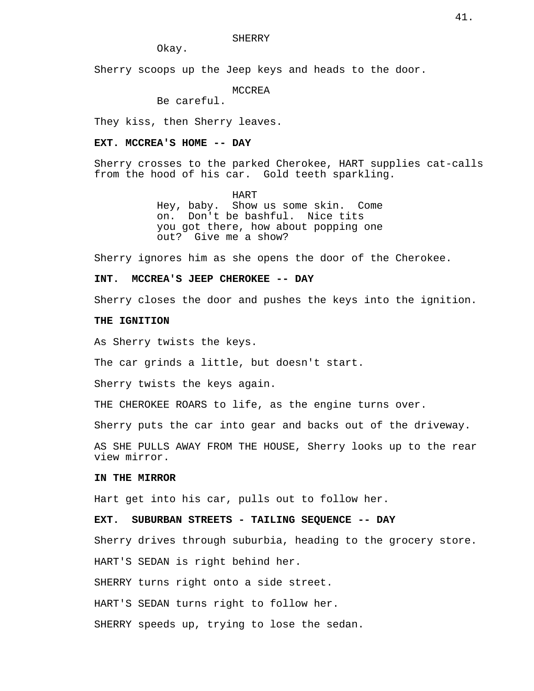SHERRY

Okay.

Sherry scoops up the Jeep keys and heads to the door.

MCCREA

Be careful.

They kiss, then Sherry leaves.

### **EXT. MCCREA'S HOME -- DAY**

Sherry crosses to the parked Cherokee, HART supplies cat-calls from the hood of his car. Gold teeth sparkling.

> HART Hey, baby. Show us some skin. Come on. Don't be bashful. Nice tits you got there, how about popping one out? Give me a show?

Sherry ignores him as she opens the door of the Cherokee.

## **INT. MCCREA'S JEEP CHEROKEE -- DAY**

Sherry closes the door and pushes the keys into the ignition.

## **THE IGNITION**

As Sherry twists the keys.

The car grinds a little, but doesn't start.

Sherry twists the keys again.

THE CHEROKEE ROARS to life, as the engine turns over.

Sherry puts the car into gear and backs out of the driveway.

AS SHE PULLS AWAY FROM THE HOUSE, Sherry looks up to the rear view mirror.

## **IN THE MIRROR**

Hart get into his car, pulls out to follow her.

## **EXT. SUBURBAN STREETS - TAILING SEQUENCE -- DAY**

Sherry drives through suburbia, heading to the grocery store.

HART'S SEDAN is right behind her.

SHERRY turns right onto a side street.

HART'S SEDAN turns right to follow her.

SHERRY speeds up, trying to lose the sedan.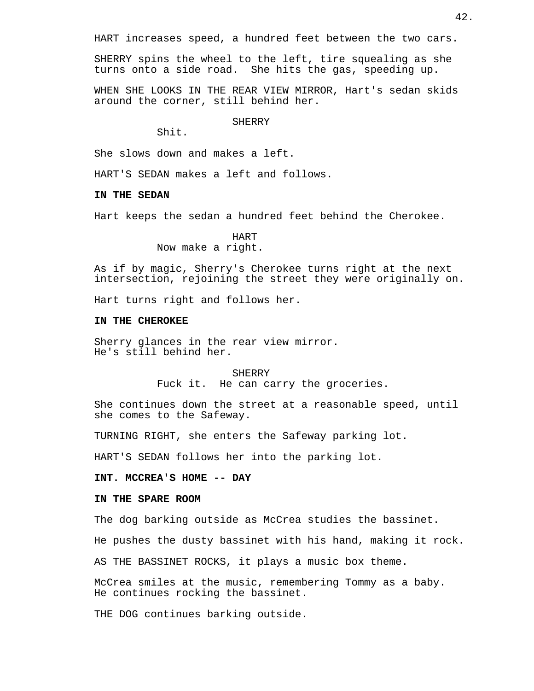HART increases speed, a hundred feet between the two cars.

SHERRY spins the wheel to the left, tire squealing as she turns onto a side road. She hits the gas, speeding up.

WHEN SHE LOOKS IN THE REAR VIEW MIRROR, Hart's sedan skids around the corner, still behind her.

**SHERRY** 

Shit.

She slows down and makes a left.

HART'S SEDAN makes a left and follows.

## **IN THE SEDAN**

Hart keeps the sedan a hundred feet behind the Cherokee.

HART Now make a right.

As if by magic, Sherry's Cherokee turns right at the next intersection, rejoining the street they were originally on.

Hart turns right and follows her.

## **IN THE CHEROKEE**

Sherry glances in the rear view mirror. He's still behind her.

> **SHERRY** Fuck it. He can carry the groceries.

She continues down the street at a reasonable speed, until she comes to the Safeway.

TURNING RIGHT, she enters the Safeway parking lot.

HART'S SEDAN follows her into the parking lot.

## **INT. MCCREA'S HOME -- DAY**

## **IN THE SPARE ROOM**

The dog barking outside as McCrea studies the bassinet.

He pushes the dusty bassinet with his hand, making it rock.

AS THE BASSINET ROCKS, it plays a music box theme.

McCrea smiles at the music, remembering Tommy as a baby. He continues rocking the bassinet.

THE DOG continues barking outside.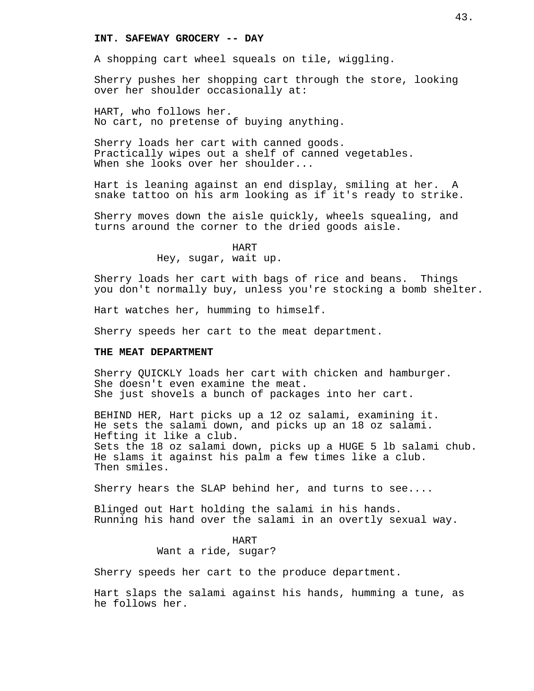## **INT. SAFEWAY GROCERY -- DAY**

A shopping cart wheel squeals on tile, wiggling.

Sherry pushes her shopping cart through the store, looking over her shoulder occasionally at:

HART, who follows her. No cart, no pretense of buying anything.

Sherry loads her cart with canned goods. Practically wipes out a shelf of canned vegetables. When she looks over her shoulder...

Hart is leaning against an end display, smiling at her. A snake tattoo on his arm looking as if it's ready to strike.

Sherry moves down the aisle quickly, wheels squealing, and turns around the corner to the dried goods aisle.

## HART Hey, sugar, wait up.

Sherry loads her cart with bags of rice and beans. Things you don't normally buy, unless you're stocking a bomb shelter.

Hart watches her, humming to himself.

Sherry speeds her cart to the meat department.

### **THE MEAT DEPARTMENT**

Sherry QUICKLY loads her cart with chicken and hamburger. She doesn't even examine the meat. She just shovels a bunch of packages into her cart.

BEHIND HER, Hart picks up a 12 oz salami, examining it. He sets the salami down, and picks up an 18 oz salami. Hefting it like a club. Sets the 18 oz salami down, picks up a HUGE 5 lb salami chub. He slams it against his palm a few times like a club. Then smiles.

Sherry hears the SLAP behind her, and turns to see....

Blinged out Hart holding the salami in his hands. Running his hand over the salami in an overtly sexual way.

## HART Want a ride, sugar?

Sherry speeds her cart to the produce department.

Hart slaps the salami against his hands, humming a tune, as he follows her.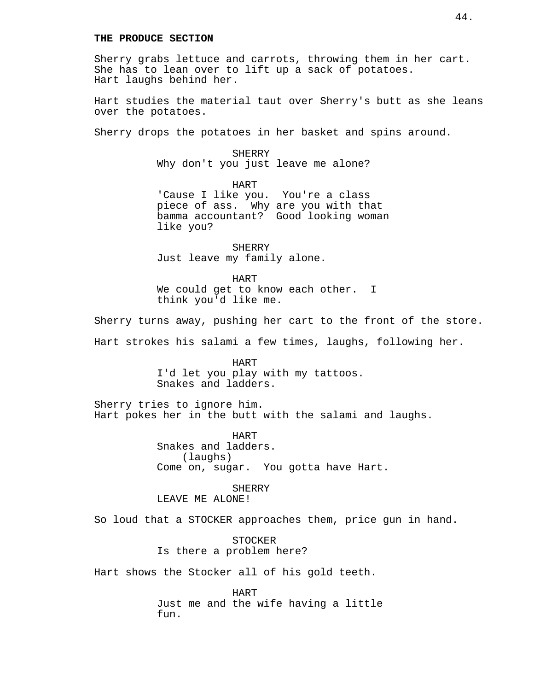## **THE PRODUCE SECTION**

Sherry grabs lettuce and carrots, throwing them in her cart. She has to lean over to lift up a sack of potatoes. Hart laughs behind her.

Hart studies the material taut over Sherry's butt as she leans over the potatoes.

Sherry drops the potatoes in her basket and spins around.

SHERRY Why don't you just leave me alone?

HART 'Cause I like you. You're a class piece of ass. Why are you with that bamma accountant? Good looking woman like you?

SHERRY Just leave my family alone.

HART We could get to know each other. I think you'd like me.

Sherry turns away, pushing her cart to the front of the store.

Hart strokes his salami a few times, laughs, following her.

HART I'd let you play with my tattoos. Snakes and ladders.

Sherry tries to ignore him. Hart pokes her in the butt with the salami and laughs.

> HART Snakes and ladders. (laughs) Come on, sugar. You gotta have Hart.

SHERRY LEAVE ME ALONE!

So loud that a STOCKER approaches them, price gun in hand.

**STOCKER** Is there a problem here?

Hart shows the Stocker all of his gold teeth.

HART Just me and the wife having a little fun.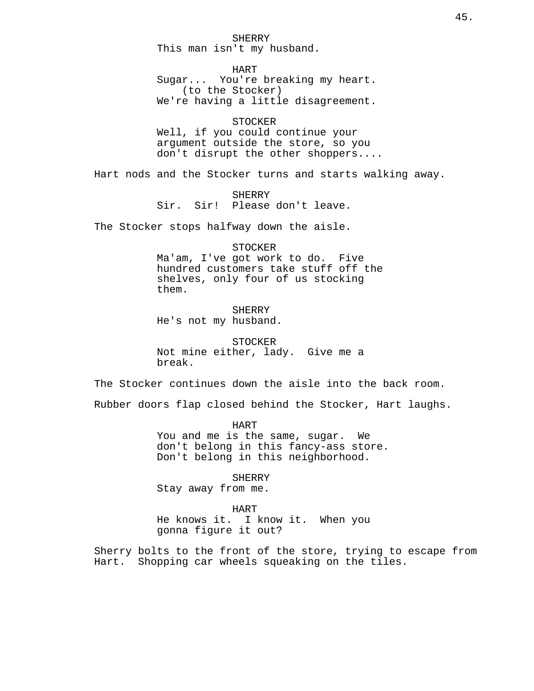SHERRY This man isn't my husband.

HART Sugar... You're breaking my heart. (to the Stocker) We're having a little disagreement.

**STOCKER** Well, if you could continue your argument outside the store, so you don't disrupt the other shoppers....

Hart nods and the Stocker turns and starts walking away.

SHERRY Sir. Sir! Please don't leave.

The Stocker stops halfway down the aisle.

STOCKER Ma'am, I've got work to do. Five hundred customers take stuff off the shelves, only four of us stocking them.

SHERRY He's not my husband.

STOCKER Not mine either, lady. Give me a break.

The Stocker continues down the aisle into the back room.

Rubber doors flap closed behind the Stocker, Hart laughs.

HART You and me is the same, sugar. We don't belong in this fancy-ass store. Don't belong in this neighborhood.

SHERRY

Stay away from me.

HART

He knows it. I know it. When you gonna figure it out?

Sherry bolts to the front of the store, trying to escape from Hart. Shopping car wheels squeaking on the tiles.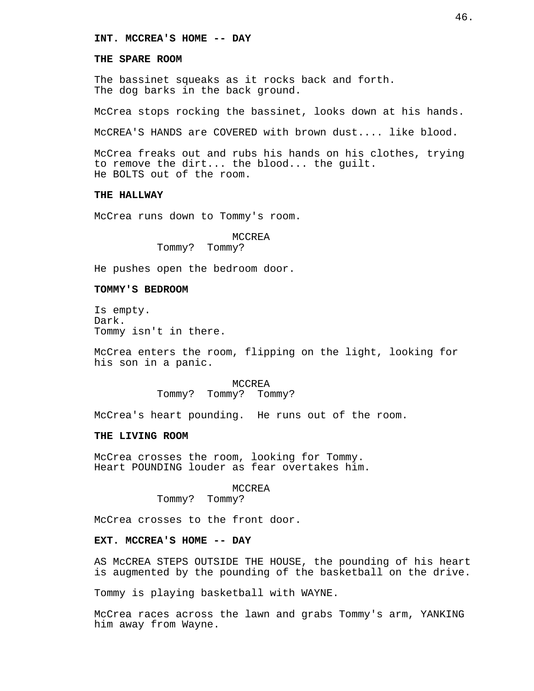## **INT. MCCREA'S HOME -- DAY**

### **THE SPARE ROOM**

The bassinet squeaks as it rocks back and forth. The dog barks in the back ground.

McCrea stops rocking the bassinet, looks down at his hands.

McCREA'S HANDS are COVERED with brown dust.... like blood.

McCrea freaks out and rubs his hands on his clothes, trying to remove the dirt... the blood... the guilt. He BOLTS out of the room.

## **THE HALLWAY**

McCrea runs down to Tommy's room.

## MCCREA

Tommy? Tommy?

He pushes open the bedroom door.

### **TOMMY'S BEDROOM**

Is empty. Dark. Tommy isn't in there.

McCrea enters the room, flipping on the light, looking for his son in a panic.

> MCCREA Tommy? Tommy? Tommy?

McCrea's heart pounding. He runs out of the room.

### **THE LIVING ROOM**

McCrea crosses the room, looking for Tommy. Heart POUNDING louder as fear overtakes him.

#### MCCREA

Tommy? Tommy?

McCrea crosses to the front door.

#### **EXT. MCCREA'S HOME -- DAY**

AS McCREA STEPS OUTSIDE THE HOUSE, the pounding of his heart is augmented by the pounding of the basketball on the drive.

Tommy is playing basketball with WAYNE.

McCrea races across the lawn and grabs Tommy's arm, YANKING him away from Wayne.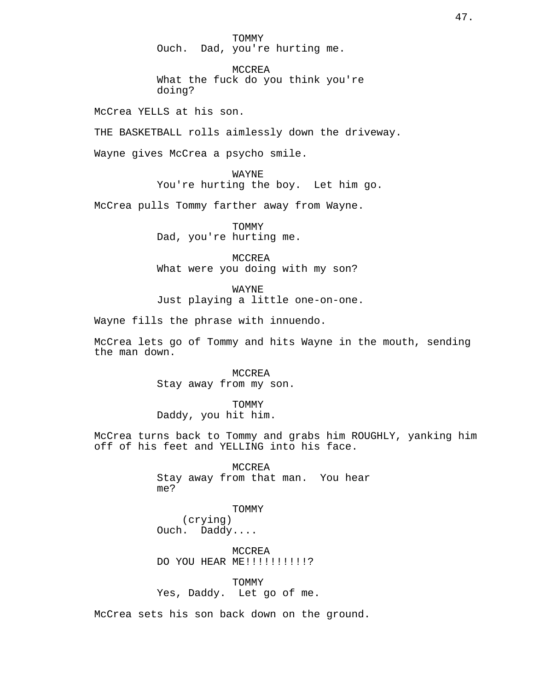TOMMY Ouch. Dad, you're hurting me.

MCCREA What the fuck do you think you're doing?

McCrea YELLS at his son.

THE BASKETBALL rolls aimlessly down the driveway.

Wayne gives McCrea a psycho smile.

WAYNE You're hurting the boy. Let him go.

McCrea pulls Tommy farther away from Wayne.

TOMMY Dad, you're hurting me.

MCCREA What were you doing with my son?

WAYNE Just playing a little one-on-one.

Wayne fills the phrase with innuendo.

McCrea lets go of Tommy and hits Wayne in the mouth, sending the man down.

> MCCREA Stay away from my son.

TOMMY Daddy, you hit him.

McCrea turns back to Tommy and grabs him ROUGHLY, yanking him off of his feet and YELLING into his face.

> MCCREA Stay away from that man. You hear me?

TOMMY (crying) Ouch. Daddy....

MCCREA DO YOU HEAR ME!!!!!!!!!!?

TOMMY Yes, Daddy. Let go of me.

McCrea sets his son back down on the ground.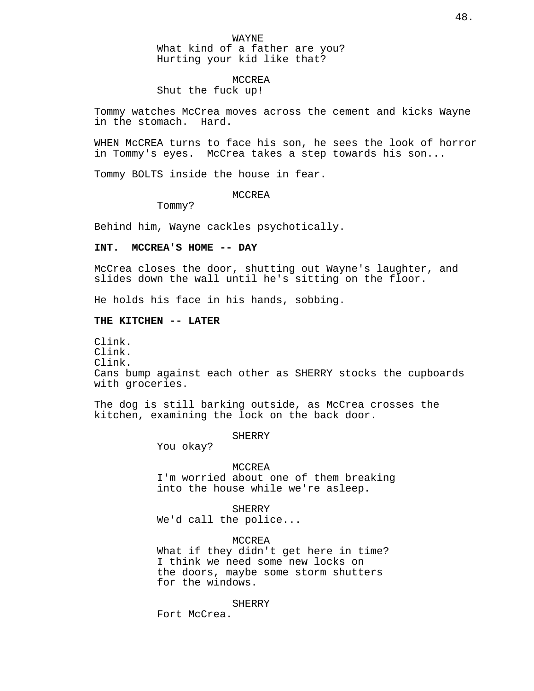## MCCREA

Shut the fuck up!

Tommy watches McCrea moves across the cement and kicks Wayne in the stomach. Hard.

WHEN McCREA turns to face his son, he sees the look of horror in Tommy's eyes. McCrea takes a step towards his son...

Tommy BOLTS inside the house in fear.

### MCCREA

Tommy?

Behind him, Wayne cackles psychotically.

## **INT. MCCREA'S HOME -- DAY**

McCrea closes the door, shutting out Wayne's laughter, and slides down the wall until he's sitting on the floor.

He holds his face in his hands, sobbing.

### **THE KITCHEN -- LATER**

Clink. Clink. Clink. Cans bump against each other as SHERRY stocks the cupboards with groceries.

The dog is still barking outside, as McCrea crosses the kitchen, examining the lock on the back door.

**SHERRY** 

You okay?

#### MCCREA

I'm worried about one of them breaking into the house while we're asleep.

**SHERRY** We'd call the police...

MCCREA

What if they didn't get here in time? I think we need some new locks on the doors, maybe some storm shutters for the windows.

**SHERRY** 

Fort McCrea.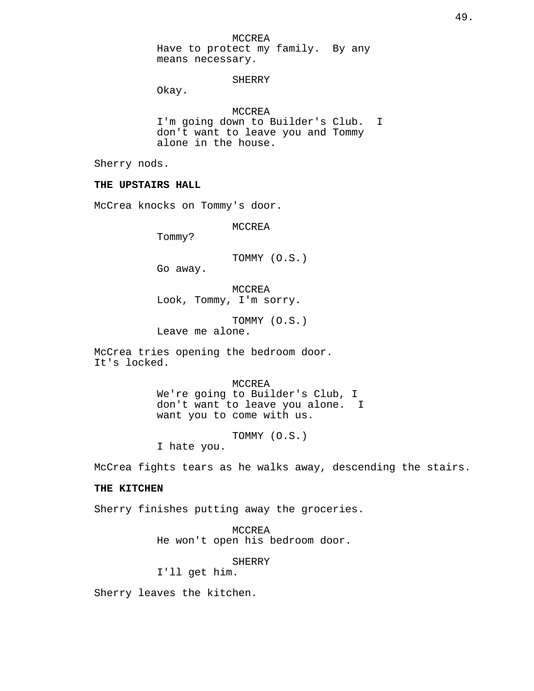MCCREA

Have to protect my family. By any means necessary.

SHERRY

Okay.

MCCREA I'm going down to Builder's Club. I don't want to leave you and Tommy alone in the house.

Sherry nods.

## **THE UPSTAIRS HALL**

McCrea knocks on Tommy's door.

MCCREA

Tommy?

TOMMY (O.S.)

Go away.

MCCREA Look, Tommy, I'm sorry.

TOMMY (O.S.) Leave me alone.

McCrea tries opening the bedroom door. It's locked.

> MCCREA We're going to Builder's Club, I don't want to leave you alone. I want you to come with us.

> > TOMMY (O.S.)

I hate you.

McCrea fights tears as he walks away, descending the stairs.

## **THE KITCHEN**

Sherry finishes putting away the groceries.

MCCREA He won't open his bedroom door.

SHERRY

I'll get him.

Sherry leaves the kitchen.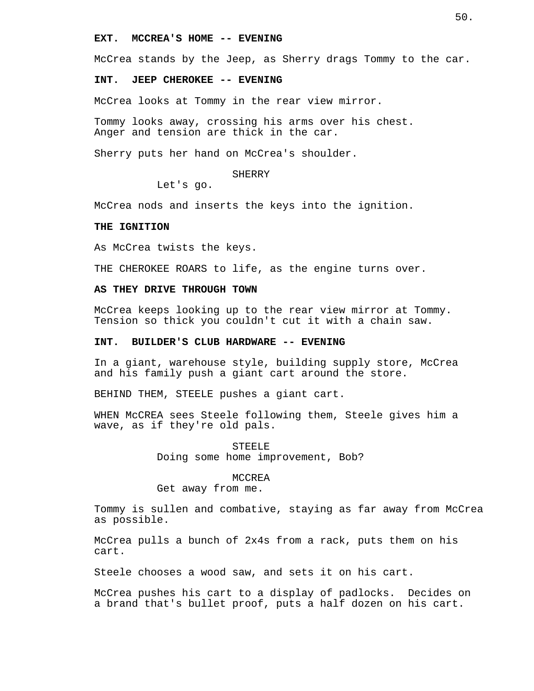### **EXT. MCCREA'S HOME -- EVENING**

McCrea stands by the Jeep, as Sherry drags Tommy to the car.

### **INT. JEEP CHEROKEE -- EVENING**

McCrea looks at Tommy in the rear view mirror.

Tommy looks away, crossing his arms over his chest. Anger and tension are thick in the car.

Sherry puts her hand on McCrea's shoulder.

#### SHERRY

Let's go.

McCrea nods and inserts the keys into the ignition.

## **THE IGNITION**

As McCrea twists the keys.

THE CHEROKEE ROARS to life, as the engine turns over.

## **AS THEY DRIVE THROUGH TOWN**

McCrea keeps looking up to the rear view mirror at Tommy. Tension so thick you couldn't cut it with a chain saw.

## **INT. BUILDER'S CLUB HARDWARE -- EVENING**

In a giant, warehouse style, building supply store, McCrea and his family push a giant cart around the store.

BEHIND THEM, STEELE pushes a giant cart.

WHEN McCREA sees Steele following them, Steele gives him a wave, as if they're old pals.

> **STEELE** Doing some home improvement, Bob?

#### MCCREA

Get away from me.

Tommy is sullen and combative, staying as far away from McCrea as possible.

McCrea pulls a bunch of 2x4s from a rack, puts them on his cart.

Steele chooses a wood saw, and sets it on his cart.

McCrea pushes his cart to a display of padlocks. Decides on a brand that's bullet proof, puts a half dozen on his cart.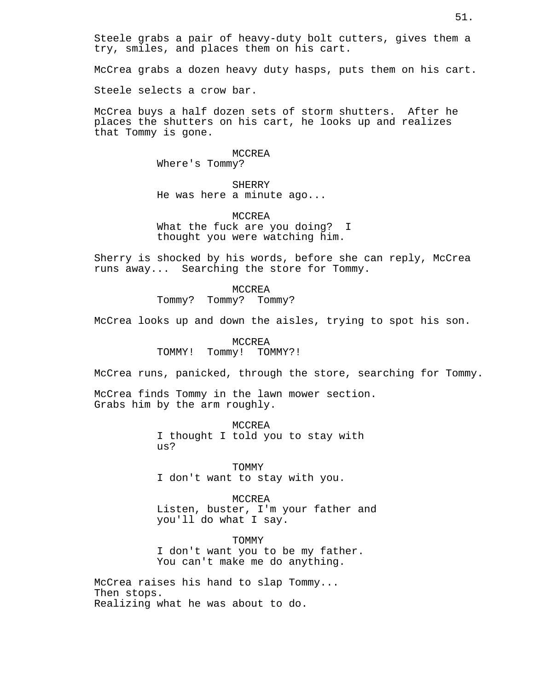Steele grabs a pair of heavy-duty bolt cutters, gives them a try, smiles, and places them on his cart.

McCrea grabs a dozen heavy duty hasps, puts them on his cart.

Steele selects a crow bar.

McCrea buys a half dozen sets of storm shutters. After he places the shutters on his cart, he looks up and realizes that Tommy is gone.

## MCCREA

Where's Tommy?

#### SHERRY

He was here a minute ago...

## MCCREA What the fuck are you doing? I thought you were watching him.

Sherry is shocked by his words, before she can reply, McCrea runs away... Searching the store for Tommy.

> MCCREA Tommy? Tommy? Tommy?

McCrea looks up and down the aisles, trying to spot his son.

MCCREA TOMMY! Tommy! TOMMY?!

McCrea runs, panicked, through the store, searching for Tommy.

McCrea finds Tommy in the lawn mower section. Grabs him by the arm roughly.

> MCCREA I thought I told you to stay with us?

> > TOMMY

I don't want to stay with you.

### MCCREA

Listen, buster, I'm your father and you'll do what I say.

### TOMMY

I don't want you to be my father. You can't make me do anything.

McCrea raises his hand to slap Tommy... Then stops. Realizing what he was about to do.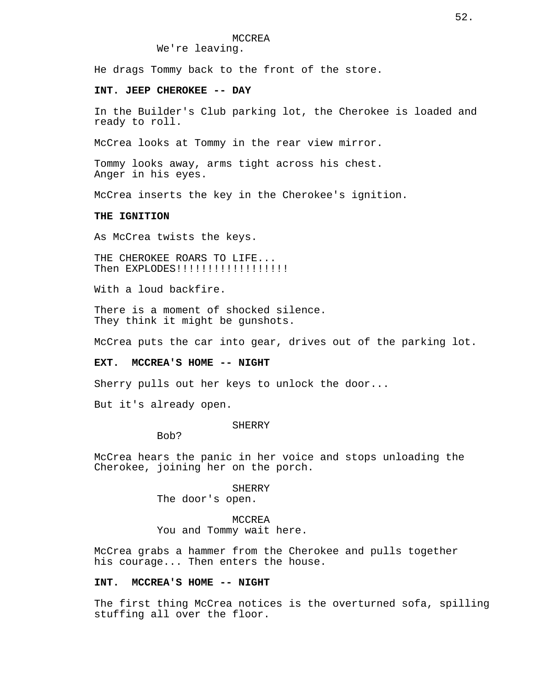We're leaving.

He drags Tommy back to the front of the store.

## **INT. JEEP CHEROKEE -- DAY**

In the Builder's Club parking lot, the Cherokee is loaded and ready to roll.

McCrea looks at Tommy in the rear view mirror.

Tommy looks away, arms tight across his chest. Anger in his eyes.

McCrea inserts the key in the Cherokee's ignition.

## **THE IGNITION**

As McCrea twists the keys.

THE CHEROKEE ROARS TO LIFE... Then EXPLODES!!!!!!!!!!!!!!!!!!

With a loud backfire.

There is a moment of shocked silence. They think it might be gunshots.

McCrea puts the car into gear, drives out of the parking lot.

### **EXT. MCCREA'S HOME -- NIGHT**

Sherry pulls out her keys to unlock the door...

But it's already open.

#### SHERRY

Bob?

McCrea hears the panic in her voice and stops unloading the Cherokee, joining her on the porch.

> **SHERRY** The door's open.

MCCREA You and Tommy wait here.

McCrea grabs a hammer from the Cherokee and pulls together his courage... Then enters the house.

## **INT. MCCREA'S HOME -- NIGHT**

The first thing McCrea notices is the overturned sofa, spilling stuffing all over the floor.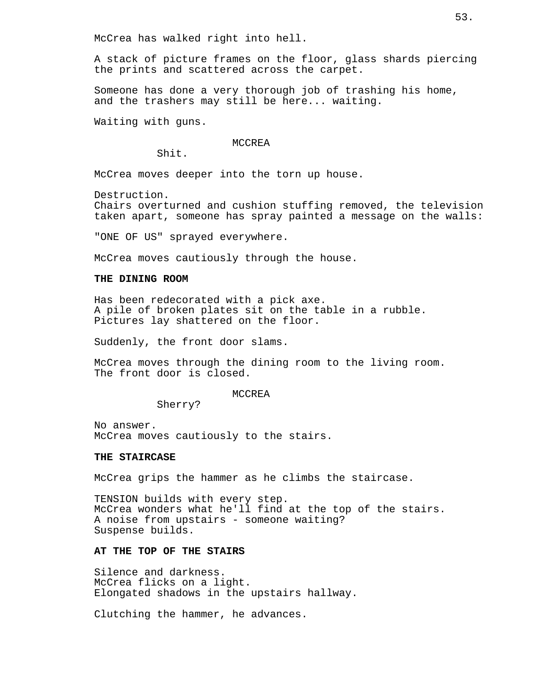McCrea has walked right into hell.

A stack of picture frames on the floor, glass shards piercing the prints and scattered across the carpet.

Someone has done a very thorough job of trashing his home, and the trashers may still be here... waiting.

Waiting with guns.

## MCCREA

Shit.

McCrea moves deeper into the torn up house.

Destruction.

Chairs overturned and cushion stuffing removed, the television taken apart, someone has spray painted a message on the walls:

"ONE OF US" sprayed everywhere.

McCrea moves cautiously through the house.

## **THE DINING ROOM**

Has been redecorated with a pick axe. A pile of broken plates sit on the table in a rubble. Pictures lay shattered on the floor.

Suddenly, the front door slams.

McCrea moves through the dining room to the living room. The front door is closed.

## MCCREA

Sherry?

No answer. McCrea moves cautiously to the stairs.

## **THE STAIRCASE**

McCrea grips the hammer as he climbs the staircase.

TENSION builds with every step. McCrea wonders what he'll find at the top of the stairs. A noise from upstairs - someone waiting? Suspense builds.

### **AT THE TOP OF THE STAIRS**

Silence and darkness. McCrea flicks on a light. Elongated shadows in the upstairs hallway.

Clutching the hammer, he advances.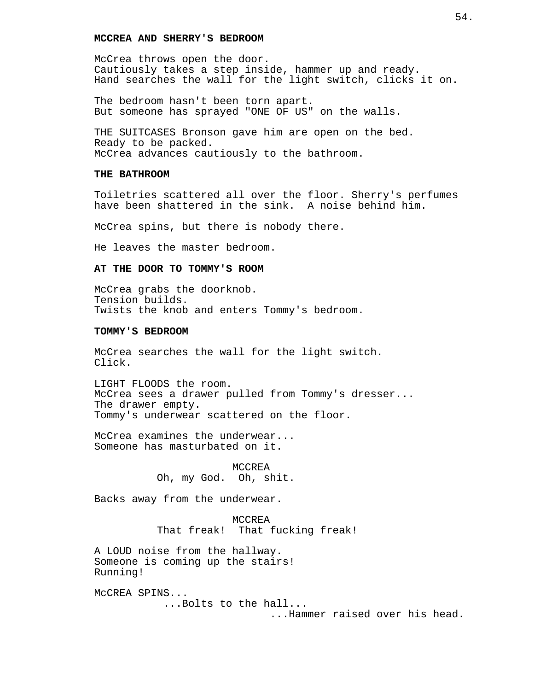## **MCCREA AND SHERRY'S BEDROOM**

McCrea throws open the door. Cautiously takes a step inside, hammer up and ready. Hand searches the wall for the light switch, clicks it on.

The bedroom hasn't been torn apart. But someone has sprayed "ONE OF US" on the walls.

THE SUITCASES Bronson gave him are open on the bed. Ready to be packed. McCrea advances cautiously to the bathroom.

## **THE BATHROOM**

Toiletries scattered all over the floor. Sherry's perfumes have been shattered in the sink. A noise behind him.

McCrea spins, but there is nobody there.

He leaves the master bedroom.

## **AT THE DOOR TO TOMMY'S ROOM**

McCrea grabs the doorknob. Tension builds. Twists the knob and enters Tommy's bedroom.

## **TOMMY'S BEDROOM**

McCrea searches the wall for the light switch. Click.

LIGHT FLOODS the room. McCrea sees a drawer pulled from Tommy's dresser... The drawer empty. Tommy's underwear scattered on the floor.

McCrea examines the underwear... Someone has masturbated on it.

> MCCREA Oh, my God. Oh, shit.

Backs away from the underwear.

MCCREA That freak! That fucking freak!

A LOUD noise from the hallway. Someone is coming up the stairs! Running!

McCREA SPINS... ...Bolts to the hall...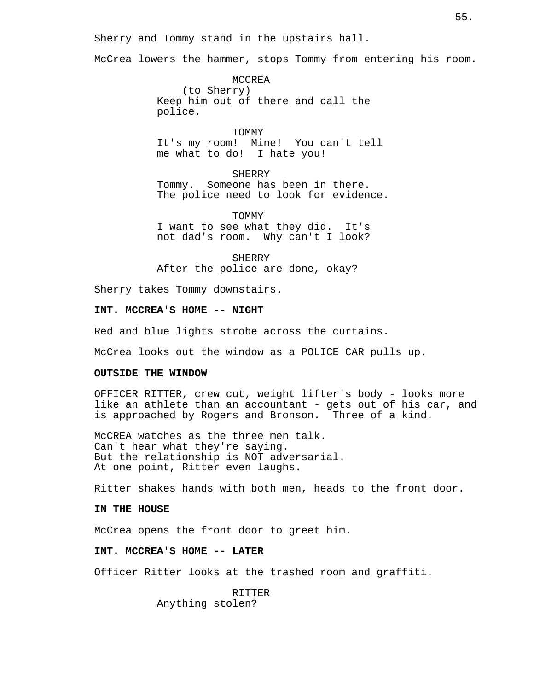Sherry and Tommy stand in the upstairs hall.

McCrea lowers the hammer, stops Tommy from entering his room.

MCCREA (to Sherry) Keep him out of there and call the police.

TOMMY It's my room! Mine! You can't tell me what to do! I hate you!

SHERRY Tommy. Someone has been in there. The police need to look for evidence.

TOMMY I want to see what they did. It's not dad's room. Why can't I look?

SHERRY After the police are done, okay?

Sherry takes Tommy downstairs.

**INT. MCCREA'S HOME -- NIGHT**

Red and blue lights strobe across the curtains.

McCrea looks out the window as a POLICE CAR pulls up.

### **OUTSIDE THE WINDOW**

OFFICER RITTER, crew cut, weight lifter's body - looks more like an athlete than an accountant - gets out of his car, and is approached by Rogers and Bronson. Three of a kind.

McCREA watches as the three men talk. Can't hear what they're saying. But the relationship is NOT adversarial. At one point, Ritter even laughs.

Ritter shakes hands with both men, heads to the front door.

### **IN THE HOUSE**

McCrea opens the front door to greet him.

## **INT. MCCREA'S HOME -- LATER**

Officer Ritter looks at the trashed room and graffiti.

RITTER Anything stolen?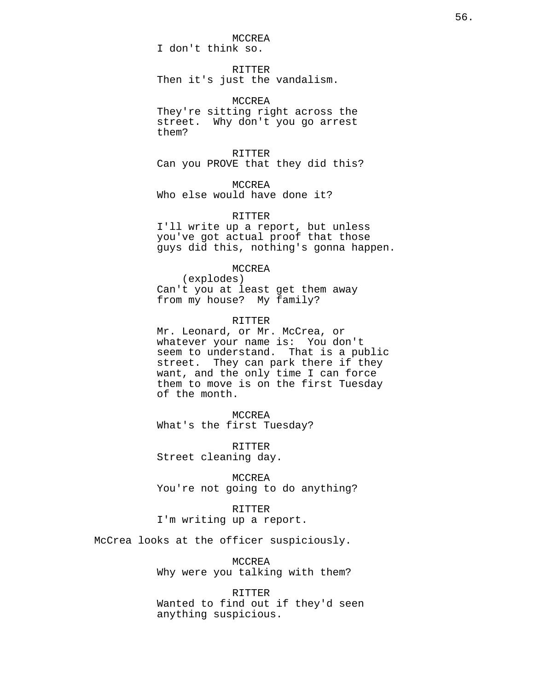# MCCREA

I don't think so.

## RITTER

Then it's just the vandalism.

MCCREA They're sitting right across the street. Why don't you go arrest them?

## RITTER

Can you PROVE that they did this?

MCCREA Who else would have done it?

## RITTER

I'll write up a report, but unless you've got actual proof that those guys did this, nothing's gonna happen.

## MCCREA

(explodes) Can't you at least get them away from my house? My family?

### RITTER

Mr. Leonard, or Mr. McCrea, or whatever your name is: You don't seem to understand. That is a public street. They can park there if they want, and the only time I can force them to move is on the first Tuesday of the month.

## MCCREA

What's the first Tuesday?

RITTER Street cleaning day.

MCCREA You're not going to do anything?

RITTER I'm writing up a report.

McCrea looks at the officer suspiciously.

MCCREA Why were you talking with them?

RITTER Wanted to find out if they'd seen anything suspicious.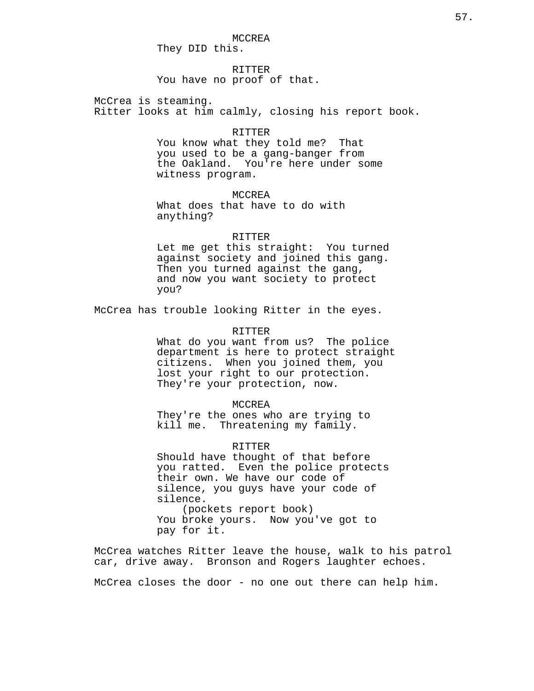MCCREA They DID this.

RITTER You have no proof of that.

McCrea is steaming. Ritter looks at him calmly, closing his report book.

#### RITTER

You know what they told me? That you used to be a gang-banger from the Oakland. You're here under some witness program.

MCCREA What does that have to do with anything?

#### RITTER

Let me get this straight: You turned against society and joined this gang. Then you turned against the gang, and now you want society to protect you?

McCrea has trouble looking Ritter in the eyes.

#### RITTER

What do you want from us? The police department is here to protect straight citizens. When you joined them, you lost your right to our protection. They're your protection, now.

#### MCCREA

They're the ones who are trying to kill me. Threatening my family.

### RITTER

Should have thought of that before you ratted. Even the police protects their own. We have our code of silence, you guys have your code of silence. (pockets report book) You broke yours. Now you've got to

pay for it.

McCrea watches Ritter leave the house, walk to his patrol car, drive away. Bronson and Rogers laughter echoes.

McCrea closes the door - no one out there can help him.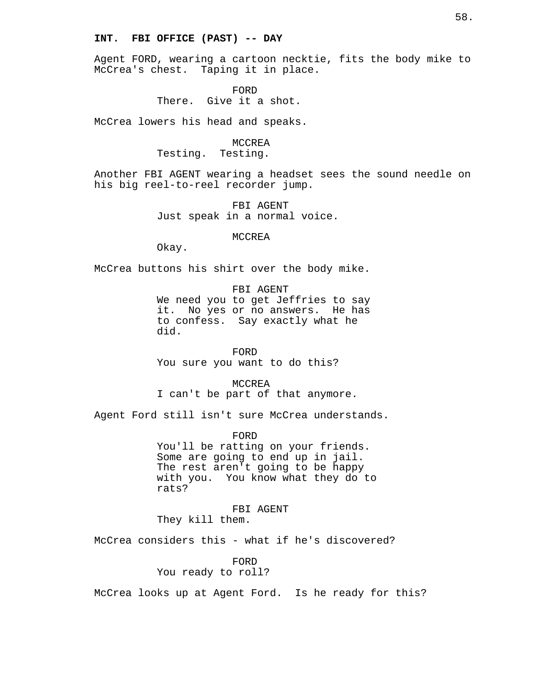## **INT. FBI OFFICE (PAST) -- DAY**

Agent FORD, wearing a cartoon necktie, fits the body mike to McCrea's chest. Taping it in place.

> FORD There. Give it a shot.

McCrea lowers his head and speaks.

## MCCREA Testing. Testing.

Another FBI AGENT wearing a headset sees the sound needle on his big reel-to-reel recorder jump.

> FBI AGENT Just speak in a normal voice.

#### MCCREA

Okay.

McCrea buttons his shirt over the body mike.

## FBI AGENT

We need you to get Jeffries to say it. No yes or no answers. He has to confess. Say exactly what he did.

FORD You sure you want to do this?

MCCREA I can't be part of that anymore.

Agent Ford still isn't sure McCrea understands.

FORD You'll be ratting on your friends. Some are going to end up in jail. The rest aren't going to be happy with you. You know what they do to rats?

FBI AGENT They kill them.

McCrea considers this - what if he's discovered?

FORD You ready to roll?

McCrea looks up at Agent Ford. Is he ready for this?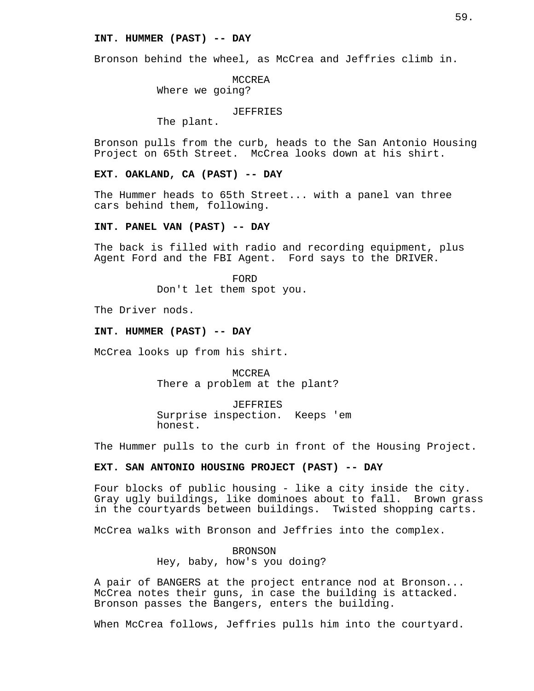## **INT. HUMMER (PAST) -- DAY**

Bronson behind the wheel, as McCrea and Jeffries climb in.

MCCREA Where we going?

JEFFRIES

The plant.

Bronson pulls from the curb, heads to the San Antonio Housing Project on 65th Street. McCrea looks down at his shirt.

**EXT. OAKLAND, CA (PAST) -- DAY**

The Hummer heads to 65th Street... with a panel van three cars behind them, following.

**INT. PANEL VAN (PAST) -- DAY**

The back is filled with radio and recording equipment, plus Agent Ford and the FBI Agent. Ford says to the DRIVER.

> FORD Don't let them spot you.

The Driver nods.

## **INT. HUMMER (PAST) -- DAY**

McCrea looks up from his shirt.

MCCREA There a problem at the plant?

JEFFRIES Surprise inspection. Keeps 'em honest.

The Hummer pulls to the curb in front of the Housing Project.

## **EXT. SAN ANTONIO HOUSING PROJECT (PAST) -- DAY**

Four blocks of public housing - like a city inside the city. Gray ugly buildings, like dominoes about to fall. Brown grass in the courtyards between buildings. Twisted shopping carts.

McCrea walks with Bronson and Jeffries into the complex.

BRONSON Hey, baby, how's you doing?

A pair of BANGERS at the project entrance nod at Bronson... McCrea notes their guns, in case the building is attacked. Bronson passes the Bangers, enters the building.

When McCrea follows, Jeffries pulls him into the courtyard.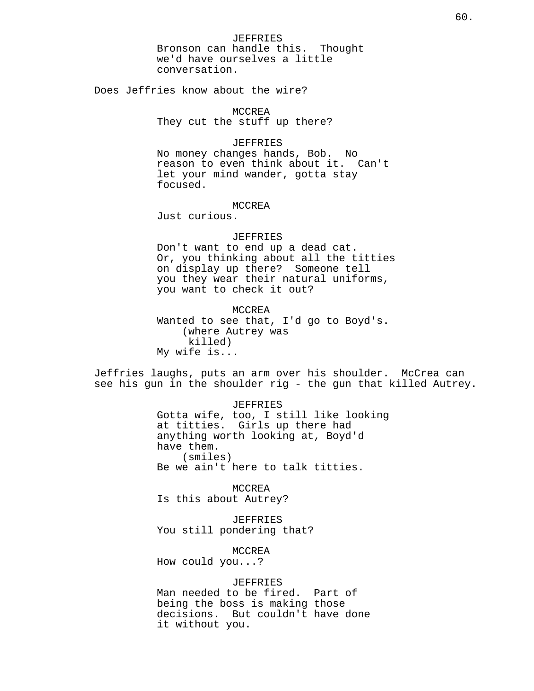Does Jeffries know about the wire?

MCCREA They cut the stuff up there?

## JEFFRIES

No money changes hands, Bob. No reason to even think about it. Can't let your mind wander, gotta stay focused.

### MCCREA

Just curious.

#### JEFFRIES

Don't want to end up a dead cat. Or, you thinking about all the titties on display up there? Someone tell you they wear their natural uniforms, you want to check it out?

MCCREA Wanted to see that, I'd go to Boyd's. (where Autrey was killed) My wife is...

Jeffries laughs, puts an arm over his shoulder. McCrea can see his gun in the shoulder rig - the gun that killed Autrey.

#### JEFFRIES

Gotta wife, too, I still like looking at titties. Girls up there had anything worth looking at, Boyd'd have them. (smiles) Be we ain't here to talk titties.

MCCREA Is this about Autrey?

JEFFRIES You still pondering that?

### MCCREA

How could you...?

#### JEFFRIES

Man needed to be fired. Part of being the boss is making those decisions. But couldn't have done it without you.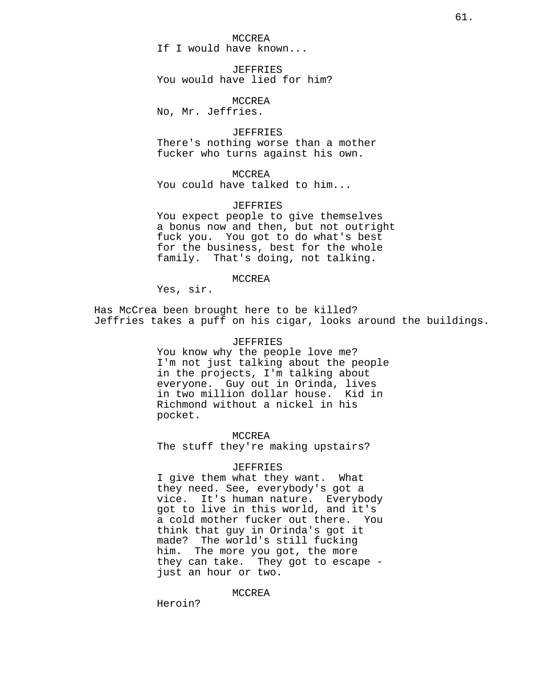MCCREA If I would have known...

JEFFRIES You would have lied for him?

MCCREA No, Mr. Jeffries.

JEFFRIES There's nothing worse than a mother fucker who turns against his own.

MCCREA You could have talked to him...

JEFFRIES You expect people to give themselves a bonus now and then, but not outright fuck you. You got to do what's best for the business, best for the whole family. That's doing, not talking.

MCCREA

Yes, sir.

Has McCrea been brought here to be killed? Jeffries takes a puff on his cigar, looks around the buildings.

#### JEFFRIES

You know why the people love me? I'm not just talking about the people in the projects, I'm talking about everyone. Guy out in Orinda, lives in two million dollar house. Kid in Richmond without a nickel in his pocket.

MCCREA The stuff they're making upstairs?

#### JEFFRIES

I give them what they want. What they need. See, everybody's got a vice. It's human nature. Everybody got to live in this world, and it's a cold mother fucker out there. You think that guy in Orinda's got it made? The world's still fucking him. The more you got, the more they can take. They got to escape just an hour or two.

MCCREA

Heroin?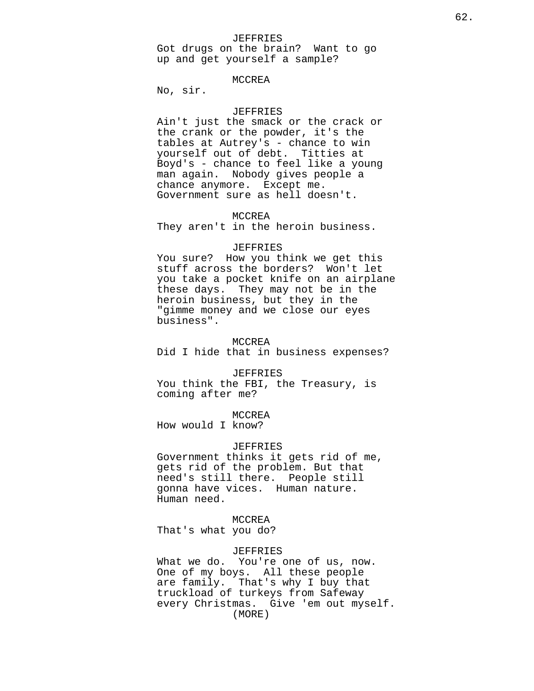### JEFFRIES

Got drugs on the brain? Want to go up and get yourself a sample?

### MCCREA

No, sir.

## JEFFRIES

Ain't just the smack or the crack or the crank or the powder, it's the tables at Autrey's - chance to win yourself out of debt. Titties at Boyd's - chance to feel like a young man again. Nobody gives people a chance anymore. Except me. Government sure as hell doesn't.

### MCCREA

They aren't in the heroin business.

### JEFFRIES

You sure? How you think we get this stuff across the borders? Won't let you take a pocket knife on an airplane these days. They may not be in the heroin business, but they in the "gimme money and we close our eyes business".

### MCCREA

Did I hide that in business expenses?

### JEFFRIES

You think the FBI, the Treasury, is coming after me?

### MCCREA

How would I know?

## JEFFRIES

Government thinks it gets rid of me, gets rid of the problem. But that need's still there. People still gonna have vices. Human nature. Human need.

#### MCCREA

That's what you do?

### JEFFRIES

What we do. You're one of us, now. One of my boys. All these people are family. That's why I buy that truckload of turkeys from Safeway every Christmas. Give 'em out myself. (MORE)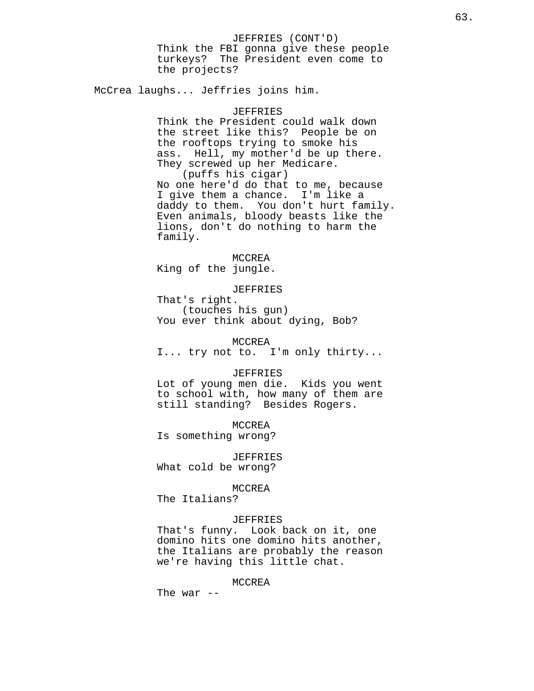Think the FBI gonna give these people turkeys? The President even come to the projects?

McCrea laughs... Jeffries joins him.

### JEFFRIES

Think the President could walk down the street like this? People be on the rooftops trying to smoke his ass. Hell, my mother'd be up there. They screwed up her Medicare. (puffs his cigar) No one here'd do that to me, because I give them a chance. I'm like a daddy to them. You don't hurt family. Even animals, bloody beasts like the lions, don't do nothing to harm the family.

MCCREA King of the jungle.

JEFFRIES

That's right. (touches his gun) You ever think about dying, Bob?

MCCREA

I... try not to. I'm only thirty...

### JEFFRIES

Lot of young men die. Kids you went to school with, how many of them are still standing? Besides Rogers.

MCCREA Is something wrong?

JEFFRIES

What cold be wrong?

MCCREA

The Italians?

### JEFFRIES

That's funny. Look back on it, one domino hits one domino hits another, the Italians are probably the reason we're having this little chat.

MCCREA

The war  $--$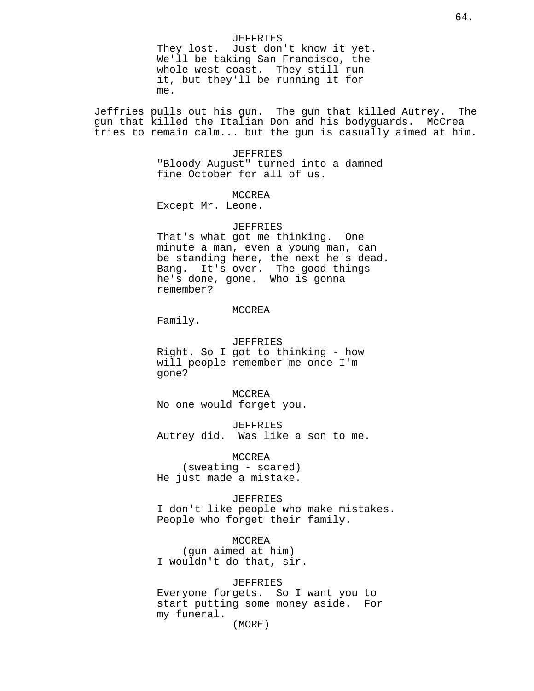### JEFFRIES

They lost. Just don't know it yet. We'll be taking San Francisco, the whole west coast. They still run it, but they'll be running it for me.

Jeffries pulls out his gun. The gun that killed Autrey. The gun that killed the Italian Don and his bodyguards. McCrea tries to remain calm... but the gun is casually aimed at him.

#### JEFFRIES

"Bloody August" turned into a damned fine October for all of us.

### MCCREA

Except Mr. Leone.

## JEFFRIES

That's what got me thinking. One minute a man, even a young man, can be standing here, the next he's dead. Bang. It's over. The good things he's done, gone. Who is gonna remember?

#### MCCREA

Family.

JEFFRIES Right. So I got to thinking - how will people remember me once I'm gone?

MCCREA No one would forget you.

JEFFRIES Autrey did. Was like a son to me.

MCCREA (sweating - scared) He just made a mistake.

## JEFFRIES

I don't like people who make mistakes. People who forget their family.

MCCREA (gun aimed at him) I wouldn't do that, sir.

### JEFFRIES

Everyone forgets. So I want you to start putting some money aside. For my funeral.

(MORE)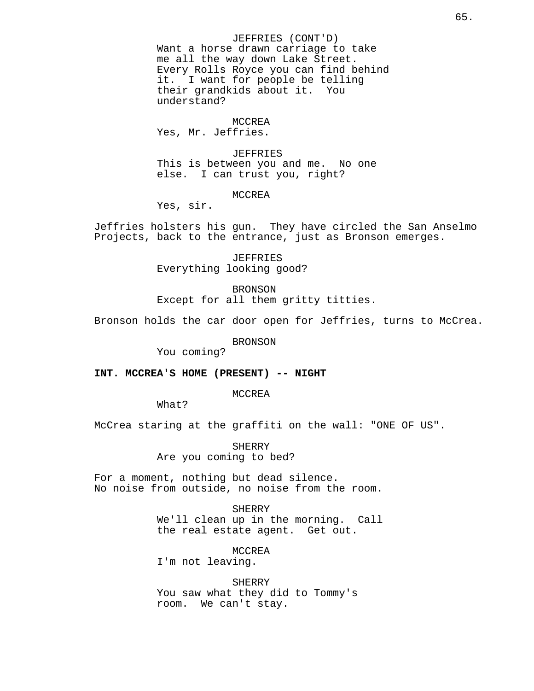JEFFRIES (CONT'D) Want a horse drawn carriage to take me all the way down Lake Street. Every Rolls Royce you can find behind it. I want for people be telling<br>their grandkids about it. You their grandkids about it. understand?

#### MCCREA

Yes, Mr. Jeffries.

#### JEFFRIES

This is between you and me. No one else. I can trust you, right?

MCCREA

Yes, sir.

Jeffries holsters his gun. They have circled the San Anselmo Projects, back to the entrance, just as Bronson emerges.

> JEFFRIES Everything looking good?

BRONSON Except for all them gritty titties.

Bronson holds the car door open for Jeffries, turns to McCrea.

BRONSON

You coming?

### **INT. MCCREA'S HOME (PRESENT) -- NIGHT**

MCCREA

What?

McCrea staring at the graffiti on the wall: "ONE OF US".

SHERRY Are you coming to bed?

For a moment, nothing but dead silence. No noise from outside, no noise from the room.

> SHERRY We'll clean up in the morning. Call the real estate agent. Get out.

MCCREA I'm not leaving.

SHERRY You saw what they did to Tommy's room. We can't stay.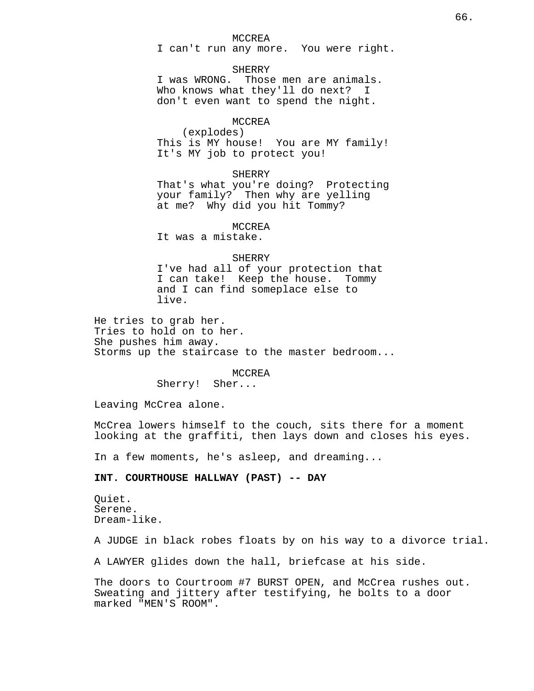#### MCCREA

I can't run any more. You were right.

### SHERRY

I was WRONG. Those men are animals. Who knows what they'll do next? I don't even want to spend the night.

### MCCREA

(explodes) This is MY house! You are MY family! It's MY job to protect you!

#### SHERRY

That's what you're doing? Protecting your family? Then why are yelling at me? Why did you hit Tommy?

## MCCREA

It was a mistake.

## SHERRY

I've had all of your protection that I can take! Keep the house. Tommy and I can find someplace else to live.

He tries to grab her. Tries to hold on to her. She pushes him away. Storms up the staircase to the master bedroom...

#### MCCREA

Sherry! Sher...

Leaving McCrea alone.

McCrea lowers himself to the couch, sits there for a moment looking at the graffiti, then lays down and closes his eyes.

In a few moments, he's asleep, and dreaming...

## **INT. COURTHOUSE HALLWAY (PAST) -- DAY**

Quiet. Serene. Dream-like.

A JUDGE in black robes floats by on his way to a divorce trial.

A LAWYER glides down the hall, briefcase at his side.

The doors to Courtroom #7 BURST OPEN, and McCrea rushes out. Sweating and jittery after testifying, he bolts to a door marked "MEN'S ROOM".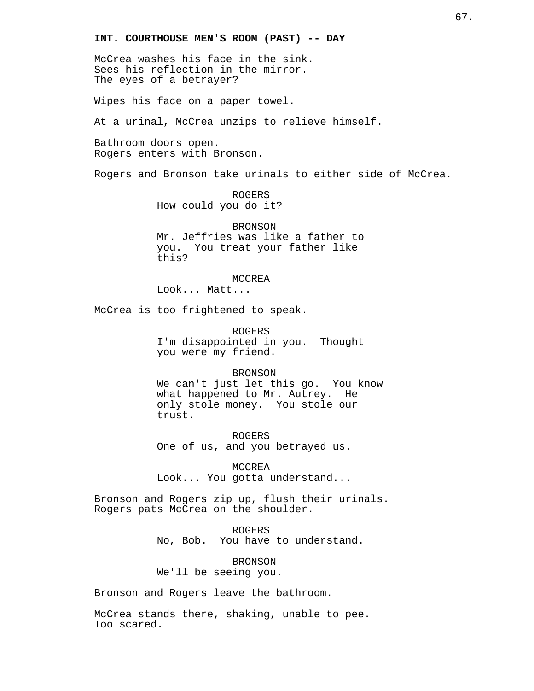## **INT. COURTHOUSE MEN'S ROOM (PAST) -- DAY**

McCrea washes his face in the sink. Sees his reflection in the mirror. The eyes of a betrayer?

Wipes his face on a paper towel.

At a urinal, McCrea unzips to relieve himself.

Bathroom doors open. Rogers enters with Bronson.

Rogers and Bronson take urinals to either side of McCrea.

ROGERS How could you do it?

BRONSON Mr. Jeffries was like a father to you. You treat your father like this?

## MCCREA

Look... Matt...

McCrea is too frightened to speak.

ROGERS I'm disappointed in you. Thought you were my friend.

#### BRONSON

We can't just let this go. You know what happened to Mr. Autrey. He only stole money. You stole our trust.

ROGERS One of us, and you betrayed us.

MCCREA Look... You gotta understand...

Bronson and Rogers zip up, flush their urinals. Rogers pats McCrea on the shoulder.

> ROGERS No, Bob. You have to understand.

BRONSON We'll be seeing you.

Bronson and Rogers leave the bathroom.

McCrea stands there, shaking, unable to pee. Too scared.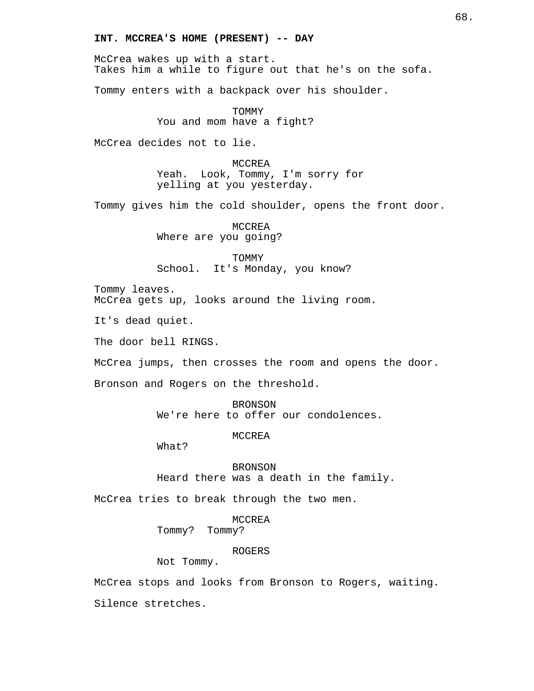## **INT. MCCREA'S HOME (PRESENT) -- DAY**

McCrea wakes up with a start. Takes him a while to figure out that he's on the sofa.

Tommy enters with a backpack over his shoulder.

TOMMY You and mom have a fight?

McCrea decides not to lie.

MCCREA Yeah. Look, Tommy, I'm sorry for yelling at you yesterday.

Tommy gives him the cold shoulder, opens the front door.

MCCREA Where are you going?

TOMMY School. It's Monday, you know?

Tommy leaves. McCrea gets up, looks around the living room.

It's dead quiet.

The door bell RINGS.

McCrea jumps, then crosses the room and opens the door.

Bronson and Rogers on the threshold.

BRONSON We're here to offer our condolences.

MCCREA

What?

BRONSON

Heard there was a death in the family.

McCrea tries to break through the two men.

## MCCREA

Tommy? Tommy?

### ROGERS

Not Tommy.

McCrea stops and looks from Bronson to Rogers, waiting.

Silence stretches.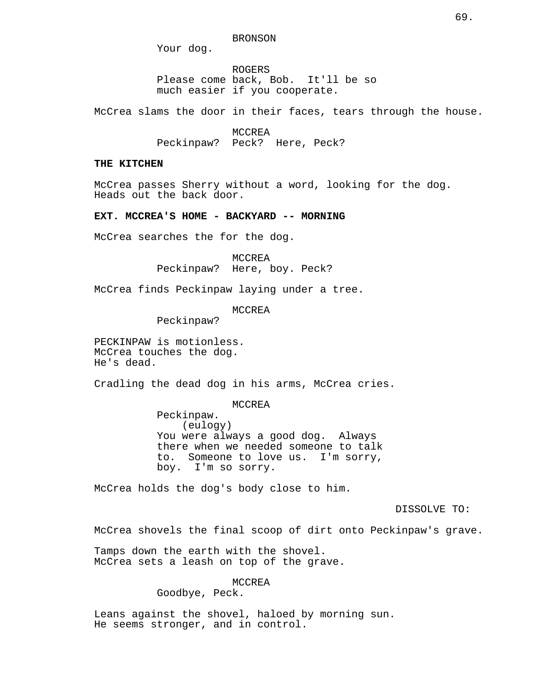BRONSON

Your dog.

ROGERS Please come back, Bob. It'll be so much easier if you cooperate.

McCrea slams the door in their faces, tears through the house.

MCCREA Peckinpaw? Peck? Here, Peck?

## **THE KITCHEN**

McCrea passes Sherry without a word, looking for the dog. Heads out the back door.

**EXT. MCCREA'S HOME - BACKYARD -- MORNING**

McCrea searches the for the dog.

MCCREA Peckinpaw? Here, boy. Peck?

McCrea finds Peckinpaw laying under a tree.

MCCREA

Peckinpaw?

PECKINPAW is motionless. McCrea touches the dog. He's dead.

Cradling the dead dog in his arms, McCrea cries.

MCCREA

Peckinpaw. (eulogy) You were always a good dog. Always there when we needed someone to talk to. Someone to love us. I'm sorry, boy. I'm so sorry.

McCrea holds the dog's body close to him.

DISSOLVE TO:

McCrea shovels the final scoop of dirt onto Peckinpaw's grave.

Tamps down the earth with the shovel. McCrea sets a leash on top of the grave.

MCCREA

Goodbye, Peck.

Leans against the shovel, haloed by morning sun. He seems stronger, and in control.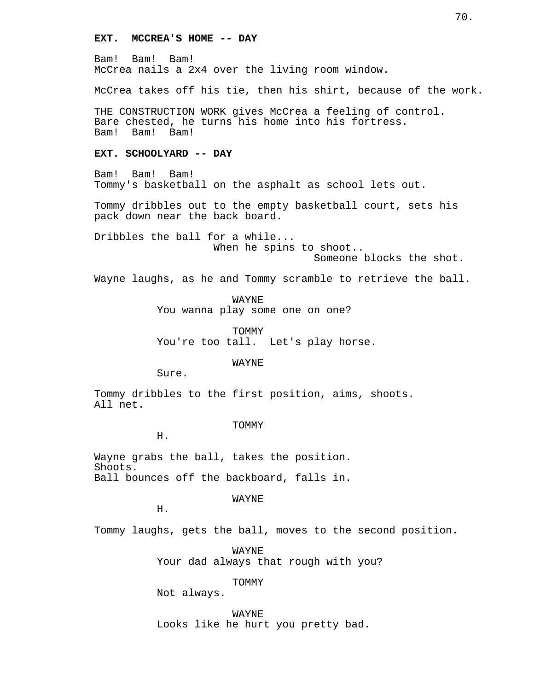## **EXT. MCCREA'S HOME -- DAY**

Bam! Bam! Bam! McCrea nails a 2x4 over the living room window.

McCrea takes off his tie, then his shirt, because of the work.

THE CONSTRUCTION WORK gives McCrea a feeling of control. Bare chested, he turns his home into his fortress.<br>Bam! Bam! Bam! Bam! Bam!

## **EXT. SCHOOLYARD -- DAY**

Bam! Bam! Bam! Tommy's basketball on the asphalt as school lets out.

Tommy dribbles out to the empty basketball court, sets his pack down near the back board.

Dribbles the ball for a while... When he spins to shoot.. Someone blocks the shot.

Wayne laughs, as he and Tommy scramble to retrieve the ball.

WAYNE

You wanna play some one on one?

TOMMY You're too tall. Let's play horse.

WAYNE

Sure.

Tommy dribbles to the first position, aims, shoots. All net.

TOMMY

H.

Wayne grabs the ball, takes the position. Shoots. Ball bounces off the backboard, falls in.

WAYNE

H.

Tommy laughs, gets the ball, moves to the second position.

WAYNE Your dad always that rough with you?

TOMMY

Not always.

WAYNE Looks like he hurt you pretty bad.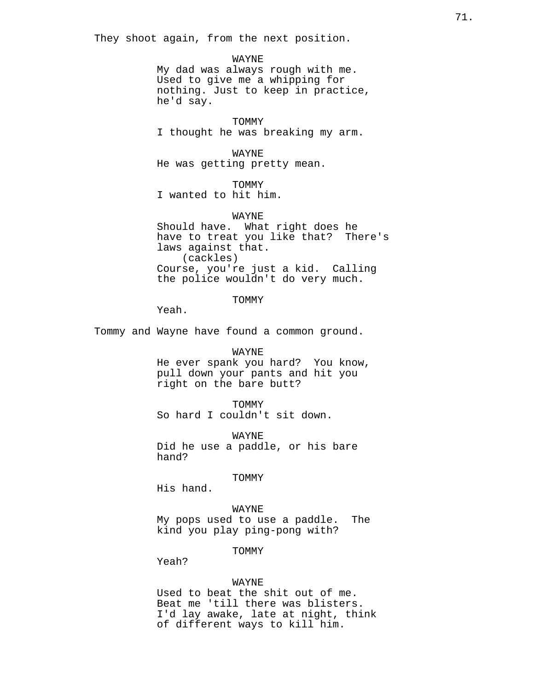They shoot again, from the next position.

WAYNE My dad was always rough with me. Used to give me a whipping for nothing. Just to keep in practice, he'd say.

**TOMMY** I thought he was breaking my arm.

WAYNE He was getting pretty mean.

**TOMMY** I wanted to hit him.

WAYNE Should have. What right does he have to treat you like that? There's laws against that. (cackles) Course, you're just a kid. Calling the police wouldn't do very much.

**TOMMY** 

Yeah.

Tommy and Wayne have found a common ground.

WAYNE

He ever spank you hard? You know, pull down your pants and hit you right on the bare butt?

TOMMY So hard I couldn't sit down.

WAYNE Did he use a paddle, or his bare hand?

TOMMY

His hand.

WAYNE My pops used to use a paddle. The kind you play ping-pong with?

TOMMY

Yeah?

#### WAYNE

Used to beat the shit out of me. Beat me 'till there was blisters. I'd lay awake, late at night, think of different ways to kill him.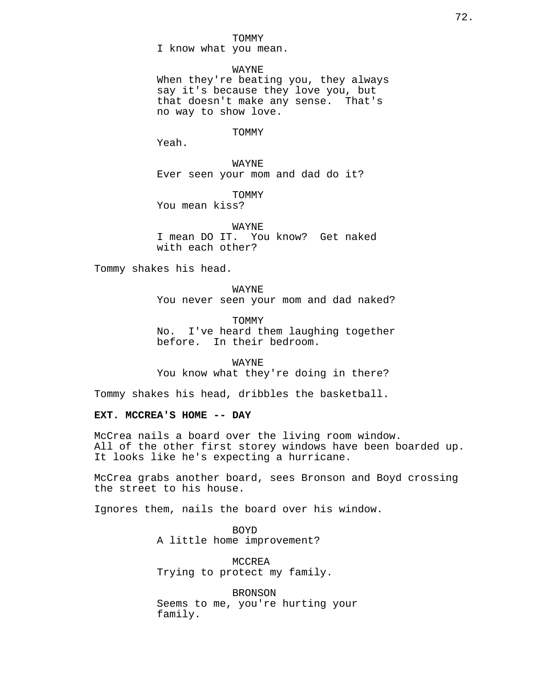#### TOMMY

I know what you mean.

#### WAYNE

When they're beating you, they always say it's because they love you, but that doesn't make any sense. That's no way to show love.

#### TOMMY

Yeah.

WAYNE Ever seen your mom and dad do it?

TOMMY

You mean kiss?

WAYNE I mean DO IT. You know? Get naked with each other?

Tommy shakes his head.

WAYNE You never seen your mom and dad naked?

TOMMY No. I've heard them laughing together before. In their bedroom.

WAYNE You know what they're doing in there?

Tommy shakes his head, dribbles the basketball.

## **EXT. MCCREA'S HOME -- DAY**

McCrea nails a board over the living room window. All of the other first storey windows have been boarded up. It looks like he's expecting a hurricane.

McCrea grabs another board, sees Bronson and Boyd crossing the street to his house.

Ignores them, nails the board over his window.

BOYD A little home improvement?

MCCREA Trying to protect my family.

BRONSON Seems to me, you're hurting your family.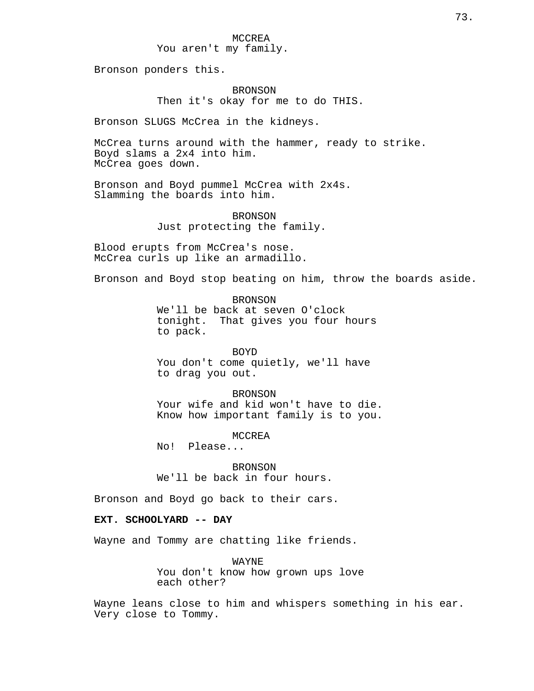Bronson ponders this.

BRONSON Then it's okay for me to do THIS.

Bronson SLUGS McCrea in the kidneys.

McCrea turns around with the hammer, ready to strike. Boyd slams a 2x4 into him. McCrea goes down.

Bronson and Boyd pummel McCrea with 2x4s. Slamming the boards into him.

> BRONSON Just protecting the family.

Blood erupts from McCrea's nose. McCrea curls up like an armadillo.

Bronson and Boyd stop beating on him, throw the boards aside.

**BRONSON** We'll be back at seven O'clock tonight. That gives you four hours to pack.

BOYD You don't come quietly, we'll have to drag you out.

BRONSON Your wife and kid won't have to die. Know how important family is to you.

MCCREA

No! Please...

BRONSON We'll be back in four hours.

Bronson and Boyd go back to their cars.

# **EXT. SCHOOLYARD -- DAY**

Wayne and Tommy are chatting like friends.

WAYNE You don't know how grown ups love each other?

Wayne leans close to him and whispers something in his ear. Very close to Tommy.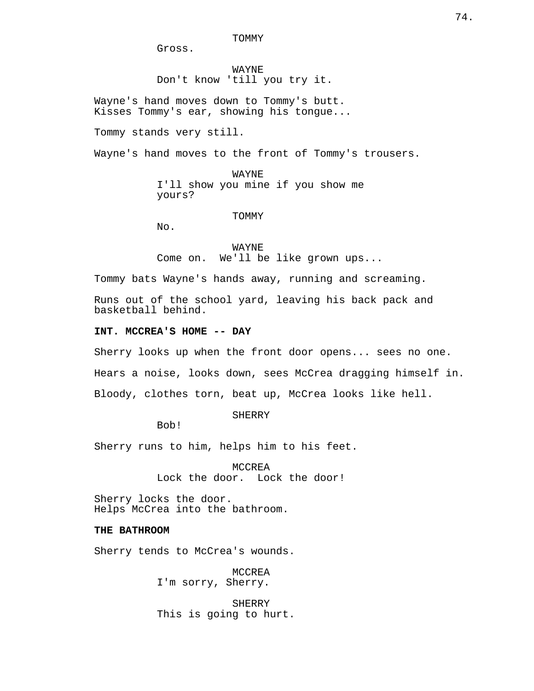TOMMY

Gross.

WAYNE Don't know 'till you try it.

Wayne's hand moves down to Tommy's butt. Kisses Tommy's ear, showing his tongue...

Tommy stands very still.

Wayne's hand moves to the front of Tommy's trousers.

WAYNE I'll show you mine if you show me yours?

TOMMY

No.

WAYNE Come on. We'll be like grown ups...

Tommy bats Wayne's hands away, running and screaming.

Runs out of the school yard, leaving his back pack and basketball behind.

# **INT. MCCREA'S HOME -- DAY**

Sherry looks up when the front door opens... sees no one.

Hears a noise, looks down, sees McCrea dragging himself in.

Bloody, clothes torn, beat up, McCrea looks like hell.

SHERRY

Bob!

Sherry runs to him, helps him to his feet.

MCCREA Lock the door. Lock the door!

Sherry locks the door. Helps McCrea into the bathroom.

#### **THE BATHROOM**

Sherry tends to McCrea's wounds.

MCCREA I'm sorry, Sherry.

**SHERRY** This is going to hurt.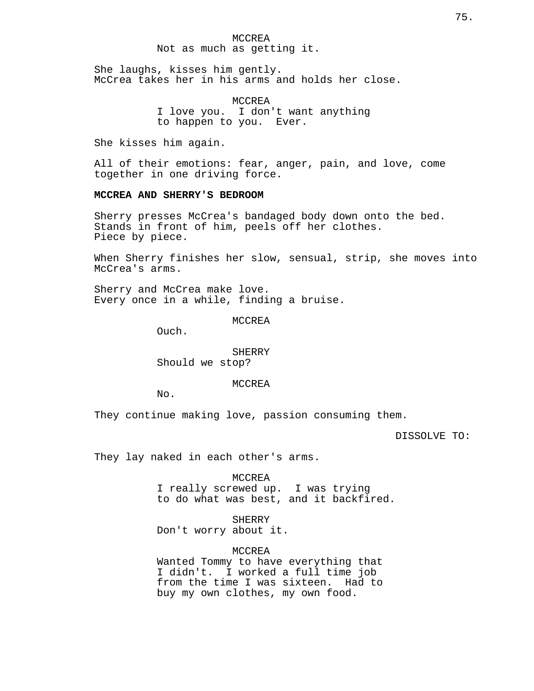## Not as much as getting it.

She laughs, kisses him gently. McCrea takes her in his arms and holds her close.

> MCCREA I love you. I don't want anything to happen to you. Ever.

She kisses him again.

All of their emotions: fear, anger, pain, and love, come together in one driving force.

#### **MCCREA AND SHERRY'S BEDROOM**

Sherry presses McCrea's bandaged body down onto the bed. Stands in front of him, peels off her clothes. Piece by piece.

When Sherry finishes her slow, sensual, strip, she moves into McCrea's arms.

Sherry and McCrea make love. Every once in a while, finding a bruise.

MCCREA

Ouch.

SHERRY Should we stop?

#### MCCREA

No.

They continue making love, passion consuming them.

DISSOLVE TO:

They lay naked in each other's arms.

MCCREA

I really screwed up. I was trying to do what was best, and it backfired.

SHERRY Don't worry about it.

MCCREA

Wanted Tommy to have everything that I didn't. I worked a full time job from the time I was sixteen. Had to buy my own clothes, my own food.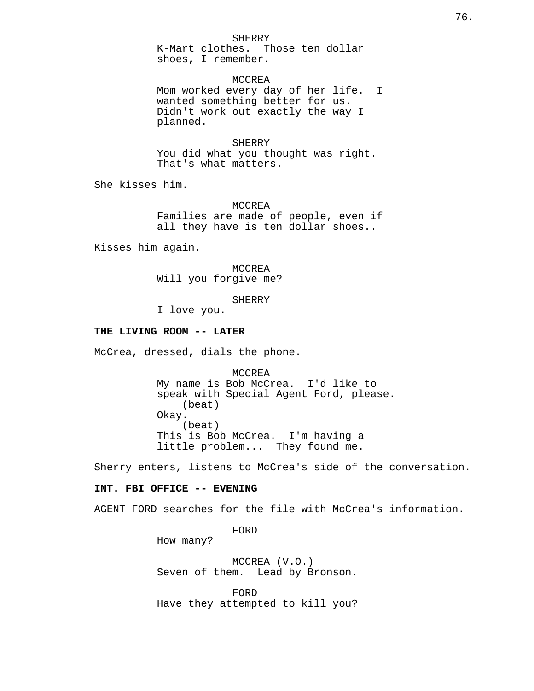#### SHERRY

K-Mart clothes. Those ten dollar shoes, I remember.

MCCREA Mom worked every day of her life. I wanted something better for us. Didn't work out exactly the way I planned.

# **SHERRY**

You did what you thought was right. That's what matters.

She kisses him.

MCCREA Families are made of people, even if all they have is ten dollar shoes..

Kisses him again.

MCCREA Will you forgive me?

**SHERRY** 

I love you.

#### **THE LIVING ROOM -- LATER**

McCrea, dressed, dials the phone.

MCCREA My name is Bob McCrea. I'd like to speak with Special Agent Ford, please. (beat) Okay. (beat) This is Bob McCrea. I'm having a little problem... They found me.

Sherry enters, listens to McCrea's side of the conversation.

#### **INT. FBI OFFICE -- EVENING**

AGENT FORD searches for the file with McCrea's information.

FORD

How many?

MCCREA (V.O.) Seven of them. Lead by Bronson.

FORD Have they attempted to kill you?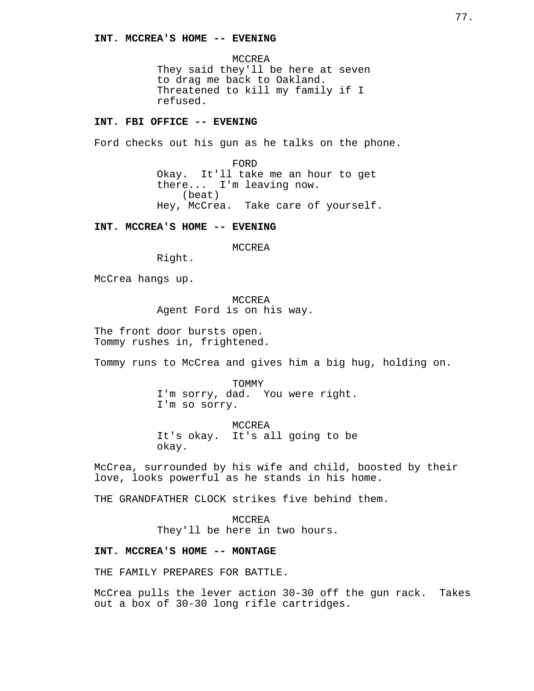MCCREA They said they'll be here at seven to drag me back to Oakland. Threatened to kill my family if I refused.

# **INT. FBI OFFICE -- EVENING**

Ford checks out his gun as he talks on the phone.

FORD Okay. It'll take me an hour to get there... I'm leaving now. (beat) Hey, McCrea. Take care of yourself.

**INT. MCCREA'S HOME -- EVENING**

MCCREA

Right.

McCrea hangs up.

MCCREA Agent Ford is on his way.

The front door bursts open. Tommy rushes in, frightened.

Tommy runs to McCrea and gives him a big hug, holding on.

TOMMY I'm sorry, dad. You were right. I'm so sorry.

MCCREA It's okay. It's all going to be okay.

McCrea, surrounded by his wife and child, boosted by their love, looks powerful as he stands in his home.

THE GRANDFATHER CLOCK strikes five behind them.

MCCREA They'll be here in two hours.

#### **INT. MCCREA'S HOME -- MONTAGE**

THE FAMILY PREPARES FOR BATTLE.

McCrea pulls the lever action 30-30 off the gun rack. Takes out a box of 30-30 long rifle cartridges.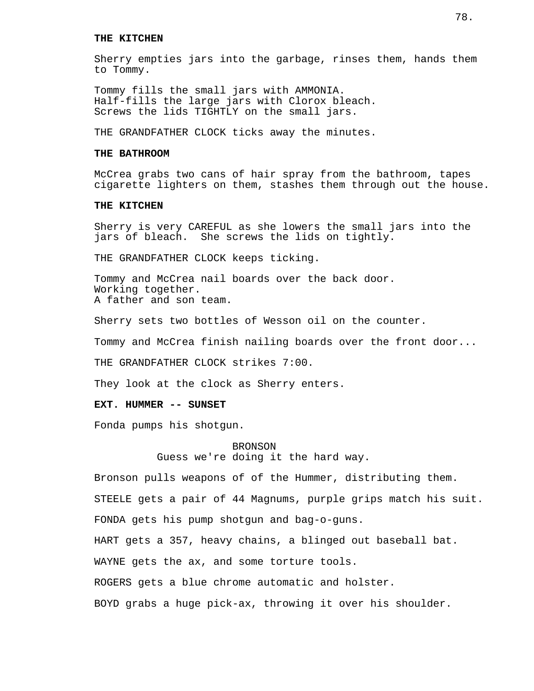#### **THE KITCHEN**

Sherry empties jars into the garbage, rinses them, hands them to Tommy.

Tommy fills the small jars with AMMONIA. Half-fills the large jars with Clorox bleach. Screws the lids TIGHTLY on the small jars.

THE GRANDFATHER CLOCK ticks away the minutes.

# **THE BATHROOM**

McCrea grabs two cans of hair spray from the bathroom, tapes cigarette lighters on them, stashes them through out the house.

#### **THE KITCHEN**

Sherry is very CAREFUL as she lowers the small jars into the jars of bleach. She screws the lids on tightly.

THE GRANDFATHER CLOCK keeps ticking.

Tommy and McCrea nail boards over the back door. Working together. A father and son team.

Sherry sets two bottles of Wesson oil on the counter.

Tommy and McCrea finish nailing boards over the front door...

THE GRANDFATHER CLOCK strikes 7:00.

They look at the clock as Sherry enters.

## **EXT. HUMMER -- SUNSET**

Fonda pumps his shotgun.

BRONSON Guess we're doing it the hard way.

Bronson pulls weapons of of the Hummer, distributing them. STEELE gets a pair of 44 Magnums, purple grips match his suit. FONDA gets his pump shotgun and bag-o-guns. HART gets a 357, heavy chains, a blinged out baseball bat. WAYNE gets the ax, and some torture tools. ROGERS gets a blue chrome automatic and holster. BOYD grabs a huge pick-ax, throwing it over his shoulder.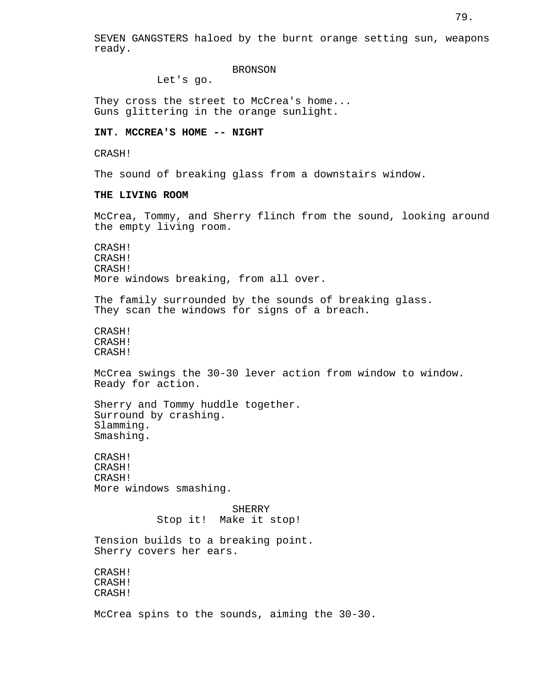## **BRONSON**

Let's go.

They cross the street to McCrea's home... Guns glittering in the orange sunlight.

## **INT. MCCREA'S HOME -- NIGHT**

CRASH!

The sound of breaking glass from a downstairs window.

#### **THE LIVING ROOM**

McCrea, Tommy, and Sherry flinch from the sound, looking around the empty living room.

CRASH! CRASH! CRASH! More windows breaking, from all over.

The family surrounded by the sounds of breaking glass. They scan the windows for signs of a breach.

CRASH! CRASH! CRASH!

McCrea swings the 30-30 lever action from window to window. Ready for action.

Sherry and Tommy huddle together. Surround by crashing. Slamming. Smashing.

CRASH! CRASH! CRASH! More windows smashing.

> **SHERRY** Stop it! Make it stop!

Tension builds to a breaking point. Sherry covers her ears.

CRASH! CRASH! CRASH!

McCrea spins to the sounds, aiming the 30-30.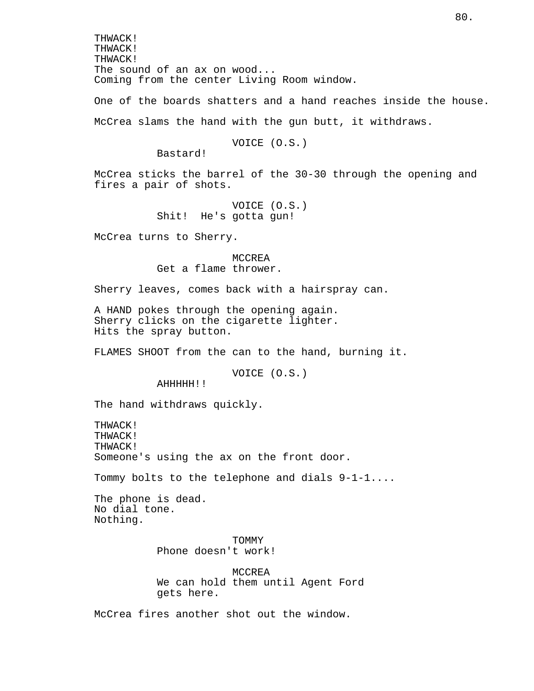THWACK! THWACK! THWACK! The sound of an ax on wood... Coming from the center Living Room window.

One of the boards shatters and a hand reaches inside the house. McCrea slams the hand with the gun butt, it withdraws.

VOICE (O.S.)

Bastard!

McCrea sticks the barrel of the 30-30 through the opening and fires a pair of shots.

> VOICE (O.S.) Shit! He's gotta gun!

McCrea turns to Sherry.

MCCREA Get a flame thrower.

Sherry leaves, comes back with a hairspray can.

A HAND pokes through the opening again. Sherry clicks on the cigarette lighter. Hits the spray button.

FLAMES SHOOT from the can to the hand, burning it.

VOICE (O.S.)

AHHHHH!!

The hand withdraws quickly.

THWACK! THWACK! THWACK! Someone's using the ax on the front door.

Tommy bolts to the telephone and dials 9-1-1....

The phone is dead. No dial tone. Nothing.

> TOMMY Phone doesn't work!

MCCREA We can hold them until Agent Ford gets here.

McCrea fires another shot out the window.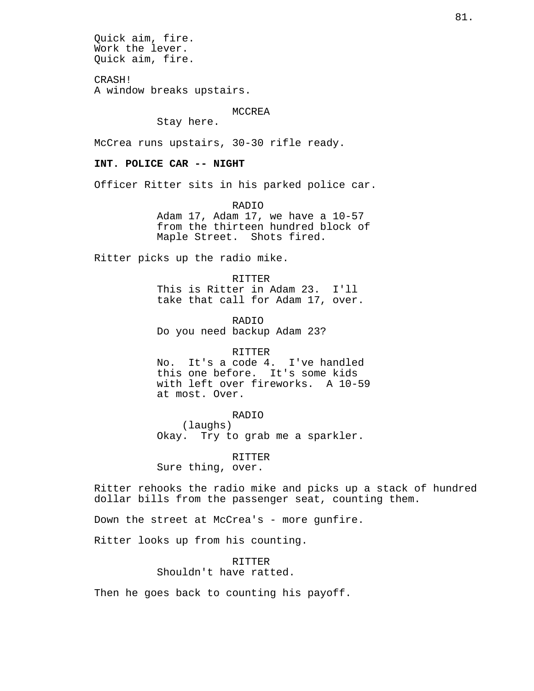Quick aim, fire. Work the lever. Quick aim, fire. CRASH! A window breaks upstairs. MCCREA Stay here. McCrea runs upstairs, 30-30 rifle ready. **INT. POLICE CAR -- NIGHT** Officer Ritter sits in his parked police car. RADIO Adam 17, Adam 17, we have a 10-57 from the thirteen hundred block of Maple Street. Shots fired. Ritter picks up the radio mike. RITTER This is Ritter in Adam 23. I'll take that call for Adam 17, over. RADIO Do you need backup Adam 23? RITTER No. It's a code 4. I've handled this one before. It's some kids with left over fireworks. A 10-59 at most. Over. RADIO (laughs) Okay. Try to grab me a sparkler. RITTER Sure thing, over. Ritter rehooks the radio mike and picks up a stack of hundred dollar bills from the passenger seat, counting them. Down the street at McCrea's - more gunfire. Ritter looks up from his counting. RITTER Shouldn't have ratted. Then he goes back to counting his payoff.

81.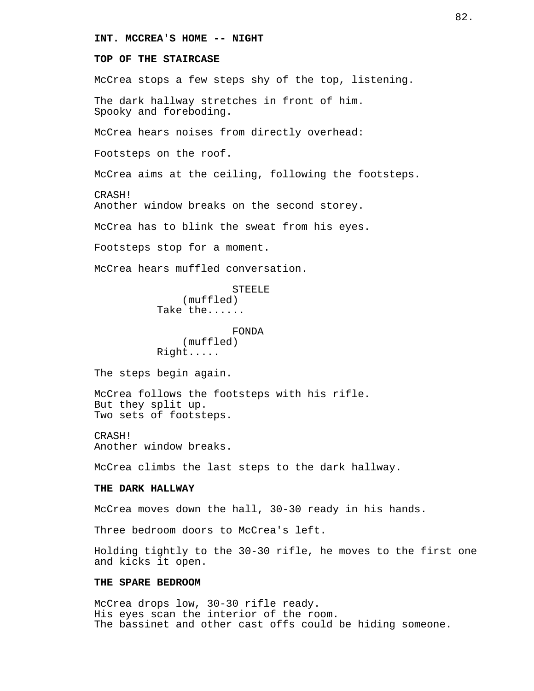## **INT. MCCREA'S HOME -- NIGHT**

# **TOP OF THE STAIRCASE**

McCrea stops a few steps shy of the top, listening.

The dark hallway stretches in front of him. Spooky and foreboding.

McCrea hears noises from directly overhead:

Footsteps on the roof.

McCrea aims at the ceiling, following the footsteps.

CRASH!

Another window breaks on the second storey.

McCrea has to blink the sweat from his eyes.

Footsteps stop for a moment.

McCrea hears muffled conversation.

**STEELE** (muffled) Take the......

FONDA (muffled) Right.....

The steps begin again.

McCrea follows the footsteps with his rifle. But they split up. Two sets of footsteps.

CRASH! Another window breaks.

McCrea climbs the last steps to the dark hallway.

#### **THE DARK HALLWAY**

McCrea moves down the hall, 30-30 ready in his hands.

Three bedroom doors to McCrea's left.

Holding tightly to the 30-30 rifle, he moves to the first one and kicks it open.

## **THE SPARE BEDROOM**

McCrea drops low, 30-30 rifle ready. His eyes scan the interior of the room. The bassinet and other cast offs could be hiding someone.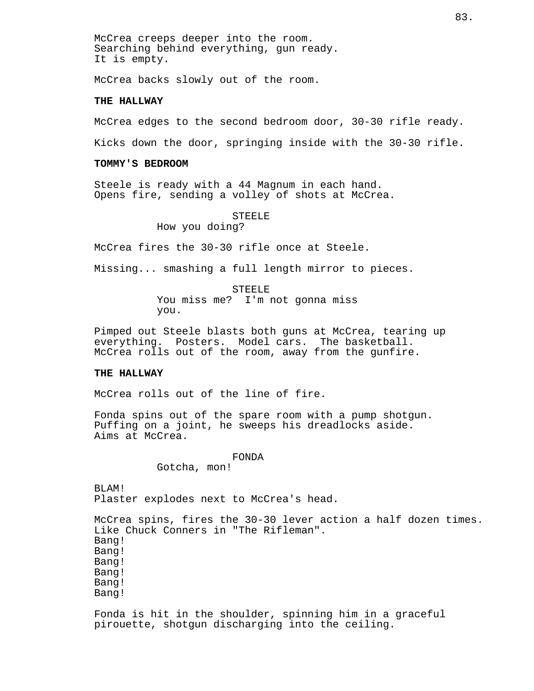McCrea creeps deeper into the room. Searching behind everything, gun ready. It is empty.

McCrea backs slowly out of the room.

# **THE HALLWAY**

McCrea edges to the second bedroom door, 30-30 rifle ready.

Kicks down the door, springing inside with the 30-30 rifle.

#### **TOMMY'S BEDROOM**

Steele is ready with a 44 Magnum in each hand. Opens fire, sending a volley of shots at McCrea.

STEELE

How you doing?

McCrea fires the 30-30 rifle once at Steele.

Missing... smashing a full length mirror to pieces.

STEELE You miss me? I'm not gonna miss you.

Pimped out Steele blasts both guns at McCrea, tearing up everything. Posters. Model cars. The basketball. McCrea rolls out of the room, away from the gunfire.

#### **THE HALLWAY**

McCrea rolls out of the line of fire.

Fonda spins out of the spare room with a pump shotgun. Puffing on a joint, he sweeps his dreadlocks aside. Aims at McCrea.

#### FONDA

Gotcha, mon!

BLAM! Plaster explodes next to McCrea's head.

McCrea spins, fires the 30-30 lever action a half dozen times. Like Chuck Conners in "The Rifleman". Bang! Bang! Bang! Bang! Bang! Bang!

Fonda is hit in the shoulder, spinning him in a graceful pirouette, shotgun discharging into the ceiling.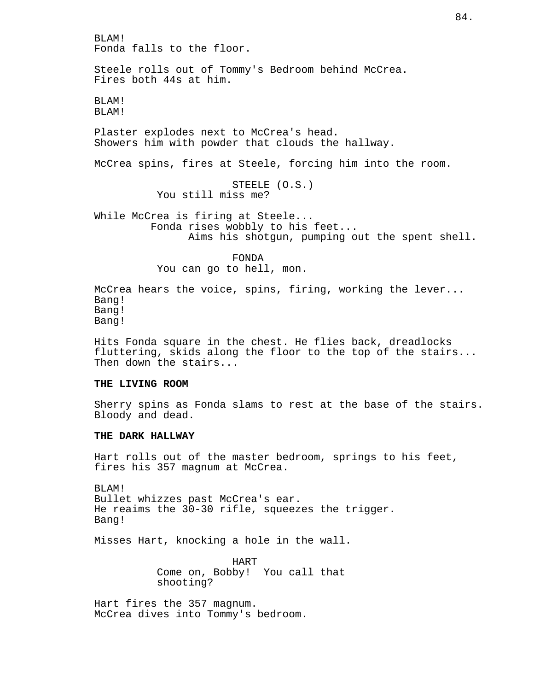BLAM! Fonda falls to the floor. Steele rolls out of Tommy's Bedroom behind McCrea. Fires both 44s at him. BLAM! BLAM! Plaster explodes next to McCrea's head. Showers him with powder that clouds the hallway. McCrea spins, fires at Steele, forcing him into the room. STEELE (O.S.) You still miss me? While McCrea is firing at Steele... Fonda rises wobbly to his feet... Aims his shotgun, pumping out the spent shell. FONDA You can go to hell, mon. McCrea hears the voice, spins, firing, working the lever... Bang! Bang! Bang!

Hits Fonda square in the chest. He flies back, dreadlocks fluttering, skids along the floor to the top of the stairs... Then down the stairs...

## **THE LIVING ROOM**

Sherry spins as Fonda slams to rest at the base of the stairs. Bloody and dead.

## **THE DARK HALLWAY**

Hart rolls out of the master bedroom, springs to his feet, fires his 357 magnum at McCrea.

BLAM! Bullet whizzes past McCrea's ear. He reaims the 30-30 rifle, squeezes the trigger. Bang!

Misses Hart, knocking a hole in the wall.

HART Come on, Bobby! You call that shooting?

Hart fires the 357 magnum. McCrea dives into Tommy's bedroom.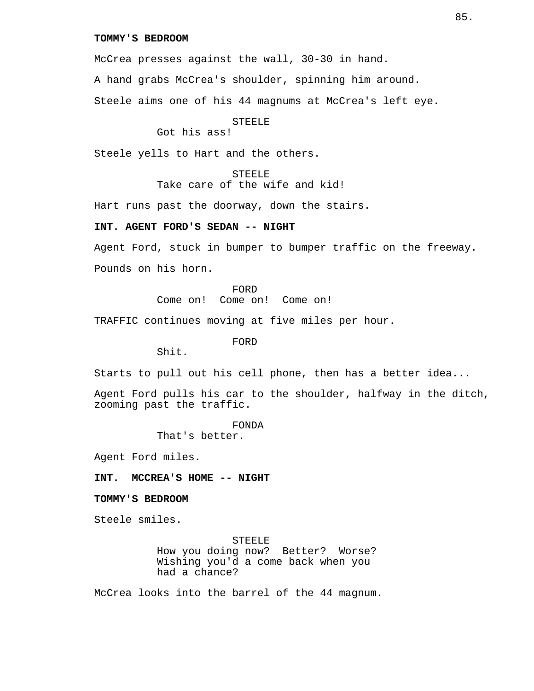## **TOMMY'S BEDROOM**

McCrea presses against the wall, 30-30 in hand.

A hand grabs McCrea's shoulder, spinning him around.

Steele aims one of his 44 magnums at McCrea's left eye.

#### STEELE

Got his ass!

Steele yells to Hart and the others.

**STEELE** Take care of the wife and kid!

Hart runs past the doorway, down the stairs.

## **INT. AGENT FORD'S SEDAN -- NIGHT**

Agent Ford, stuck in bumper to bumper traffic on the freeway. Pounds on his horn.

> FORD Come on! Come on! Come on!

TRAFFIC continues moving at five miles per hour.

FORD

Shit.

Starts to pull out his cell phone, then has a better idea...

Agent Ford pulls his car to the shoulder, halfway in the ditch, zooming past the traffic.

FONDA

That's better.

Agent Ford miles.

**INT. MCCREA'S HOME -- NIGHT**

**TOMMY'S BEDROOM**

Steele smiles.

STEELE How you doing now? Better? Worse? Wishing you'd a come back when you had a chance?

McCrea looks into the barrel of the 44 magnum.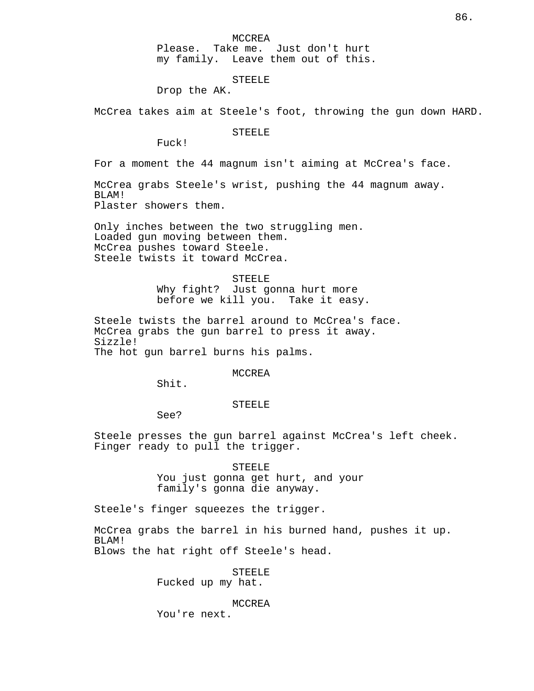Please. Take me. Just don't hurt my family. Leave them out of this.

### STEELE

Drop the AK.

McCrea takes aim at Steele's foot, throwing the gun down HARD.

STEELE

Fuck!

For a moment the 44 magnum isn't aiming at McCrea's face.

McCrea grabs Steele's wrist, pushing the 44 magnum away. BLAM! Plaster showers them.

Only inches between the two struggling men. Loaded gun moving between them. McCrea pushes toward Steele. Steele twists it toward McCrea.

> **STEELE** Why fight? Just gonna hurt more before we kill you. Take it easy.

Steele twists the barrel around to McCrea's face. McCrea grabs the gun barrel to press it away. Sizzle! The hot gun barrel burns his palms.

MCCREA

Shit.

STEELE

See?

Steele presses the gun barrel against McCrea's left cheek. Finger ready to pull the trigger.

> STEELE You just gonna get hurt, and your family's gonna die anyway.

Steele's finger squeezes the trigger.

McCrea grabs the barrel in his burned hand, pushes it up. BLAM! Blows the hat right off Steele's head.

> STEELE Fucked up my hat.

> > MCCREA

You're next.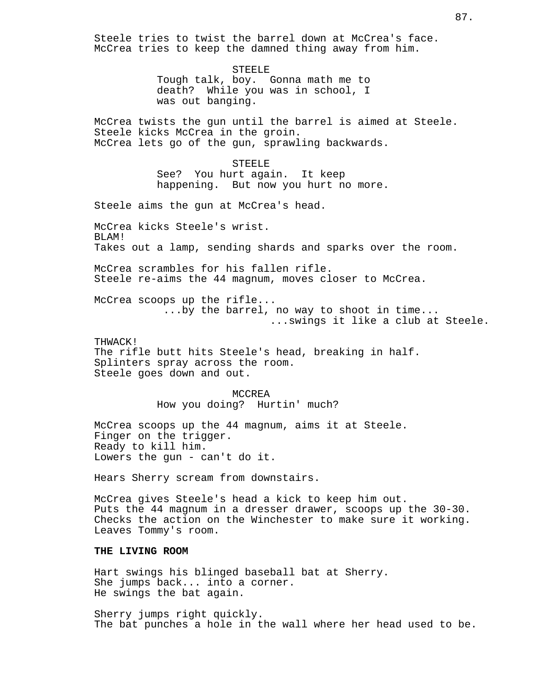Steele tries to twist the barrel down at McCrea's face. McCrea tries to keep the damned thing away from him. STEELE Tough talk, boy. Gonna math me to death? While you was in school, I was out banging. McCrea twists the gun until the barrel is aimed at Steele. Steele kicks McCrea in the groin. McCrea lets go of the gun, sprawling backwards. **STEELE** See? You hurt again. It keep happening. But now you hurt no more. Steele aims the gun at McCrea's head. McCrea kicks Steele's wrist. BLAM! Takes out a lamp, sending shards and sparks over the room. McCrea scrambles for his fallen rifle. Steele re-aims the 44 magnum, moves closer to McCrea. McCrea scoops up the rifle... ...by the barrel, no way to shoot in time... ...swings it like a club at Steele. THWACK! The rifle butt hits Steele's head, breaking in half. Splinters spray across the room. Steele goes down and out. MCCREA How you doing? Hurtin' much? McCrea scoops up the 44 magnum, aims it at Steele. Finger on the trigger. Ready to kill him. Lowers the gun - can't do it. Hears Sherry scream from downstairs. McCrea gives Steele's head a kick to keep him out. Puts the 44 magnum in a dresser drawer, scoops up the 30-30. Checks the action on the Winchester to make sure it working. Leaves Tommy's room. **THE LIVING ROOM** Hart swings his blinged baseball bat at Sherry. She jumps back... into a corner. He swings the bat again.

Sherry jumps right quickly. The bat punches a hole in the wall where her head used to be.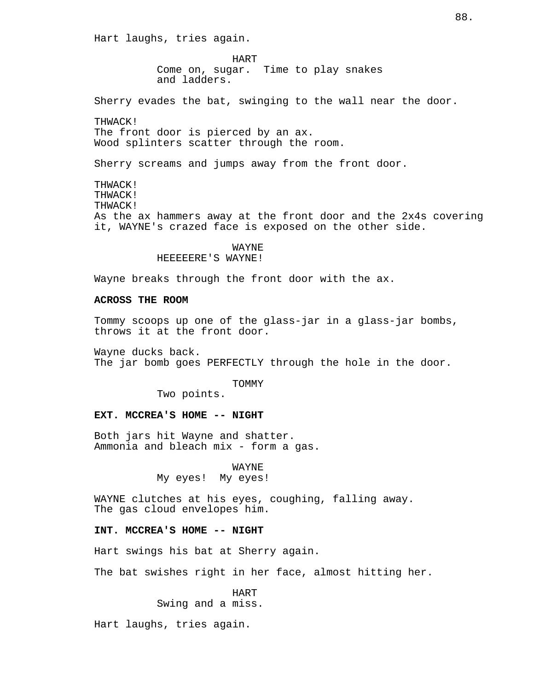Hart laughs, tries again.

HART Come on, sugar. Time to play snakes and ladders.

Sherry evades the bat, swinging to the wall near the door.

THWACK! The front door is pierced by an ax. Wood splinters scatter through the room.

Sherry screams and jumps away from the front door.

THWACK! THWACK! THWACK! As the ax hammers away at the front door and the 2x4s covering it, WAYNE's crazed face is exposed on the other side.

# WAYNE

HEEEEERE'S WAYNE!

Wayne breaks through the front door with the ax.

## **ACROSS THE ROOM**

Tommy scoops up one of the glass-jar in a glass-jar bombs, throws it at the front door.

Wayne ducks back. The jar bomb goes PERFECTLY through the hole in the door.

TOMMY

Two points.

#### **EXT. MCCREA'S HOME -- NIGHT**

Both jars hit Wayne and shatter. Ammonia and bleach mix - form a gas.

WAYNE

My eyes! My eyes!

WAYNE clutches at his eyes, coughing, falling away. The gas cloud envelopes him.

## **INT. MCCREA'S HOME -- NIGHT**

Hart swings his bat at Sherry again.

The bat swishes right in her face, almost hitting her.

HART Swing and a miss.

Hart laughs, tries again.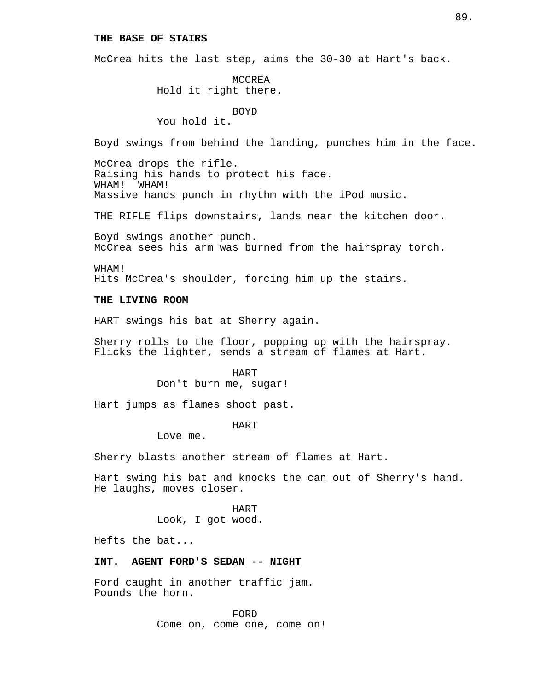### **THE BASE OF STAIRS**

McCrea hits the last step, aims the 30-30 at Hart's back.

MCCREA Hold it right there.

BOYD

You hold it.

Boyd swings from behind the landing, punches him in the face.

McCrea drops the rifle. Raising his hands to protect his face. WHAM! WHAM! Massive hands punch in rhythm with the iPod music.

THE RIFLE flips downstairs, lands near the kitchen door.

Boyd swings another punch. McCrea sees his arm was burned from the hairspray torch.

WHAM! Hits McCrea's shoulder, forcing him up the stairs.

#### **THE LIVING ROOM**

HART swings his bat at Sherry again.

Sherry rolls to the floor, popping up with the hairspray. Flicks the lighter, sends a stream of flames at Hart.

HART

Don't burn me, sugar!

Hart jumps as flames shoot past.

#### HART

Love me.

Sherry blasts another stream of flames at Hart.

Hart swing his bat and knocks the can out of Sherry's hand. He laughs, moves closer.

> HART Look, I got wood.

Hefts the bat...

# **INT. AGENT FORD'S SEDAN -- NIGHT**

Ford caught in another traffic jam. Pounds the horn.

> FORD Come on, come one, come on!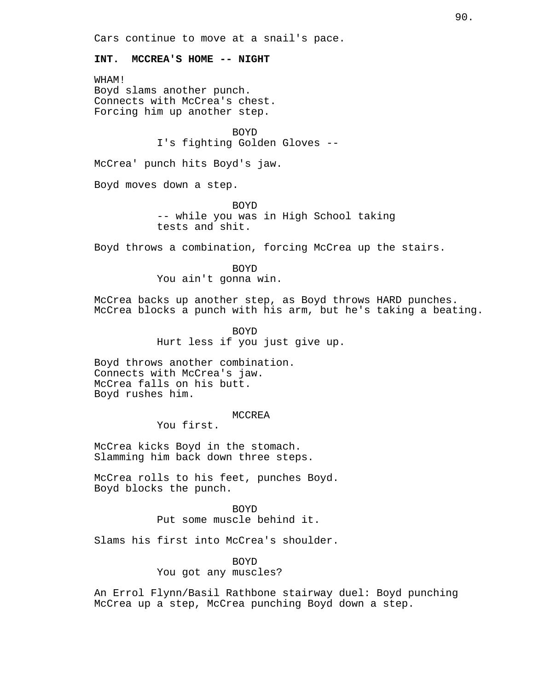Cars continue to move at a snail's pace.

## **INT. MCCREA'S HOME -- NIGHT**

WHAM! Boyd slams another punch. Connects with McCrea's chest. Forcing him up another step.

> BOYD I's fighting Golden Gloves --

McCrea' punch hits Boyd's jaw.

Boyd moves down a step.

BOYD -- while you was in High School taking tests and shit.

Boyd throws a combination, forcing McCrea up the stairs.

BOYD You ain't gonna win.

McCrea backs up another step, as Boyd throws HARD punches. McCrea blocks a punch with his arm, but he's taking a beating.

> BOYD Hurt less if you just give up.

Boyd throws another combination. Connects with McCrea's jaw. McCrea falls on his butt. Boyd rushes him.

#### MCCREA

You first.

McCrea kicks Boyd in the stomach. Slamming him back down three steps.

McCrea rolls to his feet, punches Boyd. Boyd blocks the punch.

> BOYD Put some muscle behind it.

Slams his first into McCrea's shoulder.

BOYD

You got any muscles?

An Errol Flynn/Basil Rathbone stairway duel: Boyd punching McCrea up a step, McCrea punching Boyd down a step.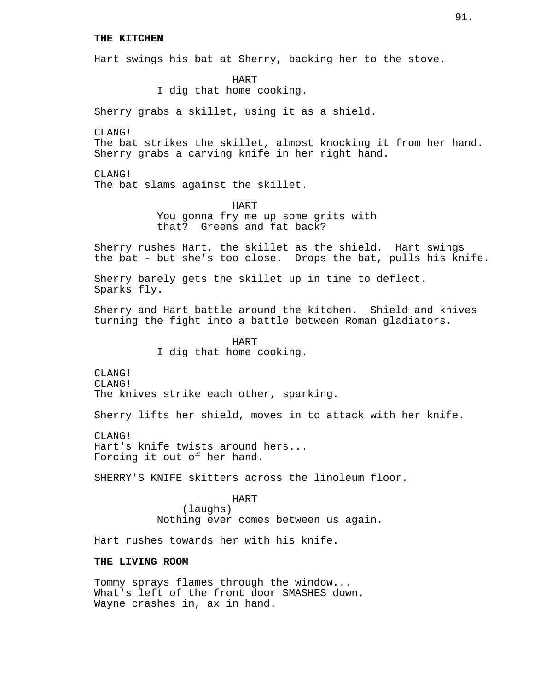#### **THE KITCHEN**

Hart swings his bat at Sherry, backing her to the stove.

HART I dig that home cooking.

Sherry grabs a skillet, using it as a shield.

CLANG!

The bat strikes the skillet, almost knocking it from her hand. Sherry grabs a carving knife in her right hand.

CLANG! The bat slams against the skillet.

> HART You gonna fry me up some grits with that? Greens and fat back?

Sherry rushes Hart, the skillet as the shield. Hart swings the bat - but she's too close. Drops the bat, pulls his knife.

Sherry barely gets the skillet up in time to deflect. Sparks fly.

Sherry and Hart battle around the kitchen. Shield and knives turning the fight into a battle between Roman gladiators.

> HART I dig that home cooking.

CLANG! CLANG! The knives strike each other, sparking.

Sherry lifts her shield, moves in to attack with her knife.

CLANG! Hart's knife twists around hers... Forcing it out of her hand.

SHERRY'S KNIFE skitters across the linoleum floor.

HART (laughs) Nothing ever comes between us again.

Hart rushes towards her with his knife.

## **THE LIVING ROOM**

Tommy sprays flames through the window... What's left of the front door SMASHES down. Wayne crashes in, ax in hand.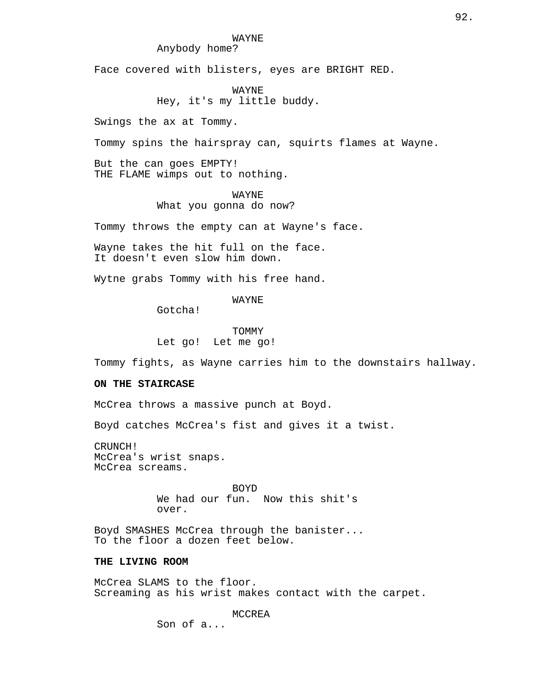## WAYNE

# Anybody home?

Face covered with blisters, eyes are BRIGHT RED.

WAYNE

# Hey, it's my little buddy.

Swings the ax at Tommy.

Tommy spins the hairspray can, squirts flames at Wayne.

But the can goes EMPTY! THE FLAME wimps out to nothing.

#### WAYNE

What you gonna do now?

Tommy throws the empty can at Wayne's face.

Wayne takes the hit full on the face. It doesn't even slow him down.

Wytne grabs Tommy with his free hand.

WAYNE

Gotcha!

TOMMY Let go! Let me go!

Tommy fights, as Wayne carries him to the downstairs hallway.

# **ON THE STAIRCASE**

McCrea throws a massive punch at Boyd.

Boyd catches McCrea's fist and gives it a twist.

CRUNCH! McCrea's wrist snaps. McCrea screams.

> BOYD We had our fun. Now this shit's over.

Boyd SMASHES McCrea through the banister... To the floor a dozen feet below.

# **THE LIVING ROOM**

McCrea SLAMS to the floor. Screaming as his wrist makes contact with the carpet.

MCCREA

Son of a...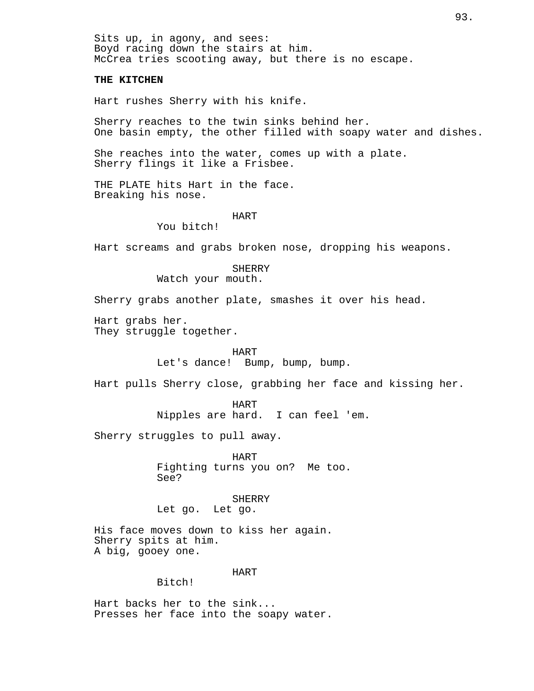Sits up, in agony, and sees: Boyd racing down the stairs at him. McCrea tries scooting away, but there is no escape.

#### **THE KITCHEN**

Hart rushes Sherry with his knife.

Sherry reaches to the twin sinks behind her. One basin empty, the other filled with soapy water and dishes.

She reaches into the water, comes up with a plate. Sherry flings it like a Frisbee.

THE PLATE hits Hart in the face. Breaking his nose.

#### HART

You bitch!

Hart screams and grabs broken nose, dropping his weapons.

# SHERRY

Watch your mouth.

Sherry grabs another plate, smashes it over his head.

Hart grabs her. They struggle together.

HART

Let's dance! Bump, bump, bump.

Hart pulls Sherry close, grabbing her face and kissing her.

HART Nipples are hard. I can feel 'em.

Sherry struggles to pull away.

HART Fighting turns you on? Me too. See?

SHERRY Let go. Let go.

His face moves down to kiss her again. Sherry spits at him. A big, gooey one.

#### HART

# Bitch!

Hart backs her to the sink... Presses her face into the soapy water.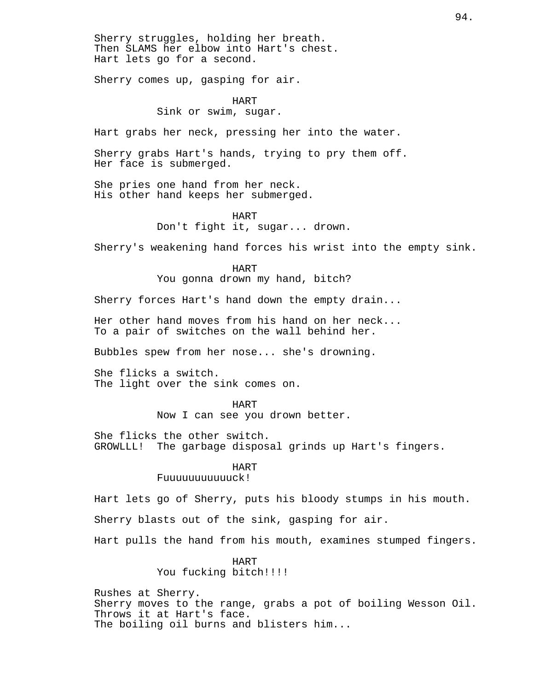Sherry struggles, holding her breath. Then SLAMS her elbow into Hart's chest. Hart lets go for a second.

Sherry comes up, gasping for air.

# HART Sink or swim, sugar.

Hart grabs her neck, pressing her into the water.

Sherry grabs Hart's hands, trying to pry them off. Her face is submerged.

She pries one hand from her neck. His other hand keeps her submerged.

#### HART Don't fight it, sugar... drown.

Sherry's weakening hand forces his wrist into the empty sink.

HART

You gonna drown my hand, bitch?

Sherry forces Hart's hand down the empty drain...

Her other hand moves from his hand on her neck... To a pair of switches on the wall behind her.

Bubbles spew from her nose... she's drowning.

She flicks a switch. The light over the sink comes on.

> HART Now I can see you drown better.

She flicks the other switch. GROWLLL! The garbage disposal grinds up Hart's fingers.

#### HART

Fuuuuuuuuuuuck!

Hart lets go of Sherry, puts his bloody stumps in his mouth.

Sherry blasts out of the sink, gasping for air.

Hart pulls the hand from his mouth, examines stumped fingers.

HART You fucking bitch!!!!

Rushes at Sherry. Sherry moves to the range, grabs a pot of boiling Wesson Oil. Throws it at Hart's face. The boiling oil burns and blisters him...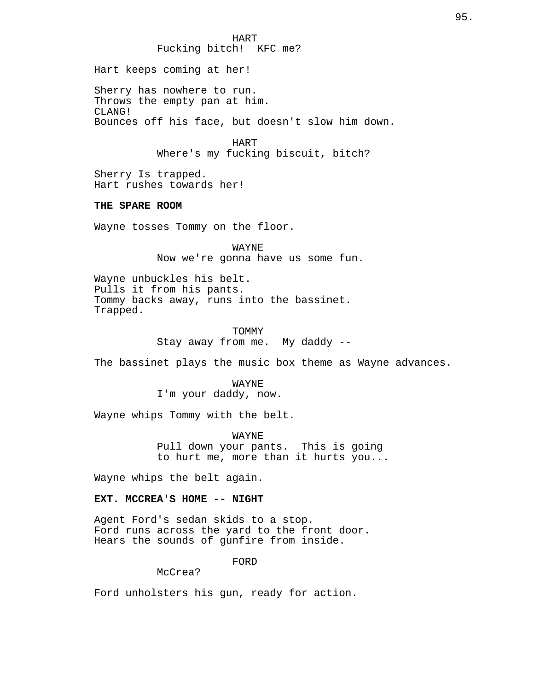Fucking bitch! KFC me? Hart keeps coming at her! Sherry has nowhere to run. Throws the empty pan at him. CLANG! Bounces off his face, but doesn't slow him down. HART Where's my fucking biscuit, bitch? Sherry Is trapped. Hart rushes towards her! **THE SPARE ROOM** Wayne tosses Tommy on the floor. WAYNE Now we're gonna have us some fun. Wayne unbuckles his belt. Pulls it from his pants. Tommy backs away, runs into the bassinet. Trapped. TOMMY Stay away from me. My daddy -- The bassinet plays the music box theme as Wayne advances. WAYNE I'm your daddy, now. Wayne whips Tommy with the belt. WAYNE

HART

Pull down your pants. This is going to hurt me, more than it hurts you...

Wayne whips the belt again.

## **EXT. MCCREA'S HOME -- NIGHT**

Agent Ford's sedan skids to a stop. Ford runs across the yard to the front door. Hears the sounds of gunfire from inside.

FORD

McCrea?

Ford unholsters his gun, ready for action.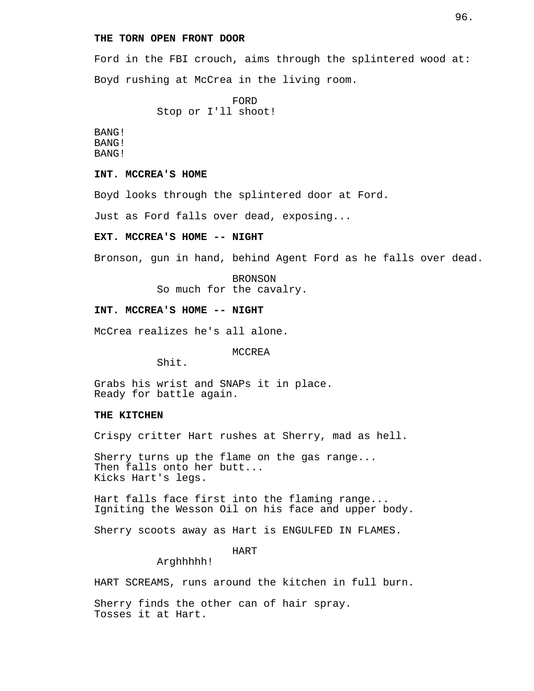# **THE TORN OPEN FRONT DOOR**

Ford in the FBI crouch, aims through the splintered wood at: Boyd rushing at McCrea in the living room.

> FORD Stop or I'll shoot!

BANG! BANG! BANG!

**INT. MCCREA'S HOME**

Boyd looks through the splintered door at Ford.

Just as Ford falls over dead, exposing...

#### **EXT. MCCREA'S HOME -- NIGHT**

Bronson, gun in hand, behind Agent Ford as he falls over dead.

BRONSON So much for the cavalry.

### **INT. MCCREA'S HOME -- NIGHT**

McCrea realizes he's all alone.

MCCREA

Shit.

Grabs his wrist and SNAPs it in place. Ready for battle again.

#### **THE KITCHEN**

Crispy critter Hart rushes at Sherry, mad as hell.

Sherry turns up the flame on the gas range... Then falls onto her butt... Kicks Hart's legs.

Hart falls face first into the flaming range... Igniting the Wesson Oil on his face and upper body.

Sherry scoots away as Hart is ENGULFED IN FLAMES.

HART

Arghhhhh!

HART SCREAMS, runs around the kitchen in full burn.

Sherry finds the other can of hair spray. Tosses it at Hart.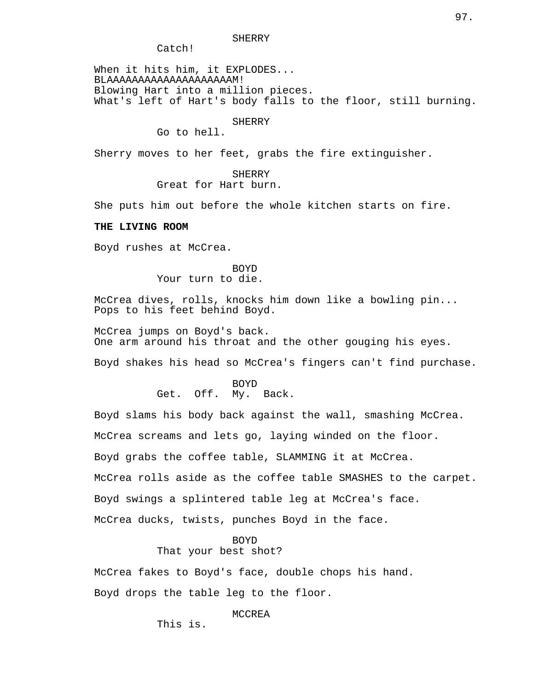Catch!

When it hits him, it EXPLODES... BLAAAAAAAAAAAAAAAAAAAAM! Blowing Hart into a million pieces. What's left of Hart's body falls to the floor, still burning.

#### **SHERRY**

Go to hell.

Sherry moves to her feet, grabs the fire extinguisher.

SHERRY Great for Hart burn.

She puts him out before the whole kitchen starts on fire.

## **THE LIVING ROOM**

Boyd rushes at McCrea.

### BOYD Your turn to die.

McCrea dives, rolls, knocks him down like a bowling pin... Pops to his feet behind Boyd.

McCrea jumps on Boyd's back. One arm around his throat and the other gouging his eyes.

Boyd shakes his head so McCrea's fingers can't find purchase.

BOYD Get. Off. My. Back.

Boyd slams his body back against the wall, smashing McCrea.

McCrea screams and lets go, laying winded on the floor.

Boyd grabs the coffee table, SLAMMING it at McCrea.

McCrea rolls aside as the coffee table SMASHES to the carpet.

Boyd swings a splintered table leg at McCrea's face.

McCrea ducks, twists, punches Boyd in the face.

# BOYD

# That your best shot?

McCrea fakes to Boyd's face, double chops his hand. Boyd drops the table leg to the floor.

#### MCCREA

This is.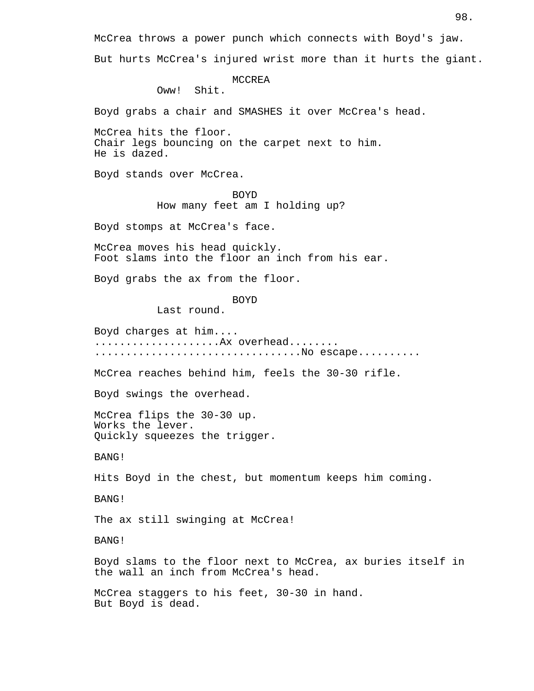McCrea throws a power punch which connects with Boyd's jaw. But hurts McCrea's injured wrist more than it hurts the giant.

MCCREA

Oww! Shit.

Boyd grabs a chair and SMASHES it over McCrea's head.

McCrea hits the floor. Chair legs bouncing on the carpet next to him. He is dazed.

Boyd stands over McCrea.

BOYD How many feet am I holding up?

Boyd stomps at McCrea's face.

McCrea moves his head quickly. Foot slams into the floor an inch from his ear.

Boyd grabs the ax from the floor.

BOYD

Last round.

Boyd charges at him.... ...................... Ax overhead........ ...................................No escape.........

McCrea reaches behind him, feels the 30-30 rifle.

Boyd swings the overhead.

McCrea flips the 30-30 up. Works the lever. Quickly squeezes the trigger.

BANG!

Hits Boyd in the chest, but momentum keeps him coming.

BANG!

The ax still swinging at McCrea!

BANG!

Boyd slams to the floor next to McCrea, ax buries itself in the wall an inch from McCrea's head.

McCrea staggers to his feet, 30-30 in hand. But Boyd is dead.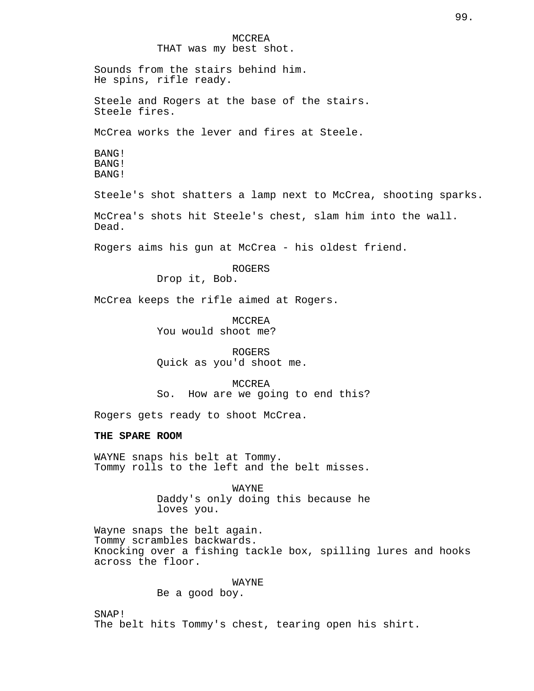MCCREA THAT was my best shot. Sounds from the stairs behind him. He spins, rifle ready. Steele and Rogers at the base of the stairs. Steele fires. McCrea works the lever and fires at Steele. BANG! BANG! BANG! Steele's shot shatters a lamp next to McCrea, shooting sparks. McCrea's shots hit Steele's chest, slam him into the wall. Dead. Rogers aims his gun at McCrea - his oldest friend. ROGERS Drop it, Bob. McCrea keeps the rifle aimed at Rogers. MCCREA You would shoot me? ROGERS Quick as you'd shoot me. MCCREA So. How are we going to end this? Rogers gets ready to shoot McCrea. **THE SPARE ROOM** WAYNE snaps his belt at Tommy. Tommy rolls to the left and the belt misses. WAYNE Daddy's only doing this because he loves you. Wayne snaps the belt again. Tommy scrambles backwards. Knocking over a fishing tackle box, spilling lures and hooks across the floor. WAYNE Be a good boy.

99.

SNAP! The belt hits Tommy's chest, tearing open his shirt.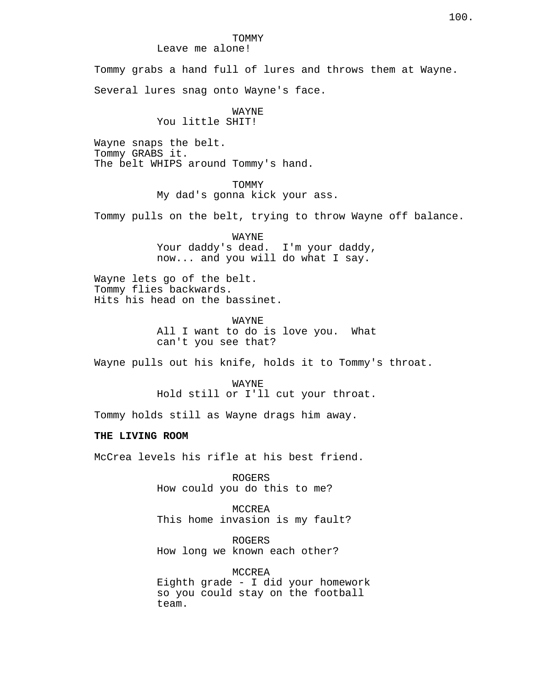#### TOMMY Leave me alone!

Tommy grabs a hand full of lures and throws them at Wayne.

Several lures snag onto Wayne's face.

# WAYNE

# You little SHIT!

Wayne snaps the belt. Tommy GRABS it. The belt WHIPS around Tommy's hand.

## **TOMMY**

My dad's gonna kick your ass.

Tommy pulls on the belt, trying to throw Wayne off balance.

WAYNE Your daddy's dead. I'm your daddy, now... and you will do what I say.

Wayne lets go of the belt. Tommy flies backwards. Hits his head on the bassinet.

> WAYNE All I want to do is love you. What can't you see that?

Wayne pulls out his knife, holds it to Tommy's throat.

WAYNE Hold still or I'll cut your throat.

Tommy holds still as Wayne drags him away.

#### **THE LIVING ROOM**

McCrea levels his rifle at his best friend.

ROGERS How could you do this to me?

MCCREA This home invasion is my fault?

ROGERS How long we known each other?

MCCREA Eighth grade - I did your homework so you could stay on the football team.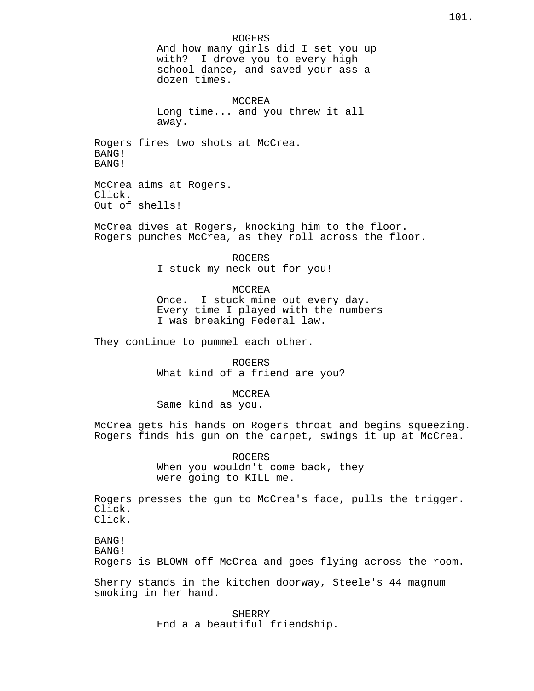ROGERS And how many girls did I set you up with? I drove you to every high school dance, and saved your ass a dozen times. MCCREA Long time... and you threw it all away. Rogers fires two shots at McCrea. BANG! BANG! McCrea aims at Rogers. Click. Out of shells! McCrea dives at Rogers, knocking him to the floor. Rogers punches McCrea, as they roll across the floor. ROGERS I stuck my neck out for you! MCCREA Once. I stuck mine out every day. Every time I played with the numbers I was breaking Federal law. They continue to pummel each other. ROGERS What kind of a friend are you? MCCREA Same kind as you. McCrea gets his hands on Rogers throat and begins squeezing. Rogers finds his gun on the carpet, swings it up at McCrea. ROGERS When you wouldn't come back, they were going to KILL me. Rogers presses the gun to McCrea's face, pulls the trigger. Click. Click. BANG! BANG! Rogers is BLOWN off McCrea and goes flying across the room. Sherry stands in the kitchen doorway, Steele's 44 magnum smoking in her hand.

SHERRY End a a beautiful friendship.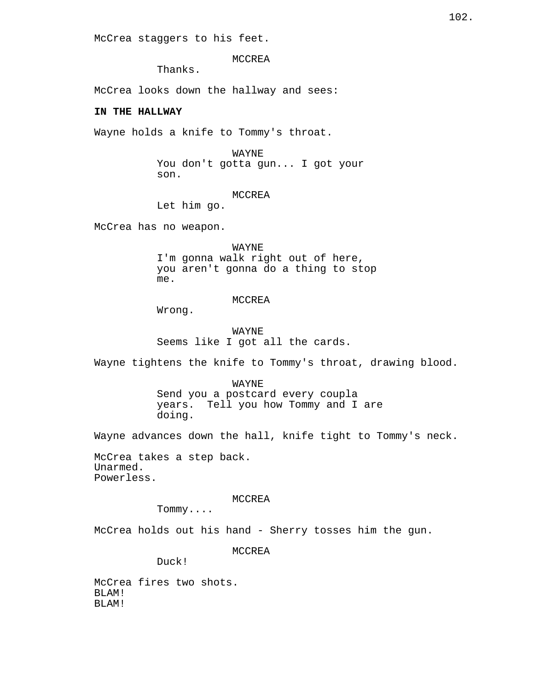McCrea staggers to his feet.

MCCREA

Thanks.

McCrea looks down the hallway and sees:

# **IN THE HALLWAY**

Wayne holds a knife to Tommy's throat.

#### WAYNE

You don't gotta gun... I got your son.

#### MCCREA

Let him go.

McCrea has no weapon.

WAYNE I'm gonna walk right out of here, you aren't gonna do a thing to stop me.

## MCCREA

Wrong.

WAYNE Seems like I got all the cards.

Wayne tightens the knife to Tommy's throat, drawing blood.

# WAYNE Send you a postcard every coupla years. Tell you how Tommy and I are doing.

Wayne advances down the hall, knife tight to Tommy's neck.

McCrea takes a step back. Unarmed. Powerless.

#### MCCREA

Tommy....

McCrea holds out his hand - Sherry tosses him the gun.

MCCREA

Duck!

McCrea fires two shots. BLAM! BLAM!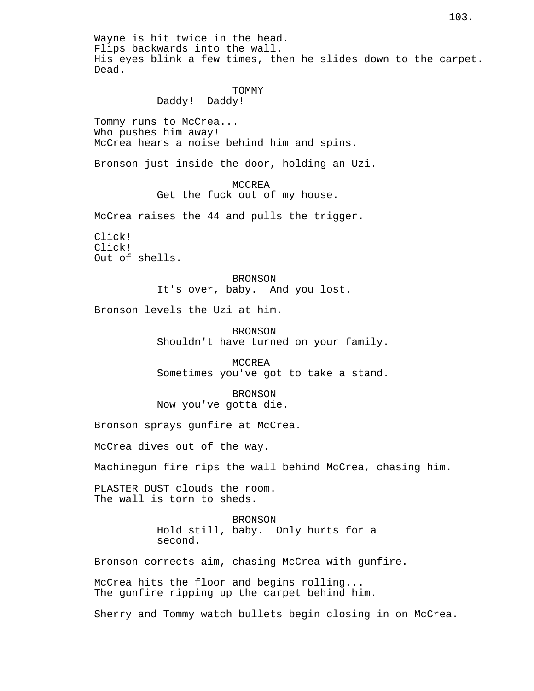Wayne is hit twice in the head. Flips backwards into the wall. His eyes blink a few times, then he slides down to the carpet. Dead. TOMMY Daddy! Daddy! Tommy runs to McCrea... Who pushes him away! McCrea hears a noise behind him and spins. Bronson just inside the door, holding an Uzi. MCCREA Get the fuck out of my house. McCrea raises the 44 and pulls the trigger. Click! Click! Out of shells. BRONSON It's over, baby. And you lost. Bronson levels the Uzi at him. BRONSON Shouldn't have turned on your family. MCCREA Sometimes you've got to take a stand. BRONSON Now you've gotta die. Bronson sprays gunfire at McCrea. McCrea dives out of the way. Machinegun fire rips the wall behind McCrea, chasing him. PLASTER DUST clouds the room. The wall is torn to sheds. **BRONSON** Hold still, baby. Only hurts for a second. Bronson corrects aim, chasing McCrea with gunfire. McCrea hits the floor and begins rolling... The gunfire ripping up the carpet behind him. Sherry and Tommy watch bullets begin closing in on McCrea.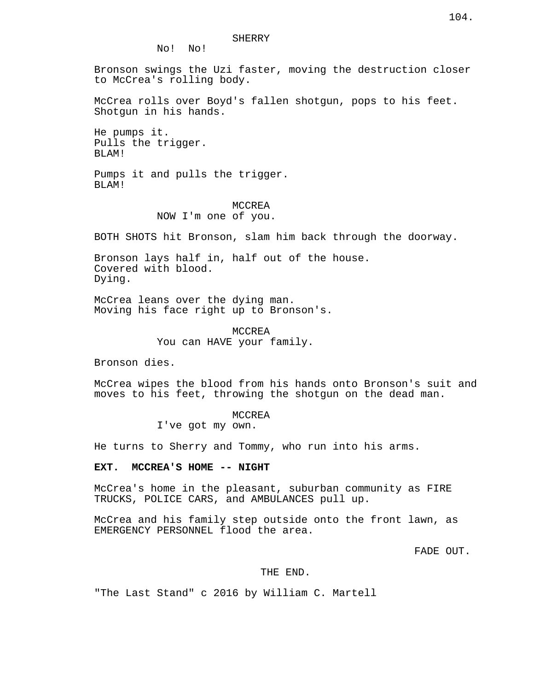#### SHERRY

No! No!

Bronson swings the Uzi faster, moving the destruction closer to McCrea's rolling body.

McCrea rolls over Boyd's fallen shotgun, pops to his feet. Shotgun in his hands.

He pumps it. Pulls the trigger. BLAM!

Pumps it and pulls the trigger. BLAM!

# MCCREA NOW I'm one of you.

BOTH SHOTS hit Bronson, slam him back through the doorway.

Bronson lays half in, half out of the house. Covered with blood. Dying.

McCrea leans over the dying man. Moving his face right up to Bronson's.

> MCCREA You can HAVE your family.

Bronson dies.

McCrea wipes the blood from his hands onto Bronson's suit and moves to his feet, throwing the shotgun on the dead man.

> MCCREA I've got my own.

He turns to Sherry and Tommy, who run into his arms.

#### **EXT. MCCREA'S HOME -- NIGHT**

McCrea's home in the pleasant, suburban community as FIRE TRUCKS, POLICE CARS, and AMBULANCES pull up.

McCrea and his family step outside onto the front lawn, as EMERGENCY PERSONNEL flood the area.

FADE OUT.

## THE END.

"The Last Stand" c 2016 by William C. Martell